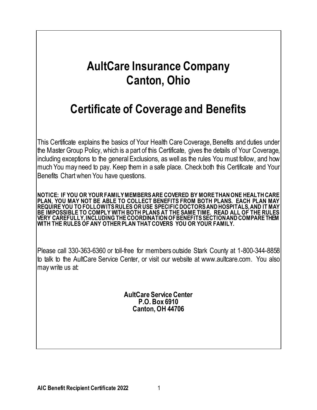# **AultCare Insurance Company Canton, Ohio**

# **Certificate of Coverage and Benefits**

This Certificate explains the basics of Your Health Care Coverage, Benefits and duties under the Master Group Policy, which is a part of this Certificate, gives the details of Your Coverage, including exceptions to the general Exclusions, as well as the rules You must follow, and how much You may need to pay. Keep them in a safe place. Check both this Certificate and Your Benefits Chart when You have questions.

**NOTICE: IF YOU OR YOURFAMILY MEMBERS ARE COVERED BY MORE THAN ONE HEALTH CARE PLAN, YOU MAY NOT BE ABLE TO COLLECT BENEFITS FROM BOTH PLANS. EACH PLAN MAY REQUIRE YOU TO FOLLOW ITS RULES OR USE SPECIFIC DOCTORS AND HOSPITALS, AND IT MAY BE IMPOSSIBLE TO COMPLY WITH BOTH PLANS AT THE SAME TIME. READ ALL OF THE RULES VERY CAREFULLY, INCLUDING THE COORDINATION OF BENEFITS SECTION AND COMPARE THEM WITH THE RULES OF ANY OTHER PLAN THAT COVERS YOU OR YOUR FAMILY.**

Please call 330-363-6360 or toll-free for members outside Stark County at 1-800-344-8858 to talk to the AultCare Service Center, or visit our website at www.aultcare.com. You also may write us at:

> **AultCare Service Center P.O. Box 6910 Canton, OH 44706**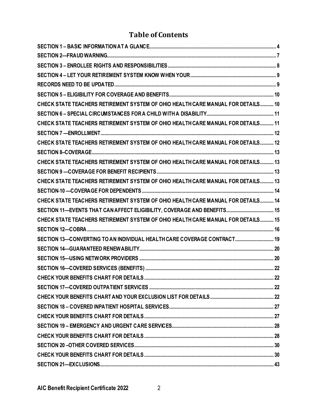# **Table of Contents**

| CHECK STATE TEACHERS RETIREMENT SYSTEM OF OHIO HEALTH CARE MANUAL FOR DETAILS 10 |  |
|----------------------------------------------------------------------------------|--|
|                                                                                  |  |
| CHECK STATE TEACHERS RETIREMENT SYSTEM OF OHIO HEALTH CARE MANUAL FOR DETAILS 11 |  |
|                                                                                  |  |
| CHECK STATE TEACHERS RETIREMENT SYSTEM OF OHIO HEALTH CARE MANUAL FOR DETAILS 12 |  |
|                                                                                  |  |
| CHECK STATE TEACHERS RETIREMENT SYSTEM OF OHIO HEALTH CARE MANUAL FOR DETAILS 13 |  |
|                                                                                  |  |
| CHECK STATE TEACHERS RETIREMENT SYSTEM OF OHIO HEALTH CARE MANUAL FOR DETAILS 13 |  |
|                                                                                  |  |
| CHECK STATE TEACHERS RETIREMENT SYSTEM OF OHIO HEALTH CARE MANUAL FOR DETAILS 14 |  |
|                                                                                  |  |
| CHECK STATE TEACHERS RETIREMENT SYSTEM OF OHIO HEALTH CARE MANUAL FOR DETAILS 15 |  |
|                                                                                  |  |
| SECTION 13-CONVERTING TO AN INDIVIDUAL HEALTH CARE COVERAGE CONTRACT 19          |  |
|                                                                                  |  |
|                                                                                  |  |
|                                                                                  |  |
|                                                                                  |  |
|                                                                                  |  |
|                                                                                  |  |
|                                                                                  |  |
|                                                                                  |  |
|                                                                                  |  |
|                                                                                  |  |
|                                                                                  |  |
|                                                                                  |  |
|                                                                                  |  |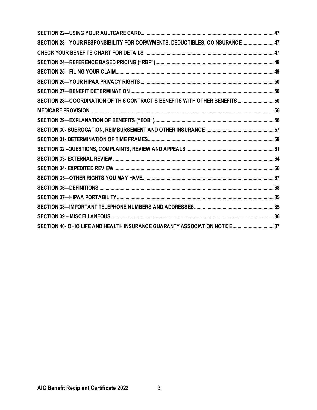| SECTION 23-YOUR RESPONSIBILITY FOR COPAYMENTS, DEDUCTIBLES, COINSURANCE 47  |  |
|-----------------------------------------------------------------------------|--|
|                                                                             |  |
|                                                                             |  |
|                                                                             |  |
|                                                                             |  |
|                                                                             |  |
| SECTION 28-COORDINATION OF THIS CONTRACT'S BENEFITS WITH OTHER BENEFITS  50 |  |
|                                                                             |  |
|                                                                             |  |
|                                                                             |  |
|                                                                             |  |
|                                                                             |  |
|                                                                             |  |
|                                                                             |  |
|                                                                             |  |
|                                                                             |  |
|                                                                             |  |
|                                                                             |  |
|                                                                             |  |
|                                                                             |  |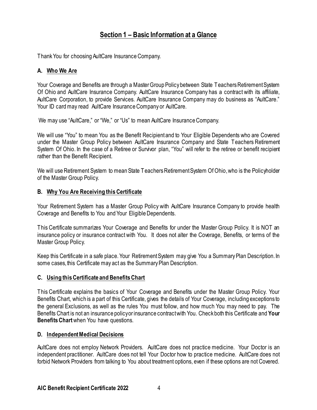# **Section 1 – Basic Information at a Glance**

<span id="page-3-0"></span>Thank You for choosing AultCare Insurance Company.

### **A. Who We Are**

Your Coverage and Benefits are through a Master Group Policy between State Teachers Retirement System Of Ohio and AultCare Insurance Company. AultCare Insurance Company has a contract with its affiliate, AultCare Corporation, to provide Services. AultCare Insurance Company may do business as "AultCare." Your ID card may read AultCare Insurance Company or AultCare.

We may use "AultCare," or "We," or "Us" to mean AultCare Insurance Company.

We will use "You" to mean You as the Benefit Recipient and to Your Eligible Dependents who are Covered under the Master Group Policy between AultCare Insurance Company and State Teachers Retirement System Of Ohio. In the case of a Retiree or Survivor plan, "You" will refer to the retiree or benefit recipient rather than the Benefit Recipient.

We will use Retirement System to mean State Teachers Retirement System Of Ohio, who is the Policyholder of the Master Group Policy.

### **B. Why You Are Receiving this Certificate**

Your Retirement System has a Master Group Policy with AultCare Insurance Company to provide health Coverage and Benefits to You and Your Eligible Dependents.

This Certificate summarizes Your Coverage and Benefits for under the Master Group Policy. It is NOT an insurance policy or insurance contract with You. It does not alter the Coverage, Benefits, or terms of the Master Group Policy.

Keep this Certificate in a safe place. Your Retirement System may give You a Summary Plan Description. In some cases, this Certificate may act as the Summary Plan Description.

### **C. Using this Certificate and Benefits Chart**

This Certificate explains the basics of Your Coverage and Benefits under the Master Group Policy. Your Benefits Chart, which is a part of this Certificate, gives the details of Your Coverage, including exceptions to the general Exclusions, as well as the rules You must follow, and how much You may need to pay. The Benefits Chart is not an insurance policy or insurance contract with You. Check both this Certificate and **Your Benefits Chart**when You have questions.

### **D. Independent Medical Decisions**

AultCare does not employ Network Providers. AultCare does not practice medicine. Your Doctor is an independent practitioner. AultCare does not tell Your Doctor how to practice medicine. AultCare does not forbid Network Providers from talking to You about treatment options, even if these options are not Covered.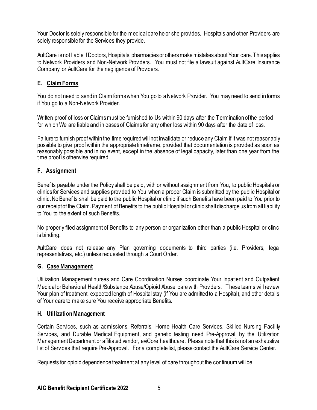Your Doctor is solely responsible for the medical care he or she provides. Hospitals and other Providers are solely responsible for the Services they provide.

AultCare is not liable if Doctors, Hospitals, pharmacies or others make mistakes about Your care. This applies to Network Providers and Non-Network Providers. You must not file a lawsuit against AultCare Insurance Company or AultCare for the negligence of Providers.

### **E. ClaimForms**

You do not need to send in Claim forms when You go to a Network Provider. You may need to send in forms if You go to a Non-Network Provider.

Written proof of loss or Claimsmust be furnished to Us within 90 days after the Termination of the period for which We are liable and in cases of Claims for any other loss within 90 days after the date of loss.

Failure to furnish proof within the time required will not invalidate or reduce any Claim if it was not reasonably possible to give proof within the appropriate timeframe, provided that documentation is provided as soon as reasonably possible and in no event, except in the absence of legal capacity, later than one year from the time proof is otherwise required.

### **F. Assignment**

Benefits payable under the Policy shall be paid, with or without assignment from You, to public Hospitals or clinics for Services and supplies provided to You when a proper Claim is submitted by the public Hospital or clinic. No Benefits shall be paid to the public Hospital or clinic if such Benefits have been paid to You prior to our receipt of the Claim. Payment of Benefits to the public Hospital or clinic shall discharge us from all liability to You to the extent of such Benefits.

No properly filed assignment of Benefits to any person or organization other than a public Hospital or clinic is binding.

AultCare does not release any Plan governing documents to third parties (i.e. Providers, legal representatives, etc.) unless requested through a Court Order.

### **G. Case Management**

Utilization Management nurses and Care Coordination Nurses coordinate Your Inpatient and Outpatient Medical or Behavioral Health/Substance Abuse/Opioid Abuse care with Providers. These teams will review Your plan of treatment, expected length of Hospital stay (if You are admitted to a Hospital), and other details of Your care to make sure You receive appropriate Benefits.

### **H. Utilization Management**

Certain Services, such as admissions, Referrals, Home Health Care Services, Skilled Nursing Facility Services, and Durable Medical Equipment, and genetic testing need Pre-Approval by the Utilization Management Department or affiliated vendor, eviCore healthcare. Please note that this is not an exhaustive list of Services that require Pre-Approval. For a complete list, please contact the AultCare Service Center.

Requests for opioid dependence treatment at any level of care throughout the continuum will be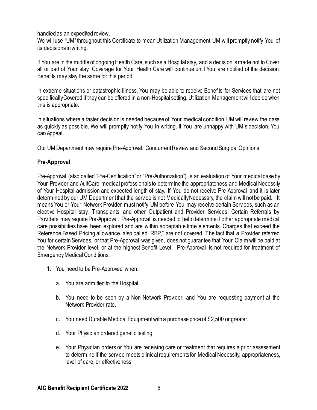handled as an expedited review.

We will use "UM" throughout this Certificate to mean Utilization Management. UM will promptly notify You of its decisions in writing.

If You are in the middle of ongoing Health Care, such as a Hospital stay, and a decision is made not to Cover all or part of Your stay, Coverage for Your Health Care will continue until You are notified of the decision. Benefits may stay the same for this period.

In extreme situations or catastrophic illness, You may be able to receive Benefits for Services that are not specifically Covered if they can be offered in a non-Hospital setting. Utilization Management will decide when this is appropriate.

In situations where a faster decision is needed because of Your medical condition, UM will review the case as quickly as possible. We will promptly notify You in writing. If You are unhappy with UM's decision, You can Appeal.

Our UM Department may require Pre-Approval, Concurrent Review and Second Surgical Opinions.

### **Pre-Approval**

Pre-Approval (also called "Pre-Certification" or "Pre-Authorization") is an evaluation of Your medical case by Your Provider and AultCare medical professionals to determine the appropriateness and Medical Necessity of Your Hospital admission and expected length of stay. If You do not receive Pre-Approval and it is later determined by our UM Department that the service is not Medically Necessary, the claim will not be paid. It means You or Your Network Provider must notify UM before You may receive certain Services, such as an elective Hospital stay, Transplants, and other Outpatient and Provider Services. Certain Referrals by Providers may require Pre-Approval. Pre-Approval is needed to help determine if other appropriate medical care possibilities have been explored and are within acceptable time elements. Charges that exceed the Reference Based Pricing allowance, also called "RBP," are not covered. The fact that a Provider referred You for certain Services, or that Pre-Approval was given, does not guarantee that Your Claim will be paid at the Network Provider level, or at the highest Benefit Level. Pre-Approval is not required for treatment of Emergency Medical Conditions.

- 1. You need to be Pre-Approved when:
	- a. You are admitted to the Hospital.
	- b. You need to be seen by a Non-Network Provider, and You are requesting payment at the Network Provider rate.
	- c. You need Durable Medical Equipment with a purchase price of \$2,500 or greater.
	- d. Your Physician ordered genetic testing.
	- e. Your Physician orders or You are receiving care or treatment that requires a prior assessment to determine if the service meets clinical requirements for Medical Necessity, appropriateness, level of care, or effectiveness.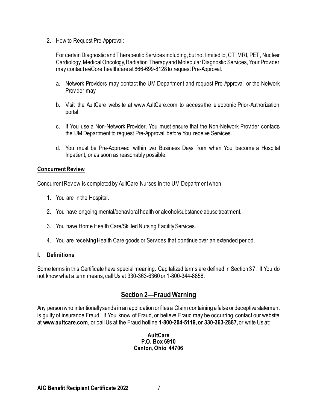2. How to Request Pre-Approval:

For certain Diagnostic and Therapeutic Services including, but not limited to, CT, MRI, PET, Nuclear Cardiology, Medical Oncology, Radiation Therapy and Molecular Diagnostic Services, Your Provider may contact eviCore healthcare at 866-699-8128 to request Pre-Approval.

- a. Network Providers may contact the UM Department and request Pre-Approval or the Network Provider may;
- b. Visit the AultCare website at www.AultCare.com to access the electronic Prior-Authorization portal.
- c. If You use a Non-Network Provider, You must ensure that the Non-Network Provider contacts the UM Department to request Pre-Approval before You receive Services.
- d. You must be Pre-Approved within two Business Days from when You become a Hospital Inpatient, or as soon as reasonably possible.

### **Concurrent Review**

Concurrent Review is completed by AultCare Nurses in the UM Department when:

- 1. You are in the Hospital.
- 2. You have ongoing mental/behavioral health or alcohol/substance abuse treatment.
- 3. You have Home Health Care/Skilled Nursing Facility Services.
- 4. You are receiving Health Care goods or Services that continue over an extended period.

### **I. Definitions**

Some terms in this Certificate have special meaning. Capitalized terms are defined in Section 37. If You do not know what a term means, call Us at 330-363-6360 or 1-800-344-8858.

### **Section 2—Fraud Warning**

<span id="page-6-0"></span>Any person who intentionally sends in an application or files a Claim containing a false or deceptive statement is guilty of insurance Fraud. If You know of Fraud, or believe Fraud may be occurring, contact our website at **www.aultcare.com**, or call Us at the Fraud hotline **1-800-204-5119, or 330-363-2887,** or write Us at:

> **AultCare P.O. Box 6910 Canton, Ohio 44706**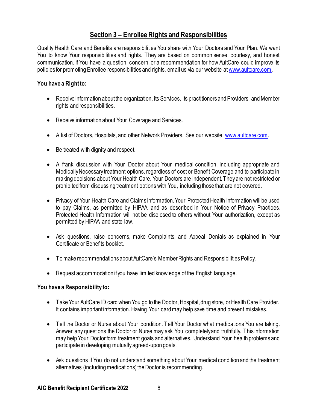# **Section 3 – Enrollee Rights and Responsibilities**

<span id="page-7-0"></span>Quality Health Care and Benefits are responsibilities You share with Your Doctors and Your Plan. We want You to know Your responsibilities and rights. They are based on common sense, courtesy, and honest communication. If You have a question, concern, or a recommendation for how AultCare could improve its policies for promoting Enrollee responsibilities and rights, email us via our website a[t www.aultcare.com](http://www.aultcare.com/).

### **You have a Right to:**

- Receive information about the organization, its Services, its practitioners and Providers, and Member rights and responsibilities.
- Receive information about Your Coverage and Services.
- A list of Doctors, Hospitals, and other Network Providers. See our website[, www.aultcare.com](http://www.aultcare.com/).
- Be treated with dignity and respect.
- A frank discussion with Your Doctor about Your medical condition, including appropriate and Medically Necessary treatment options, regardless of cost or Benefit Coverage and to participate in making decisions about Your Health Care. Your Doctors are independent. They are not restricted or prohibited from discussing treatment options with You, including those that are not covered.
- Privacy of Your Health Care and Claims information. Your Protected Health Information will be used to pay Claims, as permitted by HIPAA and as described in Your Notice of Privacy Practices. Protected Health Information will not be disclosed to others without Your authorization, except as permitted by HIPAA and state law.
- Ask questions, raise concerns, make Complaints, and Appeal Denials as explained in Your Certificate or Benefits booklet.
- To make recommendations about AultCare's Member Rights and Responsibilities Policy.
- Request accommodation if you have limited knowledge of the English language.

### **You have a Responsibility to:**

- Take Your AultCare ID card when You go to the Doctor, Hospital, drug store, or Health Care Provider. It contains important information. Having Your card may help save time and prevent mistakes.
- Tell the Doctor or Nurse about Your condition. Tell Your Doctor what medications You are taking. Answer any questions the Doctor or Nurse may ask You completely and truthfully. This information may help Your Doctor form treatment goals and alternatives. Understand Your health problems and participate in developing mutually agreed-upon goals.
- Ask questions if You do not understand something about Your medical condition and the treatment alternatives (including medications) the Doctor is recommending.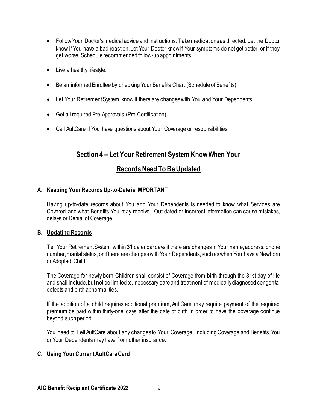- Follow Your Doctor's medical advice and instructions. Take medications as directed. Let the Doctor know if You have a bad reaction. Let Your Doctor know if Your symptoms do not get better, or if they get worse. Schedule recommended follow-up appointments.
- Live a healthy lifestyle.
- Be an informed Enrollee by checking Your Benefits Chart (Schedule of Benefits).
- Let Your Retirement System know if there are changes with You and Your Dependents.
- Get all required Pre-Approvals (Pre-Certification).
- <span id="page-8-0"></span>• Call AultCare if You have questions about Your Coverage or responsibilities.

# **Section 4 – Let Your Retirement System Know When Your**

# **Records Need To Be Updated**

### <span id="page-8-1"></span>**A. Keeping Your Records Up-to-Date is IMPORTANT**

Having up-to-date records about You and Your Dependents is needed to know what Services are Covered and what Benefits You may receive. Out-dated or incorrect information can cause mistakes, delays or Denial of Coverage.

### **B. Updating Records**

Tell Your Retirement System within **31** calendar days if there are changes in Your name, address, phone number, marital status, or if there are changes with Your Dependents, such as when You have a Newborn or Adopted Child.

The Coverage for newly born Children shall consist of Coverage from birth through the 31st day of life and shall include, but not be limited to, necessary care and treatment of medicallydiagnosed congenital defects and birth abnormalities.

If the addition of a child requires additional premium, AultCare may require payment of the required premium be paid within thirty-one days after the date of birth in order to have the coverage continue beyond such period.

You need to Tell AultCare about any changes to Your Coverage, including Coverage and Benefits You or Your Dependents may have from other insurance.

### **C. Using Your Current AultCare Card**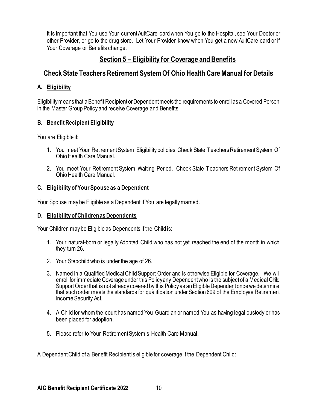It is important that You use Your current AultCare card when You go to the Hospital, see Your Doctor or other Provider, or go to the drug store. Let Your Provider know when You get a new AultCare card or if Your Coverage or Benefits change.

# <span id="page-9-0"></span>**Section 5 – Eligibility for Coverage and Benefits**

# <span id="page-9-1"></span>**Check State Teachers Retirement System Of Ohio Health Care Manual for Details**

### **A. Eligibility**

Eligibility means that a Benefit Recipient or Dependent meets the requirements to enroll as a Covered Person in the Master Group Policy and receive Coverage and Benefits.

### **B. Benefit Recipient Eligibility**

You are Eligible if:

- 1. You meet Your Retirement System Eligibility policies. Check State Teachers Retirement System Of Ohio Health Care Manual.
- 2. You meet Your Retirement System Waiting Period. Check State Teachers Retirement System Of OhioHealth Care Manual.

### **C. Eligibility of Your Spouse as a Dependent**

Your Spouse may be Eligible as a Dependent if You are legally married.

### **D**. **Eligibility of Children as Dependents**

Your Children may be Eligible as Dependents if the Child is:

- 1. Your natural-born or legally Adopted Child who has not yet reached the end of the month in which they turn 26.
- 2. Your Stepchild who is under the age of 26.
- 3. Named in a Qualified Medical Child Support Order and is otherwise Eligible for Coverage. We will enroll for immediate Coverage under this Policy any Dependent who is the subject of a Medical Child Support Order that is not already covered by this Policy as an Eligible Dependent once we determine that such order meets the standards for qualification under Section 609 of the Employee Retirement Income Security Act.
- 4. A Child for whom the court has named You Guardian or named You as having legal custody or has been placed for adoption.
- 5. Please refer to Your Retirement System's Health Care Manual.

A Dependent Child of a Benefit Recipient is eligible for coverage if the Dependent Child: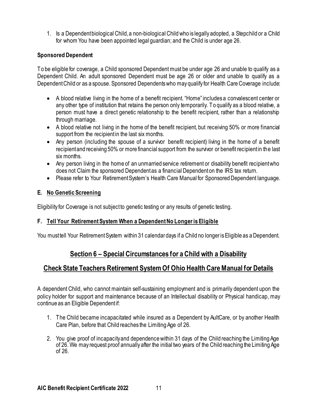1. Is a Dependent biological Child, a non-biological Child who is legally adopted, a Stepchild or a Child for whom You have been appointed legal guardian; and the Child is under age 26.

### **Sponsored Dependent**

To be eligible for coverage, a Child sponsored Dependent must be under age 26 and unable to qualify as a Dependent Child. An adult sponsored Dependent must be age 26 or older and unable to qualify as a Dependent Child or as a spouse. Sponsored Dependents who may qualify for Health Care Coverage include:

- A blood relative living in the home of a benefit recipient. "Home" includes a convalescent center or any other type of institution that retains the person only temporarily. To qualify as a blood relative, a person must have a direct genetic relationship to the benefit recipient, rather than a relationship through marriage.
- A blood relative not living in the home of the benefit recipient, but receiving 50% or more financial support from the recipient in the last six months.
- Any person (including the spouse of a survivor benefit recipient) living in the home of a benefit recipient and receiving 50% or more financial support from the survivor or benefit recipient in the last six months.
- Any person living in the home of an unmarried service retirement or disability benefit recipient who does not Claim the sponsored Dependent as a financial Dependent on the IRS tax return.
- Please refer to Your Retirement System's Health Care Manual for Sponsored Dependent language.

### **E. No Genetic Screening**

Eligibility for Coverage is not subject to genetic testing or any results of genetic testing.

### **F. Tell Your Retirement System When a Dependent No Longer is Eligible**

<span id="page-10-0"></span>You must tell Your Retirement System within 31 calendar days if a Child no longer is Eligible as a Dependent.

### **Section 6 – Special Circumstances for a Child with a Disability**

### <span id="page-10-1"></span>**Check State Teachers Retirement System Of Ohio Health Care Manual for Details**

A dependent Child, who cannot maintain self-sustaining employment and is primarily dependent upon the policy holder for support and maintenance because of an Intellectual disability or Physical handicap, may continue as an Eligible Dependent if:

- 1. The Child became incapacitated while insured as a Dependent by AultCare, or by another Health Care Plan, before that Child reaches the Limiting Age of 26.
- 2. You give proof of incapacityand dependence within 31 days of the Child reaching the Limiting Age of 26. We may request proof annually after the initial two years of the Child reaching the Limiting Age of 26.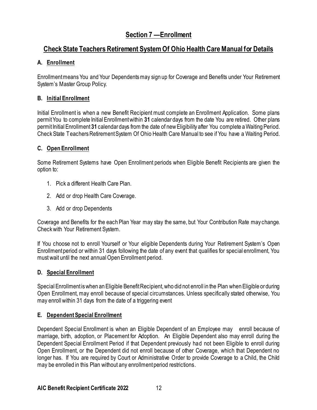# **Section 7 —Enrollment**

# <span id="page-11-1"></span><span id="page-11-0"></span>**Check State Teachers Retirement System Of Ohio Health Care Manual for Details**

### **A. Enrollment**

Enrollment means You and Your Dependents may sign up for Coverage and Benefits under Your Retirement System's Master Group Policy.

### **B. Initial Enrollment**

Initial Enrollment is when a new Benefit Recipient must complete an Enrollment Application. Some plans permit You to complete Initial Enrollment within **31** calendar days from the date You are retired. Other plans permit Initial Enrollment **31** calendar days from the date of new Eligibility after You complete a Waiting Period. CheckState Teachers Retirement System Of Ohio Health Care Manual to see if You have a Waiting Period.

### **C. Open Enrollment**

Some Retirement Systems have Open Enrollment periods when Eligible Benefit Recipients are given the option to:

- 1. Pick a different Health Care Plan.
- 2. Add or drop Health Care Coverage.
- 3. Add or drop Dependents

Coverage and Benefits for the each Plan Year may stay the same, but Your Contribution Rate may change. Check with Your Retirement System.

If You choose not to enroll Yourself or Your eligible Dependents during Your Retirement System's Open Enrollmentperiod or within 31 days following the date of any event that qualifies for special enrollment, You must wait until the next annual Open Enrollment period.

### **D. Special Enrollment**

Special Enrollment is when an Eligible Benefit Recipient, who did not enroll in the Plan when Eligible or during Open Enrollment, may enroll because of special circumstances. Unless specifically stated otherwise, You may enroll within 31 days from the date of a triggering event

### **E. Dependent Special Enrollment**

Dependent Special Enrollment is when an Eligible Dependent of an Employee may enroll because of marriage, birth, adoption, or Placement for Adoption. An Eligible Dependent also may enroll during the Dependent Special Enrollment Period if that Dependent previously had not been Eligible to enroll during Open Enrollment, or the Dependent did not enroll because of other Coverage, which that Dependent no longer has. If You are required by Court or Administrative Order to provide Coverage to a Child, the Child may be enrolled in this Plan without any enrollment period restrictions.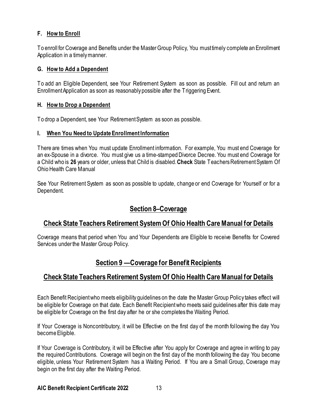### **F. How to Enroll**

To enroll for Coverage and Benefits under the Master Group Policy, You must timely complete an Enrollment Application in a timely manner.

### **G. How to Add a Dependent**

To add an Eligible Dependent, see Your Retirement System as soon as possible. Fill out and return an Enrollment Application as soon as reasonably possible after the Triggering Event.

### **H. How to Drop a Dependent**

To drop a Dependent, see Your Retirement System as soon as possible.

### **I. When You Need to Update Enrollment Information**

There are times when You must update Enrollment information. For example, You must end Coverage for an ex-Spouse in a divorce. You must give us a time-stamped Divorce Decree. You must end Coverage for a Child who is **26** years or older, unless that Child is disabled.**Check** State Teachers Retirement System Of **Ohio Health Care Manual** 

See Your Retirement System as soon as possible to update, change or end Coverage for Yourself or for a Dependent.

# **Section 8–Coverage**

### <span id="page-12-1"></span><span id="page-12-0"></span>**Check State Teachers Retirement System Of Ohio Health Care Manual for Details**

Coverage means that period when You and Your Dependents are Eligible to receive Benefits for Covered Services under the Master Group Policy.

# **Section 9 —Coverage for Benefit Recipients**

# <span id="page-12-3"></span><span id="page-12-2"></span>**Check State Teachers Retirement System Of Ohio Health Care Manual for Details**

Each Benefit Recipient who meets eligibility guidelines on the date the Master Group Policy takes effect will be eligible for Coverage on that date. Each Benefit Recipientwho meets said guidelines after this date may be eligible for Coverage on the first day after he or she completes the Waiting Period.

If Your Coverage is Noncontributory, it will be Effective on the first day of the month following the day You become Eligible.

If Your Coverage is Contributory, it will be Effective after You apply for Coverage and agree in writing to pay the required Contributions. Coverage will begin on the first day of the month following the day You become eligible, unless Your Retirement System has a Waiting Period. If You are a Small Group, Coverage may begin on the first day after the Waiting Period.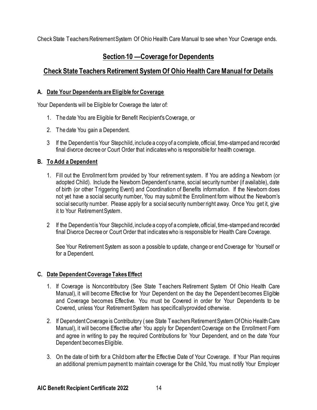<span id="page-13-0"></span>CheckState Teachers Retirement System Of Ohio Health Care Manual to see when Your Coverage ends.

# **Section 10 —Coverage for Dependents**

# <span id="page-13-1"></span>**Check State Teachers Retirement System Of Ohio Health Care Manual for Details**

### **A. Date Your Dependents are Eligible for Coverage**

Your Dependents will be Eligible for Coverage the later of:

- 1. The date You are Eligible for Benefit Recipient's Coverage, or
- 2. The date You gain a Dependent.
- 3 If the Dependent is Your Stepchild, include a copy of a complete, official, time-stamped and recorded final divorce decree or Court Order that indicates who is responsible for health coverage.

### **B. To Add a Dependent**

- 1. Fill out the Enrollment form provided by Your retirement system. If You are adding a Newborn (or adopted Child). Include the Newborn Dependent's name, social security number (if available), date of birth (or other Triggering Event) and Coordination of Benefits information. If the Newborn does not yet have a social security number, You may submit the Enrollment form without the Newborn's social security number. Please apply for a social security number right away. Once You get it, give it to Your Retirement System.
- 2 If the Dependent is Your Stepchild, include a copy of a complete, official, time-stamped and recorded final Divorce Decree or Court Order that indicates who is responsible for Health Care Coverage.

See Your Retirement System as soon a possible to update, change or end Coverage for Yourself or for a Dependent.

### **C. Date Dependent Coverage Takes Effect**

- 1. If Coverage is Noncontributory (See State Teachers Retirement System Of Ohio Health Care Manual), it will become Effective for Your Dependent on the day the Dependent becomes Eligible and Coverage becomes Effective. You must be Covered in order for Your Dependents to be Covered, unless Your Retirement System has specifically provided otherwise.
- 2. If Dependent Coverage is Contributory ( see State Teachers Retirement System Of Ohio Health Care Manual), it will become Effective after You apply for Dependent Coverage on the Enrollment Form and agree in writing to pay the required Contributions for Your Dependent, and on the date Your Dependent becomes Eligible.
- 3. On the date of birth for a Child born after the Effective Date of Your Coverage. If Your Plan requires an additional premium payment to maintain coverage for the Child, You must notify Your Employer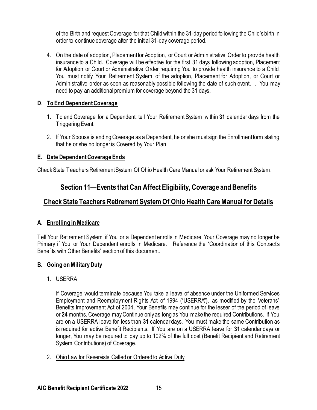of the Birth and request Coverage for that Child within the 31-day period following the Child's birth in order to continue coverage after the initial 31-day coverage period.

4. On the date of adoption, Placement for Adoption, or Court or Administrative Order to provide health insurance to a Child. Coverage will be effective for the first 31 days following adoption, Placement for Adoption or Court or Administrative Order requiring You to provide health insurance to a Child. You must notify Your Retirement System of the adoption, Placement for Adoption, or Court or Administrative order as soon as reasonably possible following the date of such event. . You may need to pay an additional premium for coverage beyond the 31 days.

### **D**. **To End Dependent Coverage**

- 1. To end Coverage for a Dependent, tell Your Retirement System within **31** calendar days from the Triggering Event.
- 2. If Your Spouse is ending Coverage as a Dependent, he or she must sign the Enrollment form stating that he or she no longer is Covered by Your Plan

### **E. Date Dependent Coverage Ends**

<span id="page-14-0"></span>CheckState Teachers Retirement System Of Ohio Health Care Manual or ask Your Retirement System.

# **Section 11—Events that Can Affect Eligibility, Coverage and Benefits**

### <span id="page-14-1"></span>**Check State Teachers Retirement System Of Ohio Health Care Manual for Details**

### **A**. **Enrolling in Medicare**

Tell Your Retirement System if You or a Dependent enrolls in Medicare. Your Coverage may no longer be Primary if You or Your Dependent enrolls in Medicare. Reference the 'Coordination of this Contract's Benefits with Other Benefits' section of this document.

### **B. Going on Military Duty**

### 1. USERRA

If Coverage would terminate because You take a leave of absence under the Uniformed Services Employment and Reemployment Rights Act of 1994 ("USERRA"), as modified by the Veterans' Benefits Improvement Act of 2004, Your Benefits may continue for the lesser of the period of leave or **24** months. Coverage may Continue only as long as You make the required Contributions. If You are on a USERRA leave for less than **31** calendar days, You must make the same Contribution as is required for active Benefit Recipients. If You are on a USERRA leave for **31** calendar days or longer, You may be required to pay up to 102% of the full cost (Benefit Recipient and Retirement System Contributions) of Coverage.

2. Ohio Law for Reservists Called or Ordered to Active Duty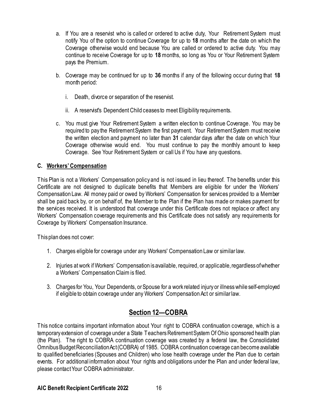- a. If You are a reservist who is called or ordered to active duty, Your Retirement System must notify You of the option to continue Coverage for up to **18** months after the date on which the Coverage otherwise would end because You are called or ordered to active duty. You may continue to receive Coverage for up to **18** months, so long as You or Your Retirement System pays the Premium.
- b. Coverage may be continued for up to **36** months if any of the following occur during that **18** month period:
	- i. Death, divorce or separation of the reservist.
	- ii. A reservist's Dependent Child ceases to meet Eligibility requirements.
- c. You must give Your Retirement System a written election to continue Coverage. You may be required to pay the Retirement System the first payment. Your Retirement System must receive the written election and payment no later than **31** calendar days after the date on which Your Coverage otherwise would end. You must continue to pay the monthly amount to keep Coverage. See Your Retirement System or call Us if You have any questions.

### **C. Workers' Compensation**

This Plan is not a Workers' Compensation policy and is not issued in lieu thereof. The benefits under this Certificate are not designed to duplicate benefits that Members are eligible for under the Workers' Compensation Law. All money paid or owed by Workers' Compensation for services provided to a Member shall be paid back by, or on behalf of, the Member to the Plan if the Plan has made or makes payment for the services received. It is understood that coverage under this Certificate does not replace or affect any Workers' Compensation coverage requirements and this Certificate does not satisfy any requirements for Coverage by Workers' Compensation Insurance.

This plan does not cover:

- 1. Charges eligible for coverage under any Workers' Compensation Law or similar law.
- 2. Injuries at work if Workers' Compensation is available, required, or applicable, regardless of whether a Workers' Compensation Claim is filed.
- 3. Charges for You, Your Dependents, or Spouse for a work related injury or illness while self-employed if eligible to obtain coverage under any Workers' Compensation Act or similar law.

# **Section 12—COBRA**

<span id="page-15-0"></span>This notice contains important information about Your right to COBRA continuation coverage, which is a temporary extension of coverage under a State Teachers Retirement System Of Ohio sponsored health plan (the Plan). The right to COBRA continuation coverage was created by a federal law, the Consolidated Omnibus Budget Reconciliation Act (COBRA) of 1985. COBRA continuation coverage can become available to qualified beneficiaries (Spouses and Children) who lose health coverage under the Plan due to certain events. For additional information about Your rights and obligations under the Plan and under federal law, please contact Your COBRA administrator.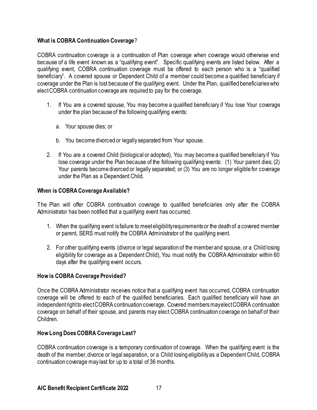### **What is COBRA Continuation Coverage**?

COBRA continuation coverage is a continuation of Plan coverage when coverage would otherwise end because of a life event known as a "qualifying event". Specific qualifying events are listed below. After a qualifying event, COBRA continuation coverage must be offered to each person who is a "qualified beneficiary". A covered spouse or Dependent Child of a member could become a qualified beneficiary if coverage under the Plan is lost because of the qualifying event. Under the Plan, qualified beneficiaries who elect COBRA continuation coverage are required to pay for the coverage.

- 1. If You are a covered spouse, You may become a qualified beneficiary if You lose Your coverage under the plan because of the following qualifying events:
	- a. Your spouse dies; or
	- b. You become divorced or legally separated from Your spouse.
- 2. If You are a covered Child (biological or adopted), You may become a qualified beneficiary if You lose coverage under the Plan because of the following qualifying events: (1) Your parent dies; (2) Your parents become divorced or legally separated; or (3) You are no longer eligible for coverage under the Plan as a Dependent Child.

### **When is COBRA Coverage Available?**

The Plan will offer COBRA continuation coverage to qualified beneficiaries only after the COBRA Administrator has been notified that a qualifying event has occurred.

- 1. When the qualifying event is failure to meet eligibility requirements or the death of a covered member or parent, SERS must notify the COBRA Administrator of the qualifying event.
- 2. For other qualifying events (divorce or legal separation of the member and spouse, or a Child losing eligibility for coverage as a Dependent Child), You must notify the COBRA Administrator within 60 days after the qualifying event occurs.

### **How is COBRA Coverage Provided?**

Once the COBRA Administrator receives notice that a qualifying event has occurred, COBRA continuation coverage will be offered to each of the qualified beneficiaries. Each qualified beneficiary will have an independent right to elect COBRA continuation coverage. Covered members may elect COBRA continuation coverage on behalf of their spouse, and parents may elect COBRA continuation coverage on behalf of their Children.

### **How Long Does COBRA Coverage Last?**

COBRA continuation coverage is a temporary continuation of coverage. When the qualifying event is the death of the member, divorce or legal separation, or a Child losing eligibility as a Dependent Child, COBRA continuation coverage may last for up to a total of 36 months.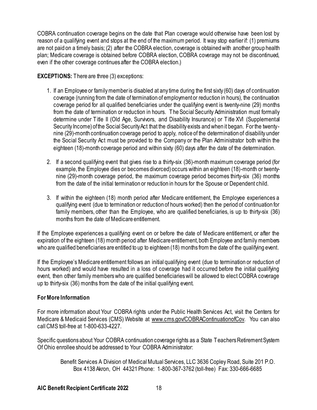COBRA continuation coverage begins on the date that Plan coverage would otherwise have been lost by reason of a qualifying event and stops at the end of the maximum period. It way stop earlier if: (1) premiums are not paid on a timely basis; (2) after the COBRA election, coverage is obtained with another group health plan; Medicare coverage is obtained before COBRA election, COBRA coverage may not be discontinued, even if the other coverage continues after the COBRA election.)

### **EXCEPTIONS:** There are three (3) exceptions:

- 1. If an Employee or family member is disabled at any time during the first sixty (60) days of continuation coverage (running from the date of termination of employment or reduction in hours), the continuation coverage period for all qualified beneficiaries under the qualifying event is twenty-nine (29) months from the date of termination or reduction in hours. The Social Security Administration must formally determine under Title II (Old Age, Survivors, and Disability Insurance) or Title XVI (Supplemental Security Income) of the Social Security Act that the disability exists and when it began. For the twentynine (29)-month continuation coverage period to apply, notice of the determination of disability under the Social Security Act must be provided to the Company or the Plan Administrator both within the eighteen (18)-month coverage period and within sixty (60) days after the date of the determination.
- 2. If a second qualifying event that gives rise to a thirty-six (36)-month maximum coverage period (for example, the Employee dies or becomes divorced) occurs within an eighteen (18)-month or twentynine (29)-month coverage period, the maximum coverage period becomes thirty-six (36) months from the date of the initial termination or reduction in hours for the Spouse or Dependent child.
- 3. If within the eighteen (18) month period after Medicare entitlement, the Employee experiences a qualifying event (due to termination or reduction of hours worked) then the period of continuation for family members, other than the Employee, who are qualified beneficiaries, is up to thirty-six (36) months from the date of Medicare entitlement.

If the Employee experiences a qualifying event on or before the date of Medicare entitlement, or after the expiration of the eighteen (18) month period after Medicare entitlement, both Employee and family members who are qualified beneficiaries are entitled to up to eighteen (18) months from the date of the qualifying event.

If the Employee's Medicare entitlement follows an initial qualifying event (due to termination or reduction of hours worked) and would have resulted in a loss of coverage had it occurred before the initial qualifying event, then other family members who are qualified beneficiaries will be allowed to elect COBRA coverage up to thirty-six (36) months from the date of the initial qualifying event.

### **For More Information**

For more information about Your COBRA rights under the Public Health Services Act, visit the Centers for Medicare & Medicaid Services (CMS) Website at [www.cms.gov/COBRAContinuationofCov.](http://www.cms.gov/COBRAContinuationofCov) You can also call CMS toll-free at 1-800-633-4227.

Specific questions about Your COBRA continuation coverage rights as a State Teachers Retirement System Of Ohio enrollee should be addressed to Your COBRA Administrator:

Benefit Services A Division of Medical Mutual Services, LLC 3636 Copley Road, Suite 201 P.O. Box 4138 Akron, OH 44321 Phone: 1-800-367-3762 (toll-free) Fax: 330-666-6685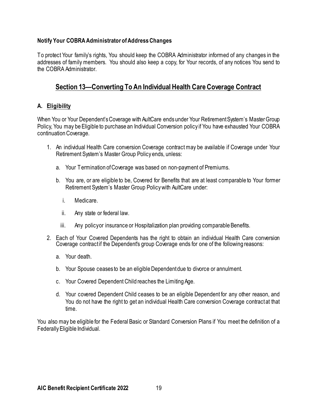### **Notify Your COBRA Administrator of Address Changes**

To protect Your family's rights, You should keep the COBRA Administrator informed of any changes in the addresses of family members. You should also keep a copy, for Your records, of any notices You send to the COBRA Administrator.

### <span id="page-18-0"></span>**Section 13—Converting To An Individual Health Care Coverage Contract**

### **A. Eligibility**

When You or Your Dependent's Coverage with AultCare ends under Your Retirement System's Master Group Policy, You may be Eligible to purchase an Individual Conversion policy if You have exhausted Your COBRA continuation Coverage.

- 1. An individual Health Care conversion Coverage contract may be available if Coverage under Your Retirement System's Master Group Policy ends, unless:
	- a. Your Termination of Coverage was based on non-payment of Premiums.
	- b. You are, or are eligible to be, Covered for Benefits that are at least comparable to Your former Retirement System's Master Group Policy with AultCare under:
		- i. Medicare.
		- ii. Any state or federal law.
		- iii. Any policy or insurance or Hospitalization plan providing comparable Benefits.
- 2. Each of Your Covered Dependents has the right to obtain an individual Health Care conversion Coverage contract if the Dependent's group Coverage ends for one of the following reasons:
	- a. Your death.
	- b. Your Spouse ceases to be an eligible Dependent due to divorce or annulment.
	- c. Your Covered Dependent Child reaches the Limiting Age.
	- d. Your covered Dependent Child ceases to be an eligible Dependent for any other reason, and You do not have the right to get an individual Health Care conversion Coverage contract at that time.

You also may be eligible for the Federal Basic or Standard Conversion Plans if You meet the definition of a Federally Eligible Individual.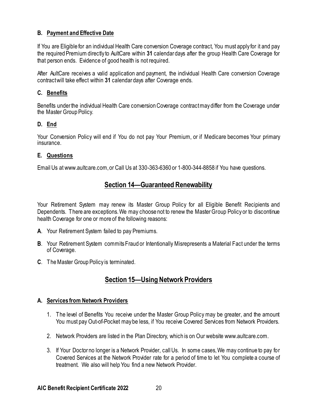### **B. Payment and Effective Date**

If You are Eligible for an individual Health Care conversion Coverage contract, You must apply for it and pay the required Premium directly to AultCare within **31** calendar days after the group Health Care Coverage for that person ends. Evidence of good health is not required.

After AultCare receives a valid application and payment, the individual Health Care conversion Coverage contract will take effect within **31** calendar days after Coverage ends.

### **C. Benefits**

Benefits under the individual Health Care conversion Coverage contract may differ from the Coverage under the Master Group Policy.

### **D. End**

Your Conversion Policy will end if You do not pay Your Premium, or if Medicare becomes Your primary insurance.

### **E. Questions**

<span id="page-19-0"></span>Email Us at www.aultcare.com, or Call Us at 330-363-6360 or 1-800-344-8858 if You have questions.

### **Section 14—Guaranteed Renewability**

Your Retirement System may renew its Master Group Policy for all Eligible Benefit Recipients and Dependents. There are exceptions. We may choose not to renew the Master Group Policy or to discontinue health Coverage for one or more of the following reasons:

- **A**. Your Retirement System failed to pay Premiums.
- **B**. Your Retirement System commits Fraud or Intentionally Misrepresents a Material Fact under the terms of Coverage.
- <span id="page-19-1"></span>**C**. The Master Group Policy is terminated.

# **Section 15—Using Network Providers**

### **A. Services from Network Providers**

- 1. The level of Benefits You receive under the Master Group Policy may be greater, and the amount You must pay Out-of-Pocket may be less, if You receive Covered Services from Network Providers.
- 2. Network Providers are listed in the Plan Directory, which is on Our website www.aultcare.com.
- 3. If Your Doctor no longer is a Network Provider, call Us. In some cases, We may continue to pay for Covered Services at the Network Provider rate for a period of time to let You complete a course of treatment. We also will help You find a new Network Provider.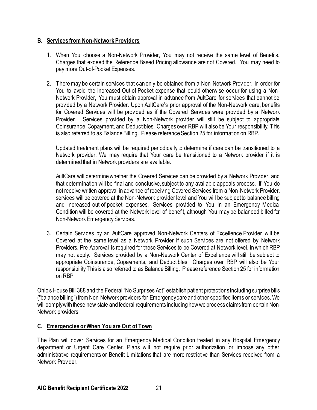### **B. Services from Non-Network Providers**

- 1. When You choose a Non-Network Provider, You may not receive the same level of Benefits. Charges that exceed the Reference Based Pricing allowance are not Covered. You may need to pay more Out-of-Pocket Expenses.
- 2. There may be certain services that can only be obtained from a Non-Network Provider. In order for You to avoid the increased Out-of-Pocket expense that could otherwise occur for using a Non-Network Provider, You must obtain approval in advance from AultCare for services that cannot be provided by a Network Provider. Upon AultCare's prior approval of the Non-Network care, benefits for Covered Services will be provided as if the Covered Services were provided by a Network Provider. Services provided by a Non-Network provider will still be subject to appropriate Coinsurance, Copayment, and Deductibles. Charges over RBP will also be Your responsibility. This is also referred to as Balance Billing. Please reference Section 25 for information on RBP.

Updated treatment plans will be required periodically to determine if care can be transitioned to a Network provider. We may require that Your care be transitioned to a Network provider if it is determined that in Network providers are available.

AultCare will determine whether the Covered Services can be provided by a Network Provider, and that determination will be final and conclusive, subject to any available appeals process. If You do not receive written approval in advance of receiving Covered Services from a Non-Network Provider, services will be covered at the Non-Network provider level and You will be subject to balance billing and increased out-of-pocket expenses. Services provided to You in an Emergency Medical Condition will be covered at the Network level of benefit, although You may be balanced billed for Non-Network Emergency Services.

3. Certain Services by an AultCare approved Non-Network Centers of Excellence Provider will be Covered at the same level as a Network Provider if such Services are not offered by Network Providers. Pre-Approval is required for these Services to be Covered at Network level, in which RBP may not apply. Services provided by a Non-Network Center of Excellence will still be subject to appropriate Coinsurance, Copayments, and Deductibles. Charges over RBP will also be Your responsibility This is also referred to as Balance Billing. Please reference Section 25 for information on RBP.

Ohio's House Bill 388 and the Federal "No Surprises Act" establish patient protections including surprise bills ("balance billing") from Non-Network providers for Emergency care and other specified items or services. We will comply with these new state and federal requirements including how we proc ess claims from certain Non-Network providers.

### **C. Emergencies or When You are Out of Town**

The Plan will cover Services for an Emergency Medical Condition treated in any Hospital Emergency department or Urgent Care Center. Plans will not require prior authorization or impose any other administrative requirements or Benefit Limitations that are more restrictive than Services received from a Network Provider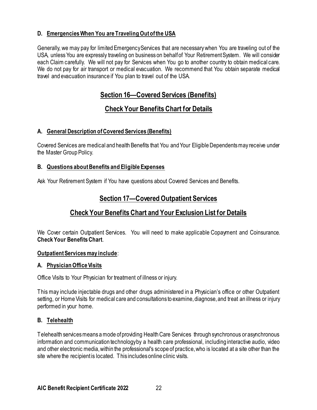### **D. Emergencies When You are Traveling Out of the USA**

Generally, we may pay for limited Emergency Services that are necessary when You are traveling out of the USA, unless You are expressly traveling on business on behalf of Your Retirement System. We will consider each Claim carefully. We will not pay for Services when You go to another country to obtain medical care. We do not pay for air transport or medical evacuation. We recommend that You obtain separate medical travel and evacuation insurance if You plan to travel out of the USA.

# **Section 16—Covered Services (Benefits)**

# **Check Your Benefits Chart for Details**

### <span id="page-21-1"></span><span id="page-21-0"></span>**A. General Description of Covered Services (Benefits)**

Covered Services are medical and health Benefits that You and Your Eligible Dependents may receive under the Master Group Policy.

### **B. Questions about Benefits and Eligible Expenses**

<span id="page-21-2"></span>Ask Your Retirement System if You have questions about Covered Services and Benefits.

# **Section 17—Covered Outpatient Services**

# **Check Your Benefits Chart and Your Exclusion List for Details**

<span id="page-21-3"></span>We Cover certain Outpatient Services. You will need to make applicable Copayment and Coinsurance. **Check Your Benefits Chart**.

### **Outpatient Services may include**:

### **A. Physician Office Visits**

Office Visits to Your Physician for treatment of illness or injury.

This may include injectable drugs and other drugs administered in a Physician's office or other Outpatient setting, or Home Visits for medical care and consultations to examine, diagnose, and treat an illness or injury performed in your home.

### **B. Telehealth**

Telehealth services means a mode of providing Health Care Services through synchronous or asynchronous information and communication technology by a health care professional, including interactive audio, video and other electronic media, within the professional's scope of practice, who is located at a site other than the site where the recipient is located. This includes online clinic visits.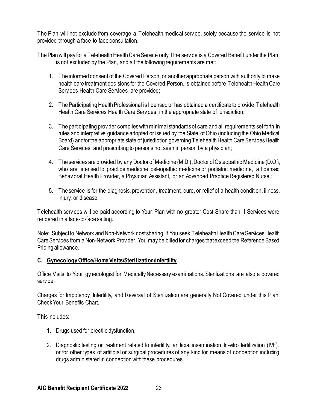The Plan will not exclude from coverage a Telehealth medical service, solely because the service is not provided through a face-to-face consultation.

The Plan will pay for a Telehealth Health Care Service only if the service is a Covered Benefit under the Plan, is not excluded by the Plan, and all the following requirements are met:

- 1. The informed consent of the Covered Person, or another appropriate person with authority to make health care treatment decisions for the Covered Person, is obtained before Telehealth Health Care Services Health Care Services are provided;
- 2. The Participating Health Professional is licensed or has obtained a certificate to provide Telehealth Health Care Services Health Care Services in the appropriate state of jurisdiction;
- 3. The participating provider complies with minimal standards of care and all requirements set forth in rules and interpretive guidance adopted or issued by the State of Ohio (including the Ohio Medical Board) and/or the appropriate state of jurisdiction governing Telehealth Health Care Services Health Care Services and prescribing to persons not seen in person by a physician;
- 4. The services are provided by any Doctor of Medicine (M.D.), Doctor of Osteopathic Medicine (D.O.), who are licensed to practice medicine, osteopathic medicine or podiatric medic ine, a licensed Behavioral Health Provider, a Physician Assistant, or an Advanced Practice Registered Nurse,;
- 5. The service is for the diagnosis, prevention, treatment, cure, or relief of a health condition, illness, injury, or disease.

Telehealth services will be paid according to Your Plan with no greater Cost Share than if Services were rendered in a face-to-face setting.

Note: Subject to Network and Non-Network cost sharing. If You seek Telehealth Health Care Services Health Care Services from a Non-Network Provider, You may be billed for charges that exceed the Reference Based Pricing allowance.

### **C. Gynecology Office/Home Visits/Sterilization/Infertility**

Office Visits to Your gynecologist for Medically Necessary examinations. Sterilizations are also a covered service.

Charges for Impotency, Infertility, and Reversal of Sterilization are generally Not Covered under this Plan. Check Your Benefits Chart.

This includes:

- 1. Drugs used for erectile dysfunction.
- 2. Diagnostic testing or treatment related to infertility, artificial insemination, In-vitro fertilization (IVF), or for other types of artificial or surgical procedures of any kind for means of conception including drugs administered in connection with these procedures.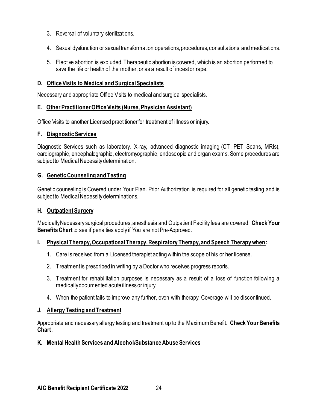- 3. Reversal of voluntary sterilizations.
- 4. Sexual dysfunction or sexual transformation operations, procedures, consultations, and medications.
- 5. Elective abortion is excluded. Therapeutic abortion is covered, which is an abortion performed to save the life or health of the mother, or as a result of incest or rape.

#### **D. Office Visits to Medical and Surgical Specialists**

Necessary and appropriate Office Visits to medical and surgical specialists.

#### **E. Other Practitioner Office Visits (Nurse, Physician Assistant)**

Office Visits to another Licensed practitioner for treatment of illness or injury.

#### **F. Diagnostic Services**

Diagnostic Services such as laboratory, X-ray, advanced diagnostic imaging (CT, PET Scans, MRIs), cardiographic, encephalographic, electromyographic, endoscopic and organ exams. Some procedures are subject to Medical Necessity determination.

#### **G. Genetic Counseling and Testing**

Genetic counseling is Covered under Your Plan. Prior Authorization is required for all genetic testing and is subject to Medical Necessity determinations.

#### **H. Outpatient Surgery**

Medically Necessary surgical procedures, anesthesia and Outpatient Facility fees are covered. **Check Your Benefits Chart** to see if penalties apply if You are not Pre-Approved.

#### **I. Physical Therapy, Occupational Therapy, Respiratory Therapy, and Speech Therapy when:**

- 1. Care is received from a Licensed therapist acting within the scope of his or her license.
- 2. Treatment is prescribed in writing by a Doctor who receives progress reports.
- 3. Treatment for rehabilitation purposes is necessary as a result of a loss of function following a medically documented acute illness or injury.
- 4. When the patient fails to improve any further, even with therapy, Coverage will be discontinued.

#### **J. Allergy Testing and Treatment**

Appropriate and necessary allergy testing and treatment up to the Maximum Benefit. **Check Your Benefits Chart** .

### **K. Mental Health Services and Alcohol/Substance Abuse Services**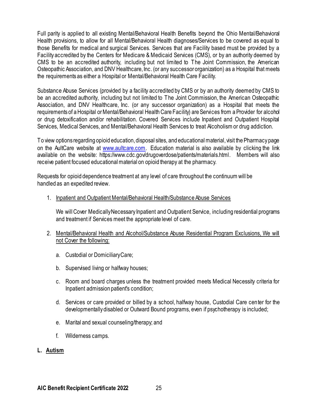Full parity is applied to all existing Mental/Behavioral Health Benefits beyond the Ohio Mental/Behavioral Health provisions, to allow for all Mental/Behavioral Health diagnoses/Services to be covered as equal to those Benefits for medical and surgical Services. Services that are Facility based must be provided by a Facility accredited by the Centers for Medicare & Medicaid Services (CMS), or by an authority deemed by CMS to be an accredited authority, including but not limited to The Joint Commission, the American Osteopathic Association, and DNV Healthcare, Inc. (or any successor organization) as a Hospital that meets the requirements as either a Hospital or Mental/Behavioral Health Care Facility.

Substance Abuse Services (provided by a facility accredited by CMS or by an authority deemed by CMS to be an accredited authority, including but not limited to The Joint Commission, the American Osteopathic Association, and DNV Healthcare, Inc. (or any successor organization) as a Hospital that meets the requirements of a Hospital or Mental/Behavioral Health Care Facility) are Services from a Provider for alcohol or drug detoxification and/or rehabilitation. Covered Services include Inpatient and Outpatient Hospital Services, Medical Services, and Mental/Behavioral Health Services to treat Alcoholism or drug addiction.

To view options regarding opioid education, disposal sites, and educational material, visit the Pharmacy page on the AultCare website at [www.aultcare.com](http://www.aultcare.com/). Education material is also available by clicking the link available on the website: [https://www.cdc.gov/drugoverdose/patients/materials.html.](https://www.cdc.gov/drugoverdose/patients/materials.html) Members will also receive patient focused educational material on opioid therapy at the pharmacy.

Requests for opioid dependence treatment at any level of care throughout the continuum will be handled as an expedited review.

1. Inpatient and Outpatient Mental/Behavioral Health/Substance Abuse Services

We will Cover Medically Necessary Inpatient and Outpatient Service, including residential programs and treatment if Services meet the appropriate level of care.

- 2. Mental/Behavioral Health and Alcohol/Substance Abuse Residential Program Exclusions, We will not Cover the following:
	- a. Custodial or Domiciliary Care;
	- b. Supervised living or halfway houses;
	- c. Room and board charges unless the treatment provided meets Medical Necessity criteria for Inpatient admission patient's condition;
	- d. Services or care provided or billed by a school, halfway house, Custodial Care center for the developmentally disabled or Outward Bound programs, even if psychotherapy is included;
	- e. Marital and sexual counseling/therapy; and
	- f. Wilderness camps.

### **L. Autism**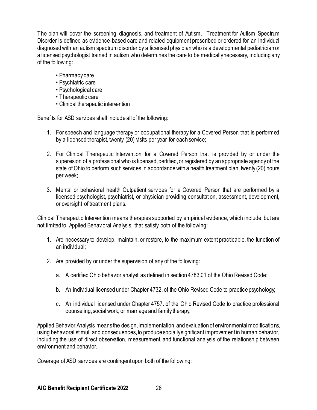The plan will cover the screening, diagnosis, and treatment of Autism. Treatment for Autism Spectrum Disorder is defined as evidence-based care and related equipment prescribed or ordered for an individual diagnosed with an autism spectrum disorder by a licensed physician who is a developmental pediatrician or a licensed psychologist trained in autism who determines the care to be medically necessary, including any of the following:

- Pharmacy care
- Psychiatric care
- Psychological care
- Therapeutic care
- Clinical therapeutic intervention

Benefits for ASD services shall include all of the following:

- 1. For speech and language therapy or occupational therapy for a Covered Person that is performed by a licensed therapist, twenty (20) visits per year for each service;
- 2. For Clinical Therapeutic Intervention for a Covered Person that is provided by or under the supervision of a professional who is licensed, certified, or registered by an appropriate agency of the state of Ohio to perform such services in accordance with a health treatment plan, twenty (20) hours per week;
- 3. Mental or behavioral health Outpatient services for a Covered Person that are performed by a licensed psychologist, psychiatrist, or physician providing consultation, assessment, development, or oversight of treatment plans.

Clinical Therapeutic Intervention means therapies supported by empirical evidence, which include, but are not limited to, Applied Behavioral Analysis, that satisfy both of the following:

- 1. Are necessary to develop, maintain, or restore, to the maximum extent practicable, the function of an individual;
- 2. Are provided by or under the supervision of any of the following:
	- a. A certified Ohio behavior analyst as defined in section 4783.01 of the Ohio Revised Code;
	- b. An individual licensed under Chapter 4732. of the Ohio Revised Code to practice psychology;
	- c. An individual licensed under Chapter 4757. of the Ohio Revised Code to practice professional counseling, social work, or marriage and family therapy.

Applied Behavior Analysis means the design, implementation, and evaluation of environmental modifications, using behavioral stimuli and consequences, to produce socially significant improvement in human behavior, including the use of direct observation, measurement, and functional analysis of the relationship between environment and behavior.

Coverage of ASD services are contingent upon both of the following: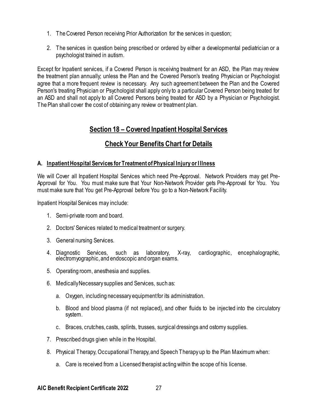- 1. The Covered Person receiving Prior Authorization for the services in question;
- 2. The services in question being prescribed or ordered by either a developmental pediatrician or a psychologist trained in autism.

Except for Inpatient services, if a Covered Person is receiving treatment for an ASD, the Plan may review the treatment plan annually; unless the Plan and the Covered Person's treating Physician or Psychologist agree that a more frequent review is necessary. Any such agreement between the Plan and the Covered Person's treating Physician or Psychologist shall apply only to a particular Covered Person being treated for an ASD and shall not apply to all Covered Persons being treated for ASD by a Physician or Psychologist. The Plan shall cover the cost of obtaining any review or treatment plan.

### **Section 18 – Covered Inpatient Hospital Services**

# **Check Your Benefits Chart for Details**

### <span id="page-26-1"></span><span id="page-26-0"></span>**A. Inpatient Hospital Services for Treatment of Physical Injury or Illness**

We will Cover all Inpatient Hospital Services which need Pre-Approval. Network Providers may get Pre-Approval for You. You must make sure that Your Non-Network Provider gets Pre-Approval for You. You must make sure that You get Pre-Approval before You go to a Non-Network Facility.

Inpatient Hospital Services may include:

- 1. Semi-private room and board.
- 2. Doctors' Services related to medical treatment or surgery.
- 3. General nursing Services.
- 4. Diagnostic Services, such as laboratory, X-ray, cardiographic, encephalographic, electromyographic, and endoscopic and organ exams.
- 5. Operating room, anesthesia and supplies.
- 6. Medically Necessary supplies and Services, such as:
	- a. Oxygen, including necessary equipment for its administration.
	- b. Blood and blood plasma (if not replaced), and other fluids to be injected into the circulatory system.
	- c. Braces, crutches, casts, splints, trusses, surgical dressings and ostomy supplies.
- 7. Prescribed drugs given while in the Hospital.
- 8. Physical Therapy, Occupational Therapy, and Speech Therapy up to the Plan Maximum when:
	- a. Care is received from a Licensed therapist acting within the scope of his license.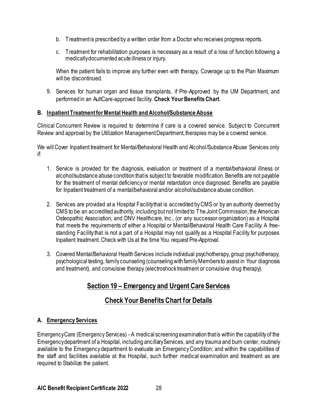- b. Treatment is prescribed by a written order from a Doctor who receives progress reports.
- c. Treatment for rehabilitation purposes is necessary as a result of a loss of function following a medically documented acute illness or injury.

When the patient fails to improve any further even with therapy, Coverage up to the Plan Maximum will be discontinued.

9. Services for human organ and tissue transplants, if Pre-Approved by the UM Department, and performed in an AultCare-approved facility. **Check Your Benefits Chart**.

### **B. Inpatient Treatment for Mental Health and Alcohol/Substance Abuse**

Clinical Concurrent Review is required to determine if care is a covered service. Subject to Concurrent Review and approval by the Utilization Management Department, therapies may be a covered service.

We will Cover Inpatient treatment for Mental/Behavioral Health and Alcohol/Substance Abuse Services only if:

- 1. Service is provided for the diagnosis, evaluation or treatment of a mental/behavioral illness or alcohol/substance abuse condition that is subject to favorable modification. Benefits are not payable for the treatment of mental deficiency or mental retardation once diagnosed. Benefits are payable for Inpatient treatment of a mental/behavioral and/or alcohol/substance abuse condition.
- 2. Services are provided at a Hospital Facility that is accredited by CMS or by an authority deemed by CMS to be an accredited authority, including but not limited to The Joint Commission, the American Osteopathic Association, and DNV Healthcare, Inc., (or any successor organization) as a Hospital that meets the requirements of either a Hospital or Mental/Behavioral Health Care Facility. A freestanding Facility that is not a part of a Hospital may not qualify as a Hospital Facility for purposes Inpatient treatment. Check with Us at the time You request Pre-Approval.
- <span id="page-27-0"></span>3. Covered Mental/Behavioral Health Services include individual psychotherapy, group psychotherapy, psychological testing, family counseling (counseling with family Members to assist in Your diagnosis and treatment), and convulsive therapy (electroshock treatment or convulsive drug therapy).

# **Section 19 – Emergency and Urgent Care Services**

# **Check Your Benefits Chart for Details**

### <span id="page-27-1"></span>**A. Emergency Services**

Emergency Care (Emergency Services) - A medical screening examination that is within the capability of the Emergency department of a Hospital, including ancillary Services, and any trauma and burn center, routinely available to the Emergency department to evaluate an Emergency Condition; and within the capabilities of the staff and facilities available at the Hospital, such further medical examination and treatment as are required to Stabilize the patient.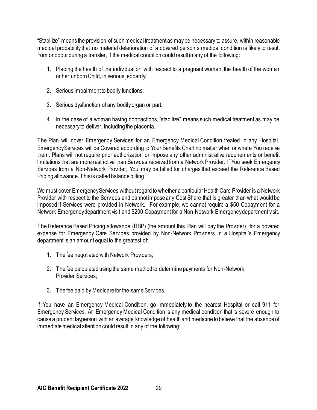"Stabilize" means the provision of such medical treatment as may be necessary to assure, within reasonable medical probability that no material deterioration of a covered person's medical condition is likely to result from or occur during a transfer, if the medical condition could result in any of the following:

- 1. Placing the health of the individual or, with respect to a pregnant woman, the health of the woman or her unborn Child, in serious jeopardy;
- 2. Serious impairment to bodily functions;
- 3. Serious dysfunction of any bodily organ or part.
- 4. In the case of a woman having contractions, "stabilize" means such medical treatment as may be necessary to deliver, including the placenta.

The Plan will cover Emergency Services for an Emergency Medical Condition treated in any Hospital. Emergency Services will be Covered according to Your Benefits Chart no matter when or where You receive them. Plans will not require prior authorization or impose any other administrative requirements or benefit limitations that are more restrictive than Services received from a Network Provider. If You seek Emergency Services from a Non-Network Provider, You may be billed for charges that exceed the Reference Based Pricing allowance. This is called balance billing.

We must cover Emergency Services without regard to whether a particular Health Care Provider is a Network Provider with respect to the Services and cannot impose any Cost Share that is greater than what would be imposed if Services were provided in Network. For example, we cannot require a \$50 Copayment for a Network Emergency department visit and \$200 Copayment for a Non-Network Emergency department visit.

The Reference Based Pricing allowance (RBP) (the amount this Plan will pay the Provider) for a covered expense for Emergency Care Services provided by Non-Network Providers in a Hospital's Emergency department is an amount equal to the greatest of:

- 1. The fee negotiated with Network Providers;
- 2. The fee calculated using the same method to determine payments for Non-Network Provider Services:
- 3. The fee paid by Medicare for the same Services.

If You have an Emergency Medical Condition, go immediately to the nearest Hospital or call 911 for Emergency Services. An Emergency Medical Condition is any medical condition that is severe enough to cause a prudent layperson with an average knowledge of health and medicine to believe that the absence of immediate medical attention could result in any of the following: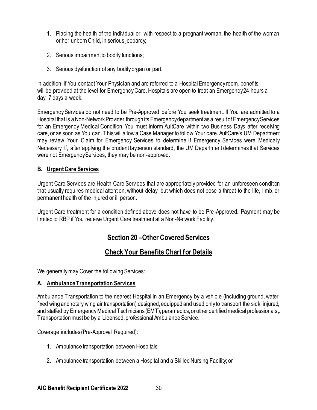- 1. Placing the health of the individual or, with respect to a pregnant woman, the health of the woman or her unborn Child, in serious jeopardy;
- 2. Serious impairment to bodily functions;
- 3. Serious dysfunction of any bodily organ or part.

In addition, if You contact Your Physician and are referred to a Hospital Emergency room, benefits will be provided at the level for Emergency Care. Hospitals are open to treat an Emergency 24 hours a day, 7 days a week.

Emergency Services do not need to be Pre-Approved before You seek treatment. If You are admitted to a Hospital that is a Non-Network Provider through its Emergency department as a result of Emergency Services for an Emergency Medical Condition, You must inform AultCare within two Business Days after receiving care, or as soon as You can. This will allow a Case Manager to follow Your care. AultCare's UM Department may review Your Claim for Emergency Services to determine if Emergency Services were Medically Necessary. If, after applying the prudent layperson standard, the UM Department determines that Services were not Emergency Services, they may be non-approved.

### **B. Urgent Care Services**

Urgent Care Services are Health Care Services that are appropriately provided for an unforeseen condition that usually requires medical attention, without delay, but which does not pose a threat to the life, limb, or permanent health of the injured or ill person.

<span id="page-29-0"></span>Urgent Care treatment for a condition defined above does not have to be Pre-Approved. Payment may be limited to RBP if You receive Urgent Care treatment at a Non-Network Facility.

### **Section 20 –Other Covered Services**

### **Check Your Benefits Chart for Details**

<span id="page-29-1"></span>We generally may Cover the following Services:

#### **A. Ambulance Transportation Services**

Ambulance Transportation to the nearest Hospital in an Emergency by a vehicle (including ground, water, fixed wing and rotary wing air transportation) designed, equipped and used only to transport the sick, injured, and staffed by Emergency Medical Technicians (EMT), paramedics, or other certified medical professionals,. Transportation must be by a Licensed, professional Ambulance Service.

Coverage includes (Pre-Approval Required):

- 1. Ambulance transportation between Hospitals
- 2. Ambulance transportation between a Hospital and a Skilled Nursing Facility; or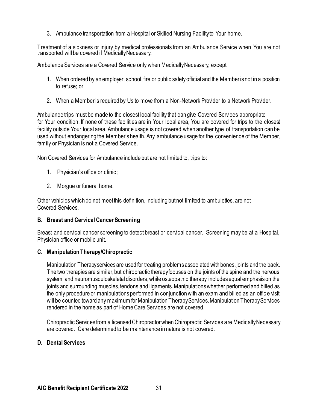3. Ambulance transportation from a Hospital or Skilled Nursing Facility to Your home.

Treatment of a sickness or injury by medical professionals from an Ambulance Service when You are not transported will be covered if Medically Necessary.

Ambulance Services are a Covered Service only when Medically Necessary, except:

- 1. When ordered by an employer, school, fire or public safety official and the Member is not in a position to refuse; or
- 2. When a Member is required by Us to move from a Non-Network Provider to a Network Provider.

Ambulance trips must be made to the closest local facility that can give Covered Services appropriate for Your condition. If none of these facilities are in Your local area, You are covered for trips to the closest facility outside Your local area. Ambulance usage is not covered when another type of transportation can be used without endangering the Member's health. Any ambulance usage for the convenience of the Member, family or Physician is not a Covered Service.

Non Covered Services for Ambulance include but are not limited to, trips to:

- 1. Physician's office or clinic;
- 2. Morgue or funeral home.

Other vehicles which do not meet this definition, including but not limited to ambulettes, are not Covered Services.

### **B. Breast and Cervical Cancer Screening**

Breast and cervical cancer screening to detect breast or cervical cancer. Screening may be at a Hospital, Physician office or mobile unit.

### **C. Manipulation Therapy/Chiropractic**

Manipulation Therapy services are used for treating problems associated with bones, joints and the back. The two therapies are similar, but chiropractic therapy focuses on the joints of the spine and the nervous system and neuromusculoskeletal disorders, while osteopathic therapy includes equal emphasis on the joints and surrounding muscles, tendons and ligaments. Manipulations whether performed and billed as the only procedure or manipulations performed in conjunction with an exam and billed as an offic e visit will be counted toward any maximum for Manipulation Therapy Services. Manipulation Therapy Services rendered in the home as part of Home Care Services are not covered.

Chiropractic Services from a licensed Chiropractor when Chiropractic Services are Medically Necessary are covered. Care determined to be maintenance in nature is not covered.

### **D. Dental Services**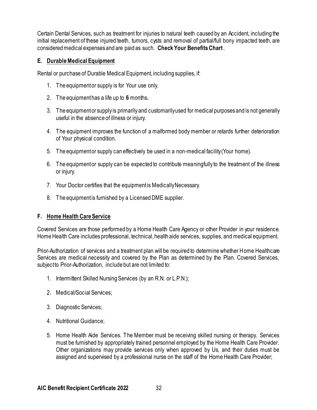Certain Dental Services, such as treatment for injuries to natural teeth caused by an Accident, including the initial replacement of these injured teeth, tumors, cysts and removal of partial/full bony impacted teeth, are considered medical expenses and are paid as such. **Check Your Benefits Chart** .

### **E. Durable Medical Equipment**

Rental or purchase of Durable Medical Equipment, including supplies, if:

- 1. The equipment or supply is for Your use only.
- 2. The equipment has a life up to **6** months**.**
- 3. The equipment or supply is primarily and customarily used for medical purposes and is not generally useful in the absence of illness or injury.
- 4. The equipment improves the function of a malformed body member or retards further deterioration of Your physical condition.
- 5. The equipment or supply can effectively be used in a non-medical facility (Your home).
- 6. The equipment or supply can be expected to contribute meaningfully to the treatment of the illness or injury.
- 7. Your Doctor certifies that the equipment is Medically Necessary.
- 8. The equipment is furnished by a Licensed DME supplier.

### **F. Home Health Care Service**

Covered Services are those performed by a Home Health Care Agency or other Provider in your residence. Home Health Care includes professional, technical, health aide services, supplies, and medical equipment.

Prior-Authorization of services and a treatment plan will be required to determine whether Home Healthcare Services are medical necessity and covered by the Plan as determined by the Plan. Covered Services, subject to Prior-Authorization, include but are not limited to:

- 1. Intermittent Skilled Nursing Services (by an R.N. or L.P.N.);
- 2. Medical/Social Services;
- 3. Diagnostic Services;
- 4. Nutritional Guidance;
- 5. Home Health Aide Services. The Member must be receiving skilled nursing or therapy. Services must be furnished by appropriately trained personnel employed by the Home Health Care Provider. Other organizations may provide services only when approved by Us, and their duties must be assigned and supervised by a professional nurse on the staff of the Home Health Care Provider;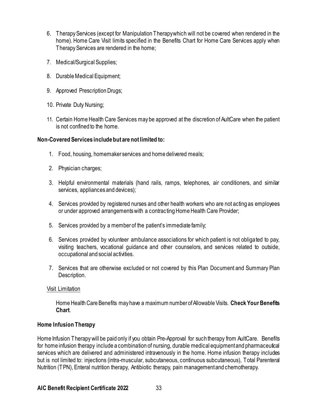- 6. Therapy Services (except for Manipulation Therapy which will not be covered when rendered in the home). Home Care Visit limits specified in the Benefits Chart for Home Care Services apply when Therapy Services are rendered in the home;
- 7. Medical/Surgical Supplies;
- 8. Durable Medical Equipment;
- 9. Approved Prescription Drugs;
- 10. Private Duty Nursing;
- 11. Certain Home Health Care Services may be approved at the discretion of AultCare when the patient is not confined to the home.

#### **Non-Covered Services include but are not limited to:**

- 1. Food, housing, homemaker services and home delivered meals;
- 2. Physician charges;
- 3. Helpful environmental materials (hand rails, ramps, telephones, air conditioners, and similar services, appliances and devices);
- 4. Services provided by registered nurses and other health workers who are not acting as employees or under approved arrangements with a contracting Home Health Care Provider;
- 5. Services provided by a member of the patient's immediate family;
- 6. Services provided by volunteer ambulance associations for which patient is not obligated to pay, visiting teachers, vocational guidance and other counselors, and services related to outside, occupational and social activities.
- 7. Services that are otherwise excluded or not covered by this Plan Document and Summary Plan Description.

#### Visit Limitation

Home Health Care Benefits may have a maximum number of Allowable Visits. **Check Your Benefits Chart**.

### **Home Infusion Therapy**

Home Infusion Therapy will be paid only if you obtain Pre-Approval for such therapy from AultCare. Benefits for home infusion therapy include a combination of nursing, durable medical equipment and pharmaceutical services which are delivered and administered intravenously in the home. Home infusion therapy includes but is not limited to: injections (intra-muscular, subcutaneous, continuous subcutaneous), Total Parenteral Nutrition (TPN), Enteral nutrition therapy, Antibiotic therapy, pain management and chemotherapy.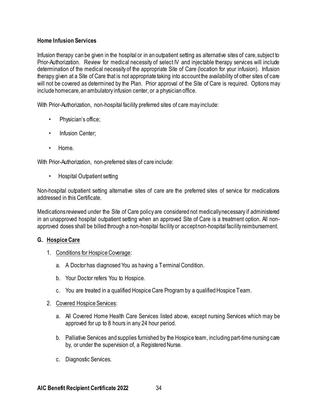### **Home Infusion Services**

Infusion therapy can be given in the hospital or in an outpatient setting as alternative sites of care, subject to Prior-Authorization. Review for medical necessity of select IV and injectable therapy services will include determination of the medical necessity of the appropriate Site of Care (location for your infusion). Infusion therapy given at a Site of Care that is not appropriate taking into account the availability of other sites of care will not be covered as determined by the Plan. Prior approval of the Site of Care is required. Options may include homecare, an ambulatory infusion center, or a physician office.

With Prior-Authorization, non-hospital facility preferred sites of care may include:

- Physician's office;
- Infusion Center:
- Home.

With Prior-Authorization, non-preferred sites of care include:

• Hospital Outpatient setting

Non-hospital outpatient setting alternative sites of care are the preferred sites of service for medications addressed in this Certificate.

Medications reviewed under the Site of Care policy are considered not medically necessary if administered in an unapproved hospital outpatient setting when an approved Site of Care is a treatment option. All nonapproved doses shall be billed through a non-hospital facility or accept non-hospital facility reimbursement.

### **G. Hospice Care**

- 1. Conditions for Hospice Coverage:
	- a. A Doctor has diagnosed You as having a Terminal Condition.
	- b. Your Doctor refers You to Hospice.
	- c. You are treated in a qualified Hospice Care Program by a qualified Hospice Team.
- 2. Covered Hospice Services:
	- a. All Covered Home Health Care Services listed above, except nursing Services which may be approved for up to 8 hours in any 24 hour period.
	- b. Palliative Services and supplies furnished by the Hospice team, including part-time nursing care by, or under the supervision of, a Registered Nurse.
	- c. Diagnostic Services.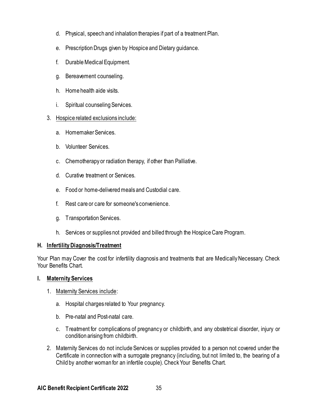- d. Physical, speech and inhalation therapies if part of a treatment Plan.
- e. Prescription Drugs given by Hospice and Dietary guidance.
- f. Durable Medical Equipment.
- g. Bereavement counseling.
- h. Home health aide visits.
- i. Spiritual counseling Services.

### 3. Hospice related exclusions include:

- a. Homemaker Services.
- b. Volunteer Services.
- c. Chemotherapy or radiation therapy, if other than Palliative.
- d. Curative treatment or Services.
- e. Food or home-delivered meals and Custodial care.
- f. Rest care or care for someone's convenience.
- g. Transportation Services.
- h. Services or supplies not provided and billed through the Hospice Care Program.

### **H. Infertility Diagnosis/Treatment**

Your Plan may Cover the cost for infertility diagnosis and treatments that are Medically Necessary. Check Your Benefits Chart.

### **I. Maternity Services**

- 1. Maternity Services include:
	- a. Hospital charges related to Your pregnancy.
	- b. Pre-natal and Post-natal care.
	- c. Treatment for complications of pregnancy or childbirth, and any obstetrical disorder, injury or condition arising from childbirth.
- 2. Maternity Services do not include Services or supplies provided to a person not covered under the Certificate in connection with a surrogate pregnancy (including, but not limited to, the bearing of a Child by another woman for an infertile couple).Check Your Benefits Chart.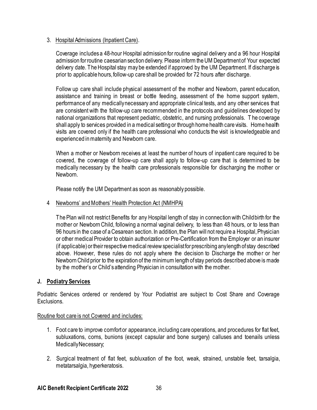### 3. Hospital Admissions (Inpatient Care).

Coverage includes a 48-hour Hospital admission for routine vaginal delivery and a 96 hour Hospital admission for routine caesarian section delivery. Please inform the UM Department of Your expected delivery date. The Hospital stay may be extended if approved by the UM Department. If discharge is prior to applicable hours, follow-up care shall be provided for 72 hours after discharge.

Follow up care shall include physical assessment of the mother and Newborn, parent education, assistance and training in breast or bottle feeding, assessment of the home support system, performance of any medicallynecessary and appropriate clinical tests, and any other services that are consistent with the follow-up care recommended in the protocols and guidelines developed by national organizations that represent pediatric, obstetric, and nursing professionals. T he coverage shall apply to services provided in a medical setting or through home health care visits. Home health visits are covered only if the health care professional who conducts the visit is knowledgeable and experienced in maternity and Newborn care.

When a mother or Newborn receives at least the number of hours of inpatient care required to be covered, the coverage of follow-up care shall apply to follow-up care that is determined to be medically necessary by the health care professionals responsible for discharging the mother or Newborn.

Please notify the UM Department as soon as reasonably possible.

#### 4 Newborns' and Mothers' Health Protection Act (NMHPA)

The Plan will not restrict Benefits for any Hospital length of stay in connection with Childbirth for the mother or Newborn Child, following a normal vaginal delivery, to less than 48 hours, or to less than 96 hours in the case of a Cesarean section. In addition, the Plan will not require a Hospital, Physician or other medical Provider to obtain authorization or Pre-Certification from the Employer or an insurer (if applicable) or their respective medical review specialist for prescribing any length of stay described above. However, these rules do not apply where the decision to Discharge the mother or her Newborn Child prior to the expiration of the minimum length of stay periods described above is made by the mother's or Child's attending Physician in consultation with the mother.

### **J. Podiatry Services**

Podiatric Services ordered or rendered by Your Podiatrist are subject to Cost Share and Coverage Exclusions.

### Routine foot care is not Covered and includes:

- 1. Foot care to improve comfort or appearance, including care operations, and procedures for flat feet, subluxations, corns, bunions (except capsular and bone surgery) calluses and toenails unless Medically Necessary;
- 2. Surgical treatment of flat feet, subluxation of the foot, weak, strained, unstable feet, tarsalgia, metatarsalgia, hyperkeratosis.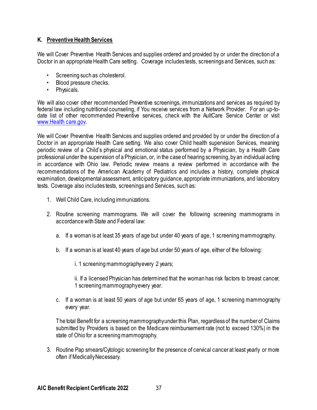### **K. Preventive Health Services**

We will Cover Preventive Health Services and supplies ordered and provided by or under the direction of a Doctor in an appropriate Health Care setting. Coverage includes tests, screenings and Services, such as:

- Screening such as cholesterol.
- Blood pressure checks.
- Physicals.

We will also cover other recommended Preventive screenings, immunizations and services as required by federal law including nutritional counseling, if You receive services from a Network Provider. For an up-todate list of other recommended Preventive services, check with the AultCare Service Center or visit [www.Health care.gov.](http://www.healthcare.gov/)

We will Cover Preventive Health Services and supplies ordered and provided by or under the direction of a Doctor in an appropriate Health Care setting. We also cover Child health supervision Services, meaning periodic review of a Child's physical and emotional status performed by a Physician, by a Health Care professional under the supervision of a Physician, or, in the case of hearing screening, by an individual acting in accordance with Ohio law. Periodic review means a review performed in accordance with the recommendations of the American Academy of Pediatrics and includes a history, complete physical examination, developmental assessment, anticipatory guidance, appropriate immunizations, and laboratory tests. Coverage also includes tests, screenings and Services, such as:

- 1. Well Child Care, including immunizations.
- 2. Routine screening mammograms. We will cover the following screening mammograms in accordance with State and Federal law:
	- a. If a woman is at least 35 years of age but under 40 years of age, 1 screening mammography.
	- b. If a woman is at least 40 years of age but under 50 years of age, either of the following:

i. 1 screening mammography every 2 years;

ii. If a licensed Physician has determined that the woman has risk factors to breast cancer, 1 screening mammography every year.

c. If a woman is at least 50 years of age but under 65 years of age, 1 screening mammography every year.

The total Benefit for a screening mammography under this Plan, regardless of the number of Claims submitted by Providers is based on the Medicare reimbursement rate (not to exceed 130%) in the state of Ohio for a screening mammography.

3. Routine Pap smears/Cytologic screening for the presence of cervical cancer at least yearly or more often if Medically Necessary.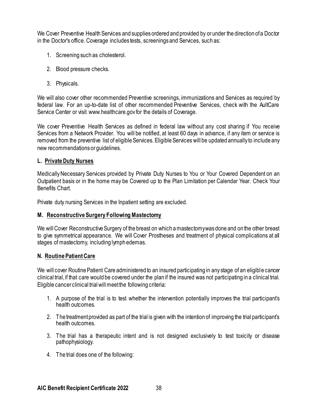We Cover Preventive Health Services and supplies ordered and provided by or under the direction of a Doctor in the Doctor's office. Coverage includes tests, screenings and Services, such as:

- 1. Screening such as cholesterol.
- 2. Blood pressure checks.
- 3. Physicals.

We will also cover other recommended Preventive screenings, immunizations and Services as required by federal law. For an up-to-date list of other recommended Preventive Services, check with the AultCare Service Center or visit www.healthcare.gov for the details of Coverage.

We cover Preventive Health Services as defined in federal law without any cost sharing if You receive Services from a Network Provider. You will be notified, at least 60 days in advance, if any item or service is removed from the preventive list of eligible Services. Eligible Services will be updated annually to include any new recommendations or guidelines.

### **L. Private Duty Nurses**

Medically Necessary Services provided by Private Duty Nurses to You or Your Covered Dependent on an Outpatient basis or in the home may be Covered up to the Plan Limitation per Calendar Year. Check Your Benefits Chart.

Private duty nursing Services in the Inpatient setting are excluded.

### **M. Reconstructive Surgery Following Mastectomy**

We will Cover Reconstructive Surgery of the breast on which a mastectomy was done and on the other breast to give symmetrical appearance. We will Cover Prostheses and treatment of physical complications at all stages of mastectomy, including lymph edemas.

### **N. Routine Patient Care**

We will cover Routine Patient Care administered to an insured participating in any stage of an eligible cancer clinical trial, if that care would be covered under the plan if the insured was not participating in a clinical trial. Eligible cancer clinical trial will meet the following criteria:

- 1. A purpose of the trial is to test whether the intervention potentially improves the trial participant's health outcomes.
- 2. The treatment provided as part of the trial is given with the intention of improving the trial participant's health outcomes.
- 3. The trial has a therapeutic intent and is not designed exclusively to test toxicity or disease pathophysiology.
- 4. The trial does one of the following: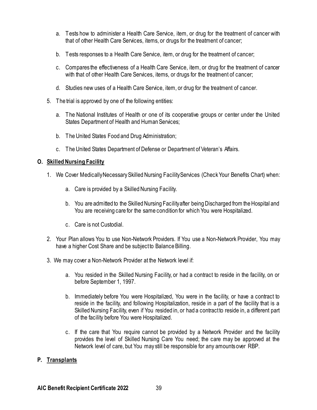- a. Tests how to administer a Health Care Service, item, or drug for the treatment of cancer with that of other Health Care Services, items, or drugs for the treatment of cancer;
- b. Tests responses to a Health Care Service, item, or drug for the treatment of cancer;
- c. Compares the effectiveness of a Health Care Service, item, or drug for the treatment of cancer with that of other Health Care Services, items, or drugs for the treatment of cancer;
- d. Studies new uses of a Health Care Service, item, or drug for the treatment of cancer.
- 5. The trial is approved by one of the following entities:
	- a. The National Institutes of Health or one of its cooperative groups or center under the United States Department of Health and Human Services;
	- b. The United States Food and Drug Administration;
	- c. The United States Department of Defense or Department of Veteran's Affairs.

### **O. Skilled Nursing Facility**

- 1. We Cover Medically Necessary Skilled Nursing Facility Services (Check Your Benefits Chart) when:
	- a. Care is provided by a Skilled Nursing Facility.
	- b. You are admitted to the Skilled Nursing Facility after being Discharged from the Hospital and You are receiving care for the same condition for which You were Hospitalized.
	- c. Care is not Custodial.
- 2. Your Plan allows You to use Non-Network Providers. If You use a Non-Network Provider, You may have a higher Cost Share and be subject to Balance Billing.
- 3. We may cover a Non-Network Provider at the Network level if:
	- a. You resided in the Skilled Nursing Facility, or had a contract to reside in the facility, on or before September 1, 1997.
	- b. Immediately before You were Hospitalized, You were in the facility, or have a contract to reside in the facility, and following Hospitalization, reside in a part of the facility that is a Skilled Nursing Facility, even if You resided in, or had a contract to reside in, a different part of the facility before You were Hospitalized.
	- c. If the care that You require cannot be provided by a Network Provider and the facility provides the level of Skilled Nursing Care You need; the care may be approved at the Network level of care, but You may still be responsible for any amounts over RBP.

### **P. Transplants**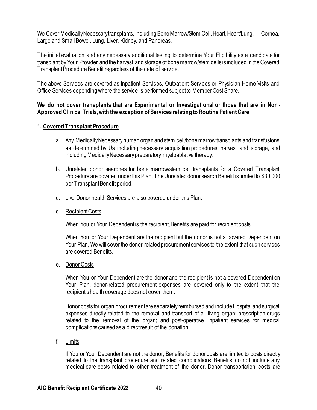We Cover Medically Necessary transplants, including Bone Marrow/Stem Cell, Heart, Heart/Lung, Cornea, Large and Small Bowel, Lung, Liver, Kidney, and Pancreas.

The initial evaluation and any necessary additional testing to determine Your Eligibility as a candidate for transplant by Your Provider and the harvest and storage of bone marrow/stem cells is included in the Covered Transplant Procedure Benefit regardless of the date of service.

The above Services are covered as Inpatient Services, Outpatient Services or Physician Home Visits and Office Services depending where the service is performed subject to Member Cost Share.

### **We do not cover transplants that are Experimental or Investigational or those that are in Non - Approved Clinical Trials, with the exception of Services relating to Routine Patient Care.**

### **1. Covered Transplant Procedure**

- a. Any Medically Necessary human organ and stem cell/bone marrow transplants and transfusions as determined by Us including necessary acquisition procedures, harvest and storage, and including Medically Necessary preparatory myeloablative therapy.
- b. Unrelated donor searches for bone marrow/stem cell transplants for a Covered Transplant Procedure are covered under this Plan. The Unrelated donor search Benefit is limited to \$30,000 per Transplant Benefit period.
- c. Live Donor health Services are also covered under this Plan.
- d. Recipient Costs

When You or Your Dependent is the recipient, Benefits are paid for recipient costs.

When You or Your Dependent are the recipient but the donor is not a covered Dependent on Your Plan, We will cover the donor-related procurement services to the extent that such services are covered Benefits.

e. Donor Costs

When You or Your Dependent are the donor and the recipient is not a covered Dependent on Your Plan, donor-related procurement expenses are covered only to the extent that the recipient's health coverage does not cover them.

Donor costs for organ procurement are separately reimbursed and include Hospital and surgical expenses directly related to the removal and transport of a living organ; prescription drugs related to the removal of the organ; and post-operative Inpatient services for medical complications caused as a direct result of the donation.

f. Limits

If You or Your Dependent are not the donor, Benefits for donor costs are limited to costs directly related to the transplant procedure and related complications. Benefits do not include any medical care costs related to other treatment of the donor. Donor transportation costs are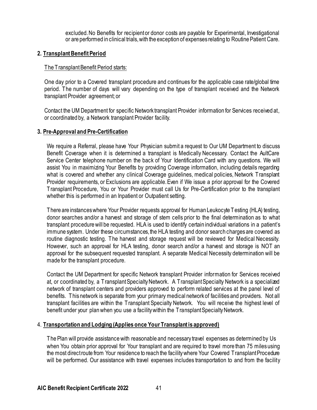excluded. No Benefits for recipient or donor costs are payable for Experimental, Investigational or are performed in clinical trials, with the exception of expenses relating to Routine Patient Care.

### **2. TransplantBenefit Period**

### The Transplant Benefit Period starts:

One day prior to a Covered transplant procedure and continues for the applicable case rate/global time period. The number of days will vary depending on the type of transplant received and the Network transplant Provider agreement; or

Contact the UM Department for specific Network transplant Provider information for Services received at, or coordinated by, a Network transplant Provider facility.

### **3. Pre-Approval and Pre-Certification**

We require a Referral, please have Your Physician submit a request to Our UM Department to discuss Benefit Coverage when it is determined a transplant is Medically Necessary. Contact the AultCare Service Center telephone number on the back of Your Identification Card with any questions. We will assist You in maximizing Your Benefits by providing Coverage information, including details regarding what is covered and whether any clinical Coverage guidelines, medical policies, Network Transplant Provider requirements, or Exclusions are applicable. Even if We issue a prior approval for the Covered Transplant Procedure, You or Your Provider must call Us for Pre-Certification prior to the transplant whether this is performed in an Inpatient or Outpatient setting.

There are instances where Your Provider requests approval for Human Leukocyte Testing (HLA) testing, donor searches and/or a harvest and storage of stem cells prior to the final determination as to what transplant procedure will be requested. HLA is used to identify certain individual variations in a patient's immune system. Under these circumstances, the HLA testing and donor search charges are covered as routine diagnostic testing. The harvest and storage request will be reviewed for Medical Necessity. However, such an approval for HLA testing, donor search and/or a harvest and storage is NOT an approval for the subsequent requested transplant. A separate Medical Necessity determination will be made for the transplant procedure.

Contact the UM Department for specific Network transplant Provider information for Services received at, or coordinated by, a Transplant Specialty Network. A Transplant Specialty Network is a specialized network of transplant centers and providers approved to perform related services at the panel level of benefits. This network is separate from your primary medical network of facilities and providers. Not all transplant facilities are within the Transplant Specialty Network. You will receive the highest level of benefit under your plan when you use a facility within the Transplant Specialty Network.

### 4. **Transportation and Lodging (Applies once Your Transplant is approved)**

The Plan will provide assistance with reasonable and necessary travel expenses as determined by Us when You obtain prior approval for Your transplant and are required to travel more than 75 miles using the most direct route from Your residence to reach the facility where Your Covered Transplant Procedure will be performed. Our assistance with travel expenses includes transportation to and from the facility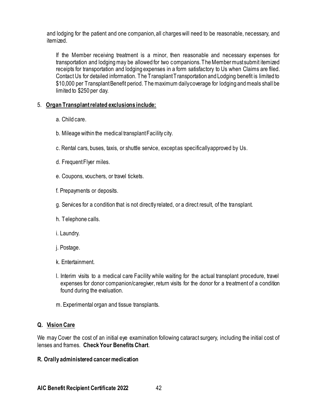and lodging for the patient and one companion, all charges will need to be reasonable, necessary, and itemized.

If the Member receiving treatment is a minor, then reasonable and necessary expenses for transportation and lodging may be allowed for two companions. The Member must submit itemized receipts for transportation and lodging expenses in a form satisfactory to Us when Claims are filed. Contact Us for detailed information. The Transplant Transportation and Lodging benefit is limited to \$10,000 per Transplant Benefit period. The maximum daily coverage for lodging and meals shall be limited to \$250 per day.

### 5. **Organ Transplant related exclusions include:**

- a. Child care.
- b. Mileage within the medical transplant Facility city.
- c. Rental cars, buses, taxis, or shuttle service, except as specifically approved by Us.
- d. Frequent Flyer miles.
- e. Coupons, vouchers, or travel tickets.
- f. Prepayments or deposits.
- g. Services for a condition that is not directly related, or a direct result, of the transplant.
- h. Telephone calls.
- i. Laundry.
- j. Postage.
- k. Entertainment.
- l. Interim visits to a medical care Facility while waiting for the actual transplant procedure, travel expenses for donor companion/caregiver, return visits for the donor for a treatment of a condition found during the evaluation.
- m. Experimental organ and tissue transplants.

## **Q. Vision Care**

We may Cover the cost of an initial eye examination following cataract surgery, including the initial cost of lenses and frames. **Check Your Benefits Chart**.

### **R. Orally administered cancer medication**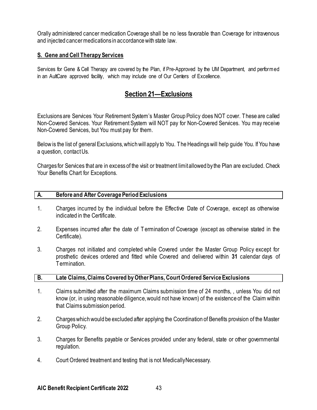Orally administered cancer medication Coverage shall be no less favorable than Coverage for intravenous and injected cancer medications in accordance with state law.

### **S. Gene and Cell Therapy Services**

Services for Gene & Cell Therapy are covered by the Plan, if Pre-Approved by the UM Department, and performed in an AultCare approved facility, which may include one of Our Centers of Excellence.

## **Section 21—Exclusions**

Exclusions are Services Your Retirement System's Master Group Policy does NOT cover. These are called Non-Covered Services. Your Retirement System will NOT pay for Non-Covered Services. You may receive Non-Covered Services, but You must pay for them.

Below is the list of general Exclusions, which will apply to You. The Headings will help guide You. If You have a question, contact Us.

Charges for Services that are in excess of the visit or treatment limit allowed by the Plan are excluded. Check Your Benefits Chart for Exceptions.

#### **A. Before and After Coverage Period Exclusions**

- 1. Charges incurred by the individual before the Effective Date of Coverage, except as otherwise indicated in the Certificate.
- 2. Expenses incurred after the date of T ermination of Coverage (except as otherwise stated in the Certificate).
- 3. Charges not initiated and completed while Covered under the Master Group Policy except for prosthetic devices ordered and fitted while Covered and delivered within **31** calendar days of **Termination**

#### **B. Late Claims, Claims Covered by Other Plans, Court Ordered Service Exclusions**

- 1. Claims submitted after the maximum Claims submission time of 24 months, , unless You did not know (or, in using reasonable diligence, would not have known) of the existence of the Claim within that Claims submission period.
- 2. Charges which would be excluded after applying the Coordination of Benefits provision of the Master Group Policy.
- 3. Charges for Benefits payable or Services provided under any federal, state or other governmental regulation.
- 4. Court Ordered treatment and testing that is not Medically Necessary.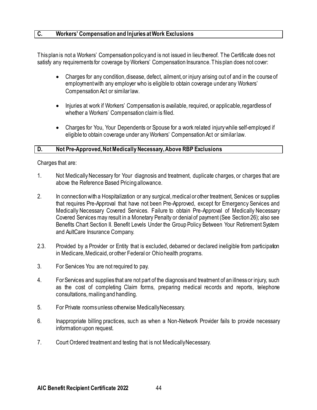### **C. Workers' Compensation and Injuries at Work Exclusions**

This plan is not a Workers' Compensation policy and is not issued in lieu thereof. The Certificate does not satisfy any requirements for coverage by Workers' Compensation Insurance. This plan does not cover:

- Charges for any condition, disease, defect, ailment, or injury arising out of and in the course of employmentwith any employer who is eligible to obtain coverage under any Workers' Compensation Act or similar law.
- Injuries at work if Workers' Compensation is available, required, or applicable, regardless of whether a Workers' Compensation claim is filed.
- Charges for You, Your Dependents or Spouse for a work related injury while self-employed if eligible to obtain coverage under any Workers' Compensation Act or similar law.

#### **D. Not Pre-Approved, Not Medically Necessary, Above RBP Exclusions**

Charges that are:

- 1. Not Medically Necessary for Your diagnosis and treatment, duplicate charges, or charges that are above the Reference Based Pricing allowance.
- 2. In connection with a Hospitalization or any surgical, medical or other treatment, Services or supplies that requires Pre-Approval that have not been Pre-Approved, except for Emergency Services and Medically Necessary Covered Services. Failure to obtain Pre-Approval of Medically Necessary Covered Services may result in a Monetary Penalty or denial of payment (See Section 26); also see Benefits Chart Section II. Benefit Levels Under the Group Policy Between Your Retirement System and AultCare Insurance Company.
- 2.3. Provided by a Provider or Entity that is excluded, debarred or declared ineligible from participation in Medicare, Medicaid, or other Federal or Ohio health programs.
- 3. For Services You are not required to pay.
- 4. For Services and supplies that are not part of the diagnosis and treatment of an illness or injury, such as the cost of completing Claim forms, preparing medical records and reports, telephone consultations, mailing and handling.
- 5. For Private rooms unless otherwise Medically Necessary.
- 6. Inappropriate billing practices, such as when a Non-Network Provider fails to provide necessary information upon request.
- 7. Court Ordered treatment and testing that is not Medically Necessary.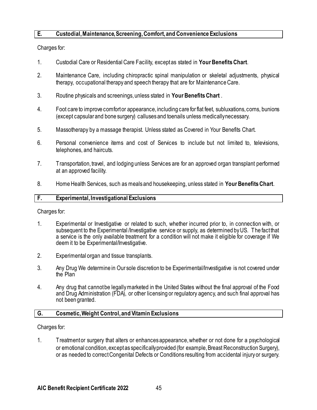### **E. Custodial, Maintenance, Screening, Comfort, and Convenience Exclusions**

Charges for:

- 1. Custodial Care or Residential Care Facility, except as stated in **Your Benefits Chart**.
- 2. Maintenance Care, including chiropractic spinal manipulation or skeletal adjustments, physical therapy, occupational therapy and speech therapy that are for Maintenance Care.
- 3. Routine physicals and screenings, unless stated in **Your Benefits Chart** .
- 4. Foot care to improve comfort or appearance, including care for flat feet, subluxations, corns, bunions (except capsular and bone surgery) calluses and toenails unless medically necessary.
- 5. Massotherapy by a massage therapist. Unless stated as Covered in Your Benefits Chart.
- 6. Personal convenience items and cost of Services to include but not limited to, televisions, telephones, and haircuts.
- 7. Transportation, travel, and lodging unless Services are for an approved organ transplant performed at an approved facility.
- 8. Home Health Services, such as meals and housekeeping, unless stated in **Your Benefits Chart**.

#### **F. Experimental, Investigational Exclusions**

Charges for:

- 1. Experimental or Investigative or related to such, whether incurred prior to, in connection with, or subsequent to the Experimental /Investigative service or supply, as determined by US. The fact that a service is the only available treatment for a condition will not make it eligible for coverage if We deem it to be Experimental/Investigative.
- 2. Experimental organ and tissue transplants.
- 3. Any Drug We determine in Our sole discretion to be Experimental/Investigative is not covered under the Plan
- 4. Any drug that cannot be legally marketed in the United States without the final approval of the Food and Drug Administration (FDA), or other licensing or regulatory agency, and such final approval has not been granted.

#### **G. Cosmetic, Weight Control, and Vitamin Exclusions**

Charges for:

1. Treatment or surgery that alters or enhances appearance, whether or not done for a psychological or emotional condition, except as specifically provided (for example, Breast Reconstruction Surgery), or as needed to correct Congenital Defects or Conditions resulting from accidental injury or surgery.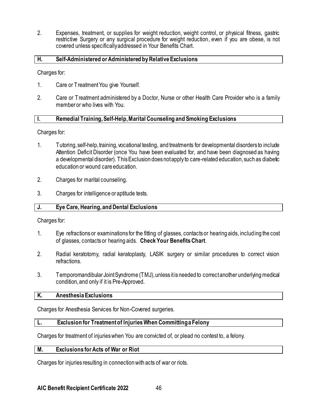2. Expenses, treatment, or supplies for weight reduction, weight control, or physical fitness, gastric restrictive Surgery or any surgical procedure for weight reduction, even if you are obese, is not covered unless specifically addressed in Your Benefits Chart.

### **H. Self-Administered or Administered by Relative Exclusions**

Charges for:

- 1. Care or Treatment You give Yourself.
- 2. Care or Treatment administered by a Doctor, Nurse or other Health Care Provider who is a family member or who lives with You.

### **I. Remedial Training, Self-Help, Marital Counseling and Smoking Exclusions**

Charges for:

- 1. Tutoring, self-help, training, vocational testing, and treatments for developmental disorders to include Attention Deficit Disorder (once You have been evaluated for, and have been diagnosed as having a developmental disorder). This Exclusion does not apply to care-related education, such as diabetic education or wound care education.
- 2. Charges for marital counseling.
- 3. Charges for intelligence or aptitude tests.

### **J. Eye Care, Hearing, and Dental Exclusions**

Charges for:

- 1. Eye refractions or examinations for the fitting of glasses, contacts or hearing aids, including the cost of glasses, contacts or hearing aids. **Check Your Benefits Chart**.
- 2. Radial keratotomy, radial keratoplasty, LASIK surgery or similar procedures to correct vision refractions.
- 3. Temporomandibular Joint Syndrome (TMJ), unless it is needed to correct another underlying medical condition, and only if it is Pre-Approved.

### **K. Anesthesia Exclusions**

Charges for Anesthesia Services for Non-Covered surgeries.

### **L. Exclusion for Treatment of Injuries When Committing a Felony**

Charges for treatment of injuries when You are convicted of, or plead no contest to, a felony.

### **M. Exclusions for Acts of War or Riot**

Charges for injuries resulting in connection with acts of war or riots.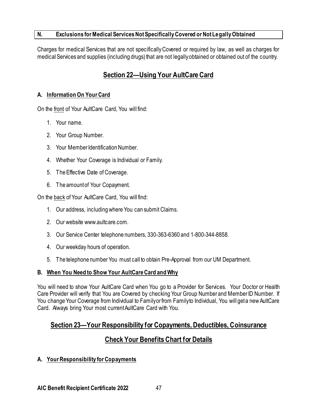## **N. Exclusions for Medical Services Not Specifically Covered or Not Legally Obtained**

Charges for medical Services that are not specifically Covered or required by law, as well as charges for medical Services and supplies (including drugs) that are not legally obtained or obtained out of the country.

# **Section 22—Using Your AultCare Card**

## **A. Information On Your Card**

On the front of Your AultCare Card, You will find:

- 1. Your name.
- 2. Your Group Number.
- 3. Your Member Identification Number.
- 4. Whether Your Coverage is Individual or Family.
- 5. The Effective Date of Coverage.
- 6. The amount of Your Copayment.

On the back of Your AultCare Card, You will find:

- 1. Our address, including where You can submit Claims.
- 2. Our website www.aultcare.com.
- 3. Our Service Center telephone numbers, 330-363-6360 and 1-800-344-8858.
- 4. Our weekday hours of operation.
- 5. The telephone number You must call to obtain Pre-Approval from our UM Department.

### **B. When You Need to Show Your AultCare Card and Why**

You will need to show Your AultCare Card when You go to a Provider for Services. Your Doctor or Health Care Provider will verify that You are Covered by checking Your Group Number and Member ID Number. If You change Your Coverage from Individual to Family or from Family to Individual, You will get a new AultCare Card. Always bring Your most current AultCare Card with You.

## **Section 23—Your Responsibility for Copayments, Deductibles, Coinsurance**

## **Check Your Benefits Chart for Details**

## **A. Your Responsibility for Copayments**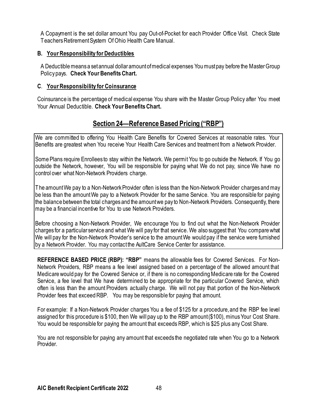A Copayment is the set dollar amount You pay Out-of-Pocket for each Provider Office Visit. Check State Teachers Retirement System Of Ohio Health Care Manual.

## **B. Your Responsibility for Deductibles**

A Deductible means a set annual dollar amount of medical expenses Youmust pay before the Master Group Policy pays. **Check Your Benefits Chart.**

### **C**. **Your Responsibility for Coinsurance**

Coinsurance is the percentage of medical expense You share with the Master Group Policy after You meet Your Annual Deductible. **Check Your Benefits Chart.**

# **Section 24—Reference Based Pricing ("RBP")**

We are committed to offering You Health Care Benefits for Covered Services at reasonable rates. Your Benefits are greatest when You receive Your Health Care Services and treatment from a Network Provider.

Some Plans require Enrollees to stay within the Network. We permit You to go outside the Network. If You go outside the Network, however, You will be responsible for paying what We do not pay, since We have no control over what Non-Network Providers charge.

The amount We pay to a Non-Network Provider often is less than the Non-Network Provider charges and may be less than the amount We pay to a Network Provider for the same Service. You are responsible for paying the balance between the total charges and the amount we pay to Non-Network Providers. Consequently, there may be a financial incentive for You to use Network Providers.

Before choosing a Non-Network Provider, We encourage You to find out what the Non-Network Provider charges for a particular service and what We will pay for that service. We also suggest that You compare what We will pay for the Non-Network Provider's service to the amount We would pay if the service were furnished by a Network Provider. You may contact the AultCare Service Center for assistance.

**REFERENCE BASED PRICE (RBP): "RBP"** means the allowable fees for Covered Services. For Non-Network Providers, RBP means a fee level assigned based on a percentage of the allowed amount that Medicare would pay for the Covered Service or, if there is no corresponding Medicare rate for the Covered Service, a fee level that We have determined to be appropriate for the particular Covered Service, which often is less than the amount Providers actually charge. We will not pay that portion of the Non-Network Provider fees that exceed RBP. You may be responsible for paying that amount.

For example: If a Non-Network Provider charges You a fee of \$125 for a procedure, and the RBP fee level assigned for this procedure is \$100, then We will pay up to the RBP amount (\$100), minus Your Cost Share. You would be responsible for paying the amount that exceeds RBP, which is \$25 plus any Cost Share.

You are not responsible for paying any amount that exceeds the negotiated rate when You go to a Network Provider.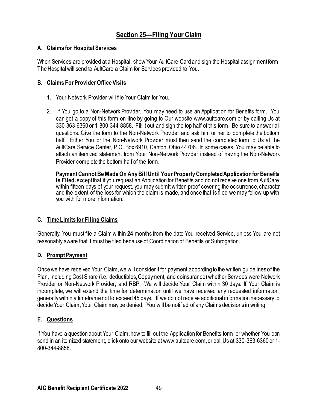# **Section 25—Filing Your Claim**

### **A**. **Claims for Hospital Services**

When Services are provided at a Hospital, show Your AultCare Card and sign the Hospital assignment form. The Hospital will send to AultCare a Claim for Services provided to You.

### **B. Claims For Provider Office Visits**

- 1. Your Network Provider will file Your Claim for You.
- 2. If You go to a Non-Network Provider, You may need to use an Application for Benefits form. You can get a copy of this form on-line by going to Our website www.aultcare.com or by calling Us at 330-363-6360 or 1-800-344-8858. Fill it out and sign the top half of this form. Be sure to answer all questions. Give the form to the Non-Network Provider and ask him or her to complete the bottom half. Either You or the Non-Network Provider must then send the completed form to Us at the AultCare Service Center, P.O. Box 6910, Canton, Ohio 44706. In some cases, You may be able to attach an itemized statement from Your Non-Network Provider instead of having the Non-Network Provider complete the bottom half of the form.

**Payment Cannot BeMade On Any Bill Until Your Properly Completed Application for Benefits Is Filed.** except that if you request an Application for Benefits and do not receive one from AultCare within fifteen days of your request, you may submit written proof covering the oc currence, character and the extent of the loss for which the claim is made, and once that is filed we may follow up with you with for more information.

## **C. Time Limits for Filing Claims**

Generally, You must file a Claim within **24** months from the date You received Service, unless You are not reasonably aware that it must be filed because of Coordination of Benefits or Subrogation.

## **D. Prompt Payment**

Once we have received Your Claim, we will consider it for payment according to the written guidelines of the Plan, including Cost Share (i.e. deductibles, Copayment, and coinsurance) whether Services were Network Provider or Non-Network Provider, and RBP. We will decide Your Claim within 30 days. If Your Claim is incomplete, we will extend the time for determination until we have received any requested information, generally within a timeframe not to exceed 45 days. If we do not receive additional information necessary to decide Your Claim, Your Claim may be denied. You will be notified of any Claims decisions in writing.

## **E. Questions**

If You have a question about Your Claim, how to fill out the Application for Benefits form, or whether You can send in an itemized statement, click onto our website at www.aultcare.com, or call Us at 330-363-6360 or 1- 800-344-8858.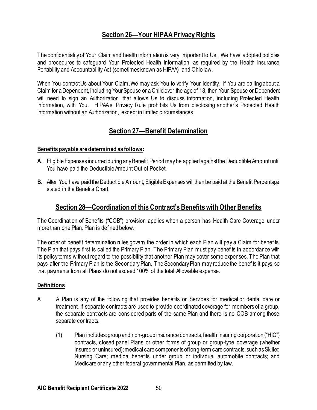# **Section 26—Your HIPAA Privacy Rights**

The confidentiality of Your Claim and health information is very important to Us. We have adopted policies and procedures to safeguard Your Protected Health Information, as required by the Health Insurance Portability and Accountability Act (sometimes known as HIPAA) and Ohio law.

When You contact Us about Your Claim, We may ask You to verify Your identity. If You are calling about a Claim for a Dependent, including YourSpouse or a Child over the age of 18, then Your Spouse or Dependent will need to sign an Authorization that allows Us to discuss information, including Protected Health Information, with You. HIPAA's Privacy Rule prohibits Us from disclosing another's Protected Health Information without an Authorization, except in limited circumstances

## **Section 27—Benefit Determination**

## **Benefits payable are determined as follows:**

- **A**. Eligible Expenses incurred during any Benefit Period may be applied against the Deductible Amount until You have paid the Deductible Amount Out-of-Pocket.
- **B.** After You have paid the Deductible Amount, Eligible Expenses will then be paid at the Benefit Percentage stated in the Benefits Chart.

## **Section 28—Coordination of this Contract's Benefits with Other Benefits**

The Coordination of Benefits ("COB") provision applies when a person has Health Care Coverage under more than one Plan. Plan is defined below.

The order of benefit determination rules govern the order in which each Plan will pay a Claim for benefits. The Plan that pays first is called the Primary Plan. The Primary Plan must pay benefits in accordance with its policy terms without regard to the possibility that another Plan may cover some expenses. The Plan that pays after the Primary Plan is the Secondary Plan. The Secondary Plan may reduce the benefits it pays so that payments from all Plans do not exceed 100% of the total Allowable expense.

### **Definitions**

- A. A Plan is any of the following that provides benefits or Services for medical or dental care or treatment. If separate contracts are used to provide coordinated coverage for members of a group, the separate contracts are considered parts of the same Plan and there is no COB among those separate contracts.
	- (1) Plan includes: group and non-group insurance contracts, health insuring corporation ("HIC") contracts, closed panel Plans or other forms of group or group-type coverage (whether insured or uninsured); medical care components of long-term care contracts, such as Skilled Nursing Care; medical benefits under group or individual automobile contracts; and Medicare or any other federal governmental Plan, as permitted by law.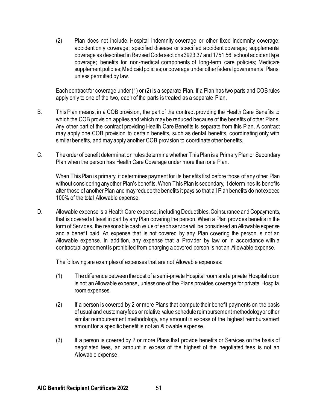(2) Plan does not include: Hospital indemnity coverage or other fixed indemnity coverage; accident only coverage; specified disease or specified accident coverage; supplemental coverage as described in Revised Code sections 3923.37 and 1751.56; school accident type coverage; benefits for non-medical components of long-term care policies; Medicare supplement policies; Medicaid policies; or coverage under other federal governmental Plans, unless permitted by law.

Each contract for coverage under (1) or (2) is a separate Plan. If a Plan has two parts and COB rules apply only to one of the two, each of the parts is treated as a separate Plan.

- B. This Plan means, in a COB provision, the part of the contract providing the Health Care Benefits to which the COB provision applies and which may be reduced because of the benefits of other Plans. Any other part of the contract providing Health Care Benefits is separate from this Plan. A contract may apply one COB provision to certain benefits, such as dental benefits, coordinating only with similar benefits, and may apply another COB provision to coordinate other benefits.
- C. The order of benefit determination rules determine whether This Plan is a Primary Plan or Secondary Plan when the person has Health Care Coverage under more than one Plan.

When This Plan is primary, it determines payment for its benefits first before those of any other Plan without considering any other Plan's benefits. When This Plan is secondary, it determines its benefits after those of another Plan and may reduce the benefits it pays so that all Plan benefits do not exceed 100% of the total Allowable expense.

D. Allowable expense is a Health Care expense, including Deductibles, Coinsurance and Copayments, that is covered at least in part by any Plan covering the person. When a Plan provides benefits in the form of Services, the reasonable cash value of each service will be considered an Allowable expense and a benefit paid. An expense that is not covered by any Plan covering the person is not an Allowable expense. In addition, any expense that a Provider by law or in accordance with a contractual agreement is prohibited from charging a covered person is not an Allowable expense.

The following are examples of expenses that are not Allowable expenses:

- (1) The difference between the cost of a semi-private Hospital room and a private Hospital room is not an Allowable expense, unless one of the Plans provides coverage for private Hospital room expenses.
- (2) If a person is covered by 2 or more Plans that compute their benefit payments on the basis of usual and customary fees or relative value schedule reimbursement methodology or other similar reimbursement methodology, any amount in excess of the highest reimbursement amount for a specific benefit is not an Allowable expense.
- (3) If a person is covered by 2 or more Plans that provide benefits or Services on the basis of negotiated fees, an amount in excess of the highest of the negotiated fees is not an Allowable expense.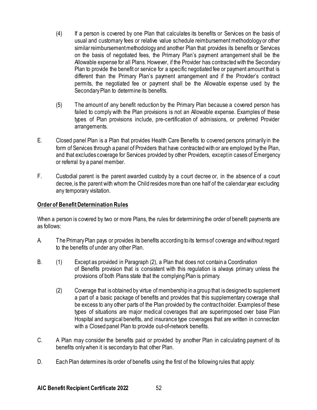- (4) If a person is covered by one Plan that calculates its benefits or Services on the basis of usual and customary fees or relative value schedule reimbursement methodology or other similar reimbursement methodology and another Plan that provides its benefits or Services on the basis of negotiated fees, the Primary Plan's payment arrangement shall be the Allowable expense for all Plans. However, if the Provider has contracted with the Secondary Plan to provide the benefit or service for a specific negotiated fee or payment amount that is different than the Primary Plan's payment arrangement and if the Provider's contract permits, the negotiated fee or payment shall be the Allowable expense used by the Secondary Plan to determine its benefits.
- (5) The amount of any benefit reduction by the Primary Plan because a covered person has failed to comply with the Plan provisions is not an Allowable expense. Examples of these types of Plan provisions include, pre-certification of admissions, or preferred Provider arrangements.
- E. Closed panel Plan is a Plan that provides Health Care Benefits to covered persons primarily in the form of Services through a panel of Providers that have contracted with or are employed by the Plan, and that excludes coverage for Services provided by other Providers, except in cases of Emergency or referral by a panel member.
- F. Custodial parent is the parent awarded custody by a court decree or, in the absence of a court decree, is the parent with whom the Child resides more than one half of the calendar year excluding any temporary visitation.

### **Order of Benefit Determination Rules**

When a person is covered by two or more Plans, the rules for determining the order of benefit payments are as follows:

- A. The Primary Plan pays or provides its benefits according to its terms of coverage and without regard to the benefits of under any other Plan.
- B. (1) Except as provided in Paragraph (2), a Plan that does not contain a Coordination of Benefits provision that is consistent with this regulation is always primary unless the provisions of both Plans state that the complying Plan is primary.
	- (2) Coverage that is obtained by virtue of membership in a group that is designed to supplement a part of a basic package of benefits and provides that this supplementary coverage shall be excess to any other parts of the Plan provided by the contract holder. Examples of these types of situations are major medical coverages that are superimposed over base Plan Hospital and surgical benefits, and insurance type coverages that are written in connection with a Closed panel Plan to provide out-of-network benefits.
- C. A Plan may consider the benefits paid or provided by another Plan in calculating payment of its benefits only when it is secondary to that other Plan.
- D. Each Plan determines its order of benefits using the first of the following rules that apply: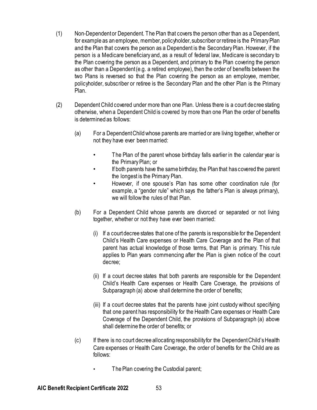- (1) Non-Dependent or Dependent. The Plan that covers the person other than as a Dependent, for example as an employee, member, policyholder, subscriber or retiree is the Primary Plan and the Plan that covers the person as a Dependent is the Secondary Plan. However, if the person is a Medicare beneficiary and, as a result of federal law, Medicare is secondary to the Plan covering the person as a Dependent, and primary to the Plan covering the person as other than a Dependent (e.g. a retired employee), then the order of benefits between the two Plans is reversed so that the Plan covering the person as an employee, member, policyholder, subscriber or retiree is the Secondary Plan and the other Plan is the Primary Plan.
- (2) Dependent Child covered under more than one Plan. Unless there is a court decree stating otherwise, when a Dependent Child is covered by more than one Plan the order of benefits is determined as follows:
	- (a) For a Dependent Child whose parents are married or are living together, whether or not they have ever been married:
		- The Plan of the parent whose birthday falls earlier in the calendar year is the Primary Plan; or
		- If both parents have the same birthday, the Plan that has covered the parent the longest is the Primary Plan.
		- However, if one spouse's Plan has some other coordination rule (for example, a "gender rule" which says the father's Plan is always primary), we will follow the rules of that Plan.
	- (b) For a Dependent Child whose parents are divorced or separated or not living together, whether or not they have ever been married:
		- (i) If a court decree states that one of the parents is responsible for the Dependent Child's Health Care expenses or Health Care Coverage and the Plan of that parent has actual knowledge of those terms, that Plan is primary. This rule applies to Plan years commencing after the Plan is given notice of the court decree;
		- (ii) If a court decree states that both parents are responsible for the Dependent Child's Health Care expenses or Health Care Coverage, the provisions of Subparagraph (a) above shall determine the order of benefits;
		- (iii) If a court decree states that the parents have joint custody without specifying that one parent has responsibility for the Health Care expenses or Health Care Coverage of the Dependent Child, the provisions of Subparagraph (a) above shall determine the order of benefits; or
	- (c) If there is no court decree allocating responsibility for the Dependent Child's Health Care expenses or Health Care Coverage, the order of benefits for the Child are as follows:
		- The Plan covering the Custodial parent;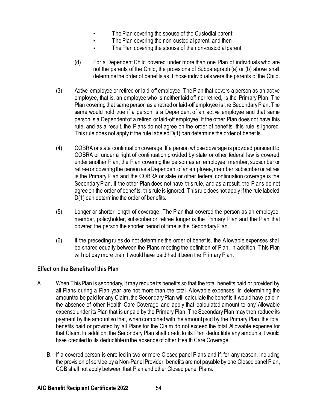- The Plan covering the spouse of the Custodial parent;
- The Plan covering the non-custodial parent; and then
- The Plan covering the spouse of the non-custodial parent.
- (d) For a Dependent Child covered under more than one Plan of individuals who are not the parents of the Child, the provisions of Subparagraph (a) or (b) above shall determine the order of benefits as if those individuals were the parents of the Child.
- (3) Active employee or retired or laid-off employee. The Plan that covers a person as an active employee, that is, an employee who is neither laid off nor retired, is the Primary Plan. The Plan covering that same person as a retired or laid-off employee is the Secondary Plan. The same would hold true if a person is a Dependent of an active employee and that same person is a Dependent of a retired or laid-off employee. If the other Plan does not have this rule, and as a result, the Plans do not agree on the order of benefits, this rule is ignored. This rule does not apply if the rule labeled D(1) can determine the order of benefits.
- (4) COBRA or state continuation coverage. If a person whose coverage is provided pursuant to COBRA or under a right of continuation provided by state or other federal law is covered under another Plan, the Plan covering the person as an employee, member, subscriber or retiree or covering the person as a Dependent of an employee, member, subscriber or retiree is the Primary Plan and the COBRA or state or other federal continuation coverage is the Secondary Plan. If the other Plan does not have this rule, and as a result, the Plans do not agree on the order of benefits, this rule is ignored. This rule does not apply if the rule labeled D(1) can determine the order of benefits.
- (5) Longer or shorter length of coverage. The Plan that covered the person as an employee, member, policyholder, subscriber or retiree longer is the Primary Plan and the Plan that covered the person the shorter period of time is the Secondary Plan.
- (6) If the preceding rules do not determine the order of benefits, the Allowable expenses shall be shared equally between the Plans meeting the definition of Plan. In addition, This Plan will not pay more than it would have paid had it been the Primary Plan.

### **Effect on the Benefits of this Plan**

- A. When This Plan is secondary, it may reduce its benefits so that the total benefits paid or provided by all Plans during a Plan year are not more than the total Allowable expenses. In determining the amount to be paid for any Claim, the Secondary Plan will calculate the benefits it would have paid in the absence of other Health Care Coverage and apply that calculated amount to any Allowable expense under its Plan that is unpaid by the Primary Plan. The Secondary Plan may then reduce its payment by the amount so that, when combined with the amount paid by the Primary Plan, the total benefits paid or provided by all Plans for the Claim do not exceed the total Allowable expense for that Claim. In addition, the Secondary Plan shall credit to its Plan deductible any amounts it would have credited to its deductible in the absence of other Health Care Coverage.
	- B. If a covered person is enrolled in two or more Closed panel Plans and if, for any reason, including the provision of service by a Non-Panel Provider, benefits are not payable by one Closed panel Plan, COB shall not apply between that Plan and other Closed panel Plans.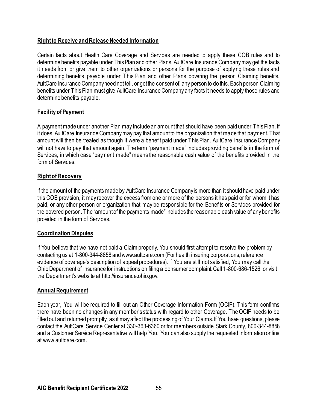## **Right to Receive and Release Needed Information**

Certain facts about Health Care Coverage and Services are needed to apply these COB rules and to determine benefits payable under This Plan and other Plans. AultCare Insurance Company may get the facts it needs from or give them to other organizations or persons for the purpose of applying these rules and determining benefits payable under This Plan and other Plans covering the person Claiming benefits. AultCare Insurance Company need not tell, or get the consent of, any person to do this. Each person Claiming benefits under This Plan must give AultCare Insurance Company any facts it needs to apply those rules and determine benefits payable.

### **Facility of Payment**

A payment made under another Plan may include an amount that should have been paid under This Plan. If it does, AultCare Insurance Company may pay that amount to the organization that made that payment. That amount will then be treated as though it were a benefit paid under This Plan. AultCare Insurance Company will not have to pay that amount again. The term "payment made" includes providing benefits in the form of Services, in which case "payment made" means the reasonable cash value of the benefits provided in the form of Services.

### **Right of Recovery**

If the amount of the payments made by AultCare Insurance Company is more than it should have paid under this COB provision, it may recover the excess from one or more of the persons it has paid or for whom it has paid, or any other person or organization that may be responsible for the Benefits or Services provided for the covered person. The "amount of the payments made" includes the reasonable cash value of any benefits provided in the form of Services.

### **Coordination Disputes**

If You believe that we have not paid a Claim properly, You should first attempt to resolve the problem by contacting us at 1-800-344-8858 and www.aultcare.com (For health insuring corporations, reference evidence of coverage's description of appeal procedures). If You are still not satisfied, You may call the Ohio Department of Insurance for instructions on filing a consumer complaint. Call 1-800-686-1526, or visit the Department's website at [http://insurance.ohio.gov.](http://insurance.ohio.gov/)

### **Annual Requirement**

Each year, You will be required to fill out an Other Coverage Information Form (OCIF). This form confirms there have been no changes in any member's status with regard to other Coverage. The OCIF needs to be filled out and returned promptly, as it may affect the processing of Your Claims. If You have questions, please contact the AultCare Service Center at 330-363-6360 or for members outside Stark County, 800-344-8858 and a Customer Service Representative will help You. You can also supply the requested information online at www.aultcare.com.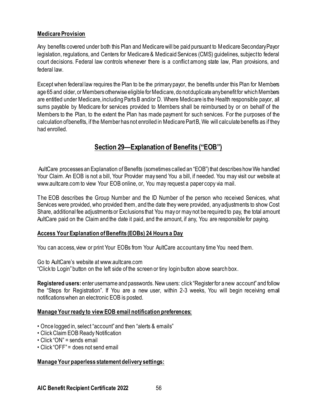## **Medicare Provision**

Any benefits covered under both this Plan and Medicare will be paid pursuant to Medicare Secondary Payor legislation, regulations, and Centers for Medicare & Medicaid Services (CMS) guidelines, subject to federal court decisions. Federal law controls whenever there is a conflict among state law, Plan provisions, and federal law.

Except when federal law requires the Plan to be the primary payor, the benefits under this Plan for Members age 65 and older, or Members otherwise eligible for Medicare, do not duplicate any benefit for which Members are entitled under Medicare, including Parts B and/or D. Where Medicare is the Health responsible payor, all sums payable by Medicare for services provided to Members shall be reimbursed by or on behalf of the Members to the Plan, to the extent the Plan has made payment for such services. For the purposes of the calculation of benefits, if the Member has not enrolled in Medicare Part B, We will calculate benefits as if they had enrolled.

## **Section 29—Explanation of Benefits ("EOB")**

AultCare processes an Explanation of Benefits (sometimes called an "EOB") that describes how We handled Your Claim. An EOB is not a bill, Your Provider may send You a bill, if needed. You may visit our website at www.aultcare.com to view Your EOB online, or, You may request a paper copy via mail.

The EOB describes the Group Number and the ID Number of the person who received Services, what Services were provided, who provided them, and the date they were provided, any adjustments to show Cost Share, additional fee adjustments or Exclusions that You may or may not be required to pay, the total amount AultCare paid on the Claim and the date it paid, and the amount, if any, You are responsible for paying.

### **Access Your Explanation of Benefits (EOBs) 24 Hours a Day**

You can access, view or print Your EOBs from Your AultCare account any time You need them.

Go to AultCare's website at www.aultcare.com

"Click to Login" button on the left side of the screen or tiny login button above search box.

**Registered users:** enter username and passwords. New users: click "Register for a new account" and follow the "Steps for Registration". If You are a new user, within 2-3 weeks, You will begin receiving email notifications when an electronic EOB is posted.

### **Manage Yourready to view EOB email notification preferences:**

- Once logged in, select "account" and then "alerts & emails"
- Click Claim EOB Ready Notification
- Click "ON" = sends email
- Click "OFF" = does not send email

### **Manage Your paperless statement delivery settings:**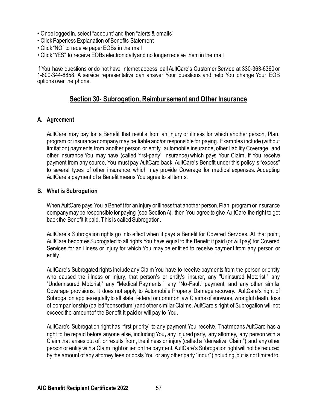- Once logged in, select "account" and then "alerts & emails"
- Click Paperless Explanation of Benefits Statement
- Click "NO" to receive paper EOBs in the mail
- Click "YES" to receive EOBs electronically and no longer receive them in the mail

If You have questions or do not have internet access, call AultCare's Customer Service at 330-363-6360 or 1-800-344-8858. A service representative can answer Your questions and help You change Your EOB options over the phone.

## **Section 30- Subrogation, Reimbursement and Other Insurance**

### **A. Agreement**

AultCare may pay for a Benefit that results from an injury or illness for which another person, Plan, program or insurance company may be liable and/or responsible for paying. Examples include (without limitation) payments from another person or entity, automobile insurance, other liability Coverage, and other insurance You may have (called "first-party" insurance) which pays Your Claim. If You receive payment from any source, You must pay AultCare back. AultCare's Benefit under this policy is "excess" to several types of other insurance, which may provide Coverage for medical expenses. Accepting AultCare's payment of a Benefit means You agree to all terms.

#### **B. What is Subrogation**

When AultCare pays You a Benefit for an injury or illness that another person, Plan, program or insurance company may be responsible for paying (see Section A), then You agree to give AultCare the right to get back the Benefit it paid. This is called Subrogation.

AultCare's Subrogation rights go into effect when it pays a Benefit for Covered Services. At that point, AultCare becomes Subrogated to all rights You have equal to the Benefit it paid (or will pay) for Covered Services for an illness or injury for which You may be entitled to receive payment from any person or entity.

AultCare's Subrogated rights include any Claim You have to receive payments from the person or entity who caused the illness or injury, that person's or entity's insurer, any "Uninsured Motorist," any "Underinsured Motorist," any "Medical Payments," any "No-Fault" payment, and any other similar Coverage provisions. It does not apply to Automobile Property Damage recovery. AultCare's right of Subrogation applies equally to all state, federal or common law Claims of survivors, wrongful death, loss of companionship (called "consortium") and other similar Claims. AultCare's right of Subrogation will not exceed the amount of the Benefit it paid or will pay to You**.**

AultCare's Subrogation right has "first priority" to any payment You receive. That means AultCare has a right to be repaid before anyone else, including You**,** any injured party, any attorney, any person with a Claim that arises out of, or results from, the illness or injury (called a "derivative Claim"), and any other person or entity with a Claim, right or lien on the payment. AultCare's Subrogation right will not be reduced by the amount of any attorney fees or costs You or any other party "incur" (including, but is not limited to,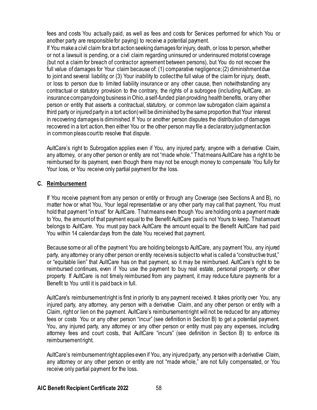fees and costs You actually paid, as well as fees and costs for Services performed for which You or another party are responsible for paying) to receive a potential payment.

If You make a civil claim for a tort action seeking damages for injury, death, or loss to person, whether or not a lawsuit is pending, or a civil claim regarding uninsured or underinsured motorist coverage (but not a claim for breach of contract or agreement between persons), but You do not recover the full value of damages for Your claim because of: (1) comparative negligence; (2) diminishment due to joint and several liability; or (3) Your inability to collect the full value of the claim for injury, death, or loss to person due to limited liability insurance or any other cause, then notwithstanding any contractual or statutory provision to the contrary, the rights of a subrogee (including AultCare, an insurance company doing business in Ohio, a self-funded plan providing health benefits, or any other person or entity that asserts a contractual, statutory, or common law subrogation claim against a third party or injured party in a tort action) will be diminished by the same proportion that Your interest in recovering damages is diminished. If You or another person disputes the distribution of damages recovered in a tort action, then either You or the other person may file a declaratory judgment action in common pleas court to resolve that dispute.

AultCare's right to Subrogation applies even if You, any injured party, anyone with a derivative Claim, any attorney, or any other person or entity are not "made whole." That means AultCare has a right to be reimbursed for its payment, even though there may not be enough money to compensate You fully for Your loss, or You receive only partial payment for the loss.

## **C. Reimbursement**

If You receive payment from any person or entity or through any Coverage (see Sections A and B), no matter how or what You, Your legal representative or any other party may call that payment, You must hold that payment "in trust" for AultCare. That means even though You are holding onto a payment made to You, the amount of that payment equal to the Benefit AultCare paid is not Yours to keep. That amount belongs to AultCare. You must pay back AultCare the amount equal to the Benefit AultCare had paid You within 14 calendar days from the date You received that payment.

Because some or all of the payment You are holding belongs to AultCare, any payment You, any injured party, any attorney or any other person or entity receives is subject to what is called a "constructive trust," or "equitable lien" that AultCare has on that payment, so it may be reimbursed. AultCare's right to be reimbursed continues, even if You use the payment to buy real estate, personal property, or other property. If AultCare is not timely reimbursed from any payment, it may reduce future payments for a Benefit to You until it is paid back in full.

AultCare's reimbursement right is first in priority to any payment received. It takes priority over You, any injured party, any attorney, any person with a derivative Claim, and any other person or entity with a Claim, right or lien on the payment. AultCare's reimbursement right will not be reduced for any attorney fees or costs You or any other person "incur" (see definition in Section B) to get a potential payment. You, any injured party, any attorney or any other person or entity must pay any expenses, including attorney fees and court costs, that AultCare "incurs" (see definition in Section B) to enforce its reimbursement right.

AultCare's reimbursement right applies even if You, any injured party, any person with a derivative Claim, any attorney or any other person or entity are not "made whole," are not fully compensated, or You receive only partial payment for the loss.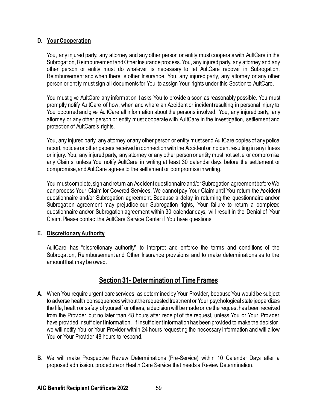## **D. Your Cooperation**

You, any injured party, any attorney and any other person or entity must cooperate with AultCare in the Subrogation, Reimbursement and Other Insurance process. You, any injured party, any attorney and any other person or entity must do whatever is necessary to let AultCare recover in Subrogation, Reimbursement and when there is other Insurance. You, any injured party, any attorney or any other person or entity must sign all documents for You to assign Your rights under this Section to AultCare.

You must give AultCare any information it asks You to provide a soon as reasonably possible. You must promptly notify AultCare of how, when and where an Accident or incident resulting in personal injury to You occurred and give AultCare all information about the persons involved. You, any injured party, any attorney or any other person or entity must cooperate with AultCare in the investigation, settlement and protection of AultCare's rights.

You, any injured party, any attorney or any other person or entity must send AultCare copies of any police report, notices or other papers received in connection with the Accident or incident resulting in any illness or injury. You, any injured party, any attorney or any other person or entity must not settle or compromise any Claims, unless You notify AultCare in writing at least 30 calendar days before the settlement or compromise, and AultCare agrees to the settlement or compromise in writing.

You must complete, sign and return an Accident questionnaire and/or Subrogation agreement before We can process Your Claim for Covered Services. We cannot pay Your Claim until You return the Accident questionnaire and/or Subrogation agreement. Because a delay in returning the questionnaire and/or Subrogation agreement may prejudice our Subrogation rights, Your failure to return a completed questionnaire and/or Subrogation agreement within 30 calendar days, will result in the Denial of Your Claim. Please contact the AultCare Service Center if You have questions.

### **E. Discretionary Authority**

AultCare has "discretionary authority" to interpret and enforce the terms and conditions of the Subrogation, Reimbursement and Other Insurance provisions and to make determinations as to the amount that may be owed.

# **Section 31- Determination of Time Frames**

- **A**. When You require urgent care services, as determined by Your Provider, because You would be subject to adverse health consequences without the requested treatment or Your psychological state jeopardizes the life, health or safety of yourself or others, a decision will be made once the request has been received from the Provider but no later than 48 hours after receipt of the request, unless You or Your Provider have provided insufficient information. If insufficient information has been provided to make the decision, we will notify You or Your Provider within 24 hours requesting the necessary information and will allow You or Your Provider 48 hours to respond.
- **B**. We will make Prospective Review Determinations (Pre-Service) within 10 Calendar Days after a proposed admission, procedure or Health Care Service that needs a Review Determination.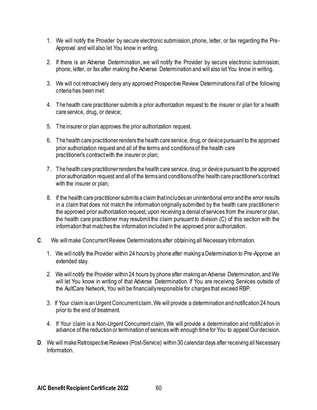- 1. We will notify the Provider by secure electronic submission, phone, letter, or fax regarding the Pre-Approval and will also let You know in writing.
- 2. If there is an Adverse Determination, we will notify the Provider by secure electronic submission, phone, letter, or fax after making the Adverse Determination and will also let You know in writing.
- 3. We will not retroactively deny any approved Prospective Review Determinations if all of the following criteria has been met:
- 4. The health care practitioner submits a prior authorization request to the insurer or plan for a health care service, drug, or device;
- 5. The insurer or plan approves the prior authorization request.
- 6. The health care practitioner renders the health care service, drug, or device pursuant to the approved prior authorization request and all of the terms and conditions of the health care practitioner's contract with the insurer or plan;
- 7. The health care practitioner renders the health care service, drug, or device pursuant to the approved prior authorization request and all of the terms and conditions of the health care practitioner's contract with the insurer or plan:
- 8. If the health care practitioner submits a claim that includes an unintentional error and the error results in a claim that does not match the information originally submitted by the health care practitioner in the approved prior authorization request, upon receiving a denial of services from the insurer or plan, the health care practitioner may resubmit the claim pursuant to division (C) of this section with the information that matches the information included in the approved prior authorization.
- **C**. We will make Concurrent Review Determinations after obtaining all Necessary Information.
	- 1. We will notify the Provider within 24 hours by phone after making a Determination to Pre-Approve an extended stay.
	- 2. We will notify the Provider within 24 hours by phone after making an Adverse Determination, and We will let You know in writing of that Adverse Determination. If You are receiving Services outside of the AultCare Network, You will be financially responsible for charges that exceed RBP.
	- 3. If Your claim is an Urgent Concurrent claim, We will provide a determination and notification 24 hours prior to the end of treatment.
	- 4. If Your claim is a Non-Urgent Concurrent claim, We will provide a determination and notification in advance of the reduction or termination of services with enough time for You to appeal Our decision.
- **D.** We will make Retrospective Reviews (Post-Service) within 30 calendar days after receiving all Necessary Information.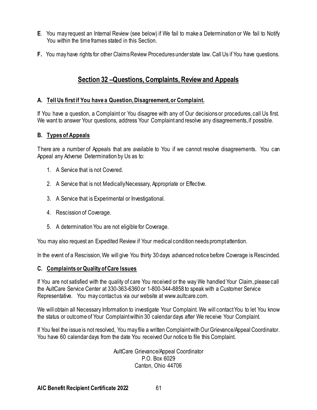- **E**. You may request an Internal Review (see below) if We fail to make a Determination or We fail to Notify You within the time frames stated in this Section.
- **F.** You may have rights for other Claims Review Procedures under state law. Call Us if You have questions.

# **Section 32 –Questions, Complaints, Review and Appeals**

### **A. Tell Us first if You have a Question, Disagreement, or Complaint.**

If You have a question, a Complaint or You disagree with any of Our decisions or procedures, call Us first. We want to answer Your questions, address Your Complaint and resolve any disagreements, if possible.

### **B. Types of Appeals**

There are a number of Appeals that are available to You if we cannot resolve disagreements. You can Appeal any Adverse Determination by Us as to:

- 1. A Service that is not Covered.
- 2. A Service that is not Medically Necessary, Appropriate or Effective.
- 3. A Service that is Experimental or Investigational.
- 4. Rescission of Coverage.
- 5. A determination You are not eligible for Coverage.

You may also request an Expedited Review if Your medical condition needs prompt attention.

In the event of a Rescission, We will give You thirty 30 days advanced notice before Coverage is Rescinded.

### **C. Complaints or Quality of Care Issues**

If You are not satisfied with the quality of care You received or the way We handled Your Claim, please call the AultCare Service Center at 330-363-6360 or 1-800-344-8858 to speak with a Customer Service Representative. You may contact us via our website at www.aultcare.com.

We will obtain all Necessary Information to investigate Your Complaint. We will contact You to let You know the status or outcome of Your Complaint within 30 calendar days after We receive Your Complaint.

If You feel the issue is not resolved, You may file a written Complaint with Our Grievance/Appeal Coordinator. You have 60 calendar days from the date You received Our notice to file this Complaint.

> AultCare Grievance/Appeal Coordinator P.O. Box 6029 Canton, Ohio 44706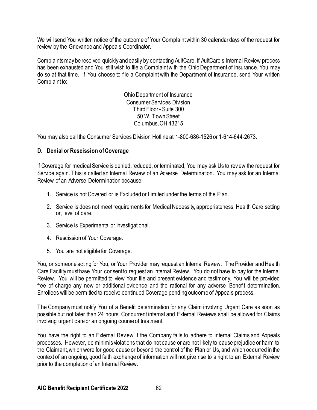We will send You written notice of the outcome of Your Complaint within 30 calendar days of the request for review by the Grievance and Appeals Coordinator.

Complaints may be resolved quickly and easily by contacting AultCare. If AultCare's Internal Review process has been exhausted and You still wish to file a Complaintwith the Ohio Department of Insurance, You may do so at that time. If You choose to file a Complaint with the Department of Insurance, send Your written Complaint to:

> Ohio Department of Insurance Consumer Services Division Third Floor - Suite 300 50 W. Town Street Columbus, OH 43215

You may also call the Consumer Services Division Hotline at 1-800-686-1526 or 1-614-644-2673.

### **D. Denial or Rescission of Coverage**

If Coverage for medical Service is denied, reduced, or terminated, You may ask Us to review the request for Service again. This is called an Internal Review of an Adverse Determination. You may ask for an Internal Review of an Adverse Determination because:

- 1. Service is not Covered or is Excluded or Limited under the terms of the Plan.
- 2. Service is does not meet requirements for Medical Necessity, appropriateness, Health Care setting or, level of care.
- 3. Service is Experimental or Investigational.
- 4. Rescission of Your Coverage.
- 5. You are not eligible for Coverage.

You, or someone acting for You, or Your Provider may request an Internal Review. The Provider and Health Care Facility must have Your consent to request an Internal Review. You do not have to pay for the Internal Review. You will be permitted to view Your file and present evidence and testimony. You will be provided free of charge any new or additional evidence and the rational for any adverse Benefit determination. Enrollees will be permitted to receive continued Coverage pending outcome of Appeals process.

The Company must notify You of a Benefit determination for any Claim involving Urgent Care as soon as possible but not later than 24 hours. Concurrent internal and External Reviews shall be allowed for Claims involving urgent care or an ongoing course of treatment.

You have the right to an External Review if the Company fails to adhere to internal Claims and Appeals processes. However, de minimis violations that do not cause or are not likely to cause prejudice or harm to the Claimant, which were for good cause or beyond the control of the Plan or Us, and which occurred in the context of an ongoing, good faith exchange of information will not give rise to a right to an External Review prior to the completion of an Internal Review.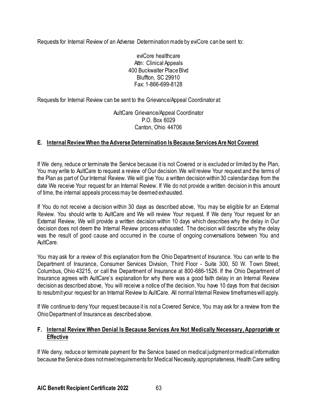Requests for Internal Review of an Adverse Determination made by eviCore can be sent to:

eviCore healthcare Attn: Clinical Appeals 400 Buckwalter Place Blvd Bluffton, SC 29910 Fax: 1-866-699-8128

Requests for Internal Review can be sent to the Grievance/Appeal Coordinator at:

AultCare Grievance/Appeal Coordinator P.O. Box 6029 Canton, Ohio 44706

## **E. Internal ReviewWhen the Adverse Determination Is Because Services Are Not Covered**

If We deny, reduce or terminate the Service because it is not Covered or is excluded or limited by the Plan, You may write to AultCare to request a review of Our decision. We will review Your request and the terms of the Plan as part of Our Internal Review. We will give You a written decision within 30 calendar days from the date We receive Your request for an Internal Review. If We do not provide a written decision in this amount of time, the internal appeals process may be deemed exhausted.

If You do not receive a decision within 30 days as described above, You may be eligible for an External Review. You should write to AultCare and We will review Your request. If We deny Your request for an External Review, We will provide a written decision within 10 days which describes why the delay in Our decision does not deem the Internal Review process exhausted. The decision will describe why the delay was the result of good cause and occurred in the course of ongoing conversations between You and AultCare.

You may ask for a review of this explanation from the Ohio Department of Insurance. You can write to the Department of Insurance, Consumer Services Division, Third Floor - Suite 300, 50 W. Town Street, Columbus, Ohio 43215, or call the Department of Insurance at 800-686-1526. If the Ohio Department of Insurance agrees with AultCare's explanation for why there was a good faith delay in an Internal Review decision as described above, You will receive a notice of the decision. You have 10 days from that decision to resubmit your request for an Internal Review to AultCare. All normal Internal Review timeframes will apply.

If We continue to deny Your request because it is not a Covered Service, You may ask for a review from the Ohio Department of Insurance as described above.

### **F. Internal Review When Denial Is Because Services Are Not Medically Necessary, Appropriate or Effective**

If We deny, reduce or terminate payment for the Service based on medical judgment or medical information because the Service does not meet requirements for Medical Necessity, appropriateness, Health Care setting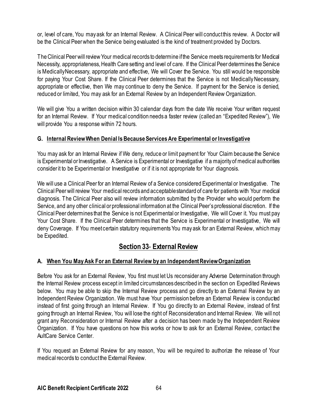or, level of care, You may ask for an Internal Review. A Clinical Peer will conduct this review. A Doctor will be the Clinical Peerwhen the Service being evaluated is the kind of treatment provided by Doctors.

The Clinical Peerwill review Your medical records to determine if the Service meets requirements for Medical Necessity, appropriateness, Health Care setting and level of care. If the Clinical Peer determines the Service is Medically Necessary, appropriate and effective, We will Cover the Service. You still would be responsible for paying Your Cost Share. If the Clinical Peer determines that the Service is not Medically Necessary, appropriate or effective, then We may continue to deny the Service. If payment for the Service is denied, reduced or limited, You may ask for an External Review by an Independent Review Organization.

We will give You a written decision within 30 calendar days from the date We receive Your written request for an Internal Review. If Your medical condition needs a faster review (called an "Expedited Review"), We will provide You a response within 72 hours.

## **G. Internal ReviewWhen Denial Is Because Services Are Experimental or Investigative**

You may ask for an Internal Review if We deny, reduce or limit payment for Your Claim because the Service is Experimental or Investigative. A Service is Experimental or Investigative if a majority of medical authorities consider it to be Experimental or Investigative or if it is not appropriate for Your diagnosis.

We will use a Clinical Peer for an Internal Review of a Service considered Experimental or Investigative. The Clinical Peerwill review Your medical records and acceptable standard of care for patients with Your medical diagnosis. The Clinical Peer also will review information submitted by the Provider who would perform the Service, and any other clinical or professional information at the Clinical Peer's professional discretion. If the Clinical Peer determines that the Service is not Experimental or Investigative, We will Cover it. You must pay Your Cost Share. If the Clinical Peer determines that the Service is Experimental or Investigative, We will deny Coverage. If You meet certain statutory requirements You may ask for an External Review, which may be Expedited.

## **Section 33**- **External Review**

## **A. When You May Ask For an External Review by an Independent Review Organization**

Before You ask for an External Review, You first must let Us reconsider any Adverse Determination through the Internal Review process except in limited circumstances described in the section on Expedited Reviews below. You may be able to skip the Internal Review process and go directly to an External Review by an Independent Review Organization. We must have Your permission before an External Review is conducted instead of first going through an Internal Review. If You go directly to an External Review, instead of first going through an Internal Review, You will lose the right of Reconsideration and Internal Review. We will not grant any Reconsideration or Internal Review after a decision has been made by the Independent Review Organization. If You have questions on how this works or how to ask for an External Review, contact the AultCare Service Center.

If You request an External Review for any reason, You will be required to authorize the release of Your medical records to conduct the External Review.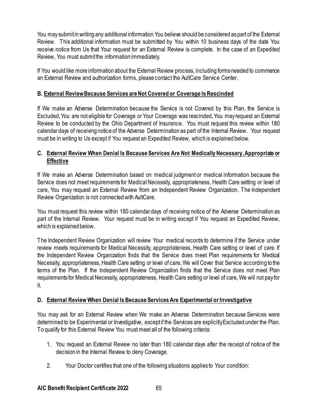You may submit in writing any additional information You believe should be considered as part of the External Review. This additional information must be submitted by You within 10 business days of the date You receive notice from Us that Your request for an External Review is complete. In the case of an Expedited Review, You must submit the information immediately.

If You would like more information about the External Review process, including forms needed to commence an External Review and authorization forms, please contact the AultCare Service Center.

## **B. External ReviewBecause Services are Not Covered or Coverage Is Rescinded**

If We make an Adverse Determination because the Service is not Covered by this Plan, the Service is Excluded, You are not eligible for Coverage or Your Coverage was rescinded, You may request an External Review to be conducted by the Ohio Department of Insurance. You must request this review within 180 calendar days of receiving notice of the Adverse Determination as part of the Internal Review. Your request must be in writing to Us except if You request an Expedited Review, which is explained below.

## **C. External Review When Denial Is Because Services Are Not Medically Necessary, Appropriate or Effective**

If We make an Adverse Determination based on medical judgment or medical information because the Service does not meet requirements for Medical Necessity, appropriateness, Health Care setting or level of care, You may request an External Review from an Independent Review Organization. The Independent Review Organization is not connected with AultCare.

You must request this review within 180 calendar days of receiving notice of the Adverse Determination as part of the Internal Review. Your request must be in writing except if You request an Expedited Review, which is explained below.

The Independent Review Organization will review Your medical records to determine if the Service under review meets requirements for Medical Necessity, appropriateness, Health Care setting or level of care. If the Independent Review Organization finds that the Service does meet Plan requirements for Medical Necessity, appropriateness, Health Care setting or level of care, We will Cover that Service according to the terms of the Plan. If the Independent Review Organization finds that the Service does not meet Plan requirements for Medical Necessity, appropriateness, Health Care setting or level of care, We will not pay for it.

## **D. External Review When Denial Is Because Services Are Experimental or Investigative**

You may ask for an External Review when We make an Adverse Determination because Services were determined to be Experimental or Investigative, except if the Services are explicitly Excluded under the Plan. To qualify for this External Review You must meet all of the following criteria:

- 1. You request an External Review no later than 180 calendar days after the receipt of notice of the decision in the Internal Review to deny Coverage.
- 2. Your Doctor certifies that one of the following situations applies to Your condition: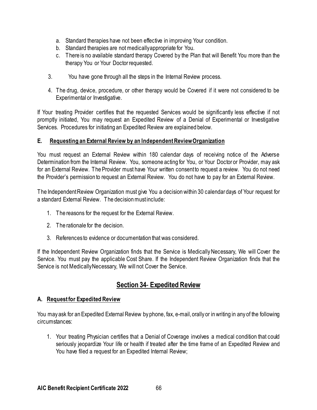- a. Standard therapies have not been effective in improving Your condition.
- b. Standard therapies are not medically appropriate for You.
- c. There is no available standard therapy Covered by the Plan that will Benefit You more than the therapy You or Your Doctorrequested.
- 3. You have gone through all the steps in the Internal Review process.
- 4. The drug, device, procedure, or other therapy would be Covered if it were not considered to be Experimental or Investigative.

If Your treating Provider certifies that the requested Services would be significantly less effective if not promptly initiated, You may request an Expedited Review of a Denial of Experimental or Investigative Services. Procedures for initiating an Expedited Review are explained below.

## **E. Requesting an External Review by an Independent Review Organization**

You must request an External Review within 180 calendar days of receiving notice of the Adverse Determination from the Internal Review. You, someone acting for You, or Your Doctor or Provider, may ask for an External Review. The Provider must have Your written consent to request a review. You do not need the Provider's permission to request an External Review. You do not have to pay for an External Review.

The Independent Review Organization must give You a decision within 30 calendar days of Your request for a standard External Review. The decision must include:

- 1. The reasons for the request for the External Review.
- 2. The rationale for the decision.
- 3. References to evidence or documentation that was considered.

If the Independent Review Organization finds that the Service is Medically Necessary, We will Cover the Service. You must pay the applicable Cost Share. If the Independent Review Organization finds that the Service is not Medically Necessary, We will not Cover the Service.

# **Section 34**- **Expedited Review**

### **A. Request for Expedited Review**

You may ask for an Expedited External Review by phone, fax, e-mail, orally or in writing in any of the following circumstances:

1. Your treating Physician certifies that a Denial of Coverage involves a medical condition that could seriously jeopardize Your life or health if treated after the time frame of an Expedited Review and You have filed a request for an Expedited Internal Review;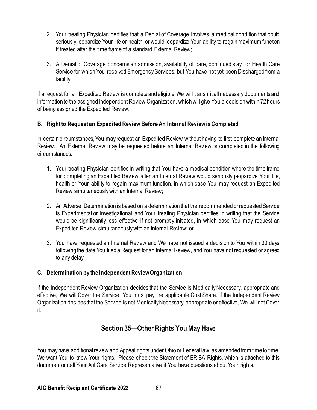- 2. Your treating Physician certifies that a Denial of Coverage involves a medical condition that could seriously jeopardize Your life or health, or would jeopardize Your ability to regain maximum function if treated after the time frame of a standard External Review;
- 3. A Denial of Coverage concerns an admission, availability of care, continued stay, or Health Care Service for which You received Emergency Services, but You have not yet been Discharged from a facility.

If a request for an Expedited Review is complete and eligible, We will transmit all necessary documents and information to the assigned Independent Review Organization, which will give You a decision within 72 hours of being assigned the Expedited Review.

## **B. Right to Request an Expedited Review Before An Internal Reviewis Completed**

In certain circumstances, You may request an Expedited Review without having to first complete an Internal Review. An External Review may be requested before an Internal Review is completed in the following circumstances:

- 1. Your treating Physician certifies in writing that You have a medical condition where the time frame for completing an Expedited Review after an Internal Review would seriously jeopardize Your life, health or Your ability to regain maximum function, in which case You may request an Expedited Review simultaneously with an Internal Review;
- 2. An Adverse Determination is based on a determination that the recommended or requested Service is Experimental or Investigational and Your treating Physician certifies in writing that the Service would be significantly less effective if not promptly initiated, in which case You may request an Expedited Review simultaneously with an Internal Review; or
- 3. You have requested an Internal Review and We have not issued a decision to You within 30 days following the date You filed a Request for an Internal Review, and You have not requested or agreed to any delay.

## **C. Determination by the Independent Review Organization**

If the Independent Review Organization decides that the Service is Medically Necessary, appropriate and effective, We will Cover the Service. You must pay the applicable Cost Share. If the Independent Review Organization decides that the Service is not Medically Necessary, appropriate or effective, We will not Cover it.

# **Section 35—Other Rights You May Have**

You may have additional review and Appeal rights under Ohio or Federal law, as amended from time to time. We want You to know Your rights. Please check the Statement of ERISA Rights, which is attached to this document or call Your AultCare Service Representative if You have questions about Your rights.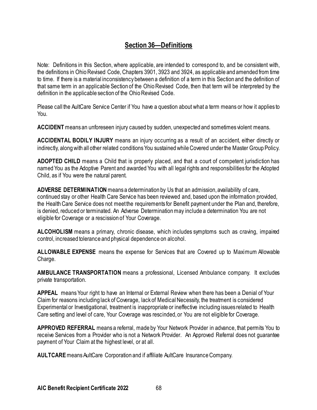# **Section 36—Definitions**

Note: Definitions in this Section, where applicable, are intended to correspond to, and be consistent with, the definitions in Ohio Revised Code, Chapters 3901, 3923 and 3924, as applicable and amended from time to time. If there is a material inconsistency between a definition of a term in this Section and the definition of that same term in an applicable Section of the Ohio Revised Code, then that term will be interpreted by the definition in the applicable section of the Ohio Revised Code.

Please call the AultCare Service Center if You have a question about what a term means or how it applies to You.

**ACCIDENT** means an unforeseen injury caused by sudden, unexpected and sometimes violent means.

**ACCIDENTAL BODILY INJURY** means an injury occurring as a result of an accident, either directly or indirectly, along with all other related conditions You sustained while Covered under the Master Group Policy.

**ADOPTED CHILD** means a Child that is properly placed, and that a court of competent jurisdiction has named You as the Adoptive Parent and awarded You with all legal rights and responsibilities for the Adopted Child, as if You were the natural parent.

**ADVERSE DETERMINATION**means a determination by Us that an admission, availability of care, continued stay or other Health Care Service has been reviewed and, based upon the information provided, the Health Care Service does not meet the requirements for Benefit payment under the Plan and, therefore, is denied, reduced or terminated. An Adverse Determination may include a determination You are not eligible for Coverage or a rescission of Your Coverage.

**ALCOHOLISM** means a primary, chronic disease, which includes symptoms such as craving, impaired control, increased tolerance and physical dependence on alcohol.

**ALLOWABLE EXPENSE** means the expense for Services that are Covered up to Maximum Allowable Charge.

**AMBULANCE TRANSPORTATION** means a professional, Licensed Ambulance company. It excludes private transportation.

**APPEAL** means Your right to have an Internal or External Review when there has been a Denial of Your Claim for reasons including lack of Coverage, lack of Medical Necessity, the treatment is considered Experimental or Investigational, treatment is inappropriate or ineffective including issues related to Health Care setting and level of care, Your Coverage was rescinded, or You are not eligible for Coverage.

**APPROVED REFERRAL** means a referral, made by Your Network Provider in advance, that permits You to receive Services from a Provider who is not a Network Provider. An Approved Referral does not guarantee payment of Your Claim at the highest level, or at all.

**AULTCARE** means AultCare Corporation and if affiliate AultCare Insurance Company.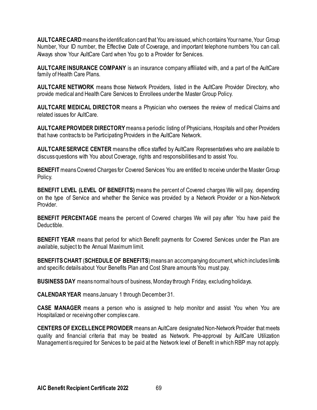**AULTCARE CARD** means the identification card that You are issued, which contains Your name, Your Group Number, Your ID number, the Effective Date of Coverage, and important telephone numbers You can call. Always show Your AultCare Card when You go to a Provider for Services.

**AULTCARE INSURANCE COMPANY** is an insurance company affiliated with, and a part of the AultCare family of Health Care Plans.

**AULTCARE NETWORK** means those Network Providers, listed in the AultCare Provider Directory, who provide medical and Health Care Services to Enrollees under the Master Group Policy.

**AULTCARE MEDICAL DIRECTOR** means a Physician who oversees the review of medical Claims and related issues for AultCare.

**AULTCARE PROVIDER DIRECTORY**means a periodic listing of Physicians, Hospitals and other Providers that have contracts to be Participating Providers in the AultCare Network.

**AULTCARE SERVICE CENTER** means the office staffed by AultCare Representatives who are available to discuss questions with You about Coverage, rights and responsibilities and to assist You.

**BENEFIT** means Covered Charges for Covered Services You are entitled to receive under the Master Group Policy.

**BENEFIT LEVEL (LEVEL OF BENEFITS)** means the percent of Covered charges We will pay, depending on the type of Service and whether the Service was provided by a Network Provider or a Non-Network Provider.

**BENEFIT PERCENTAGE** means the percent of Covered charges We will pay after You have paid the Deductible.

**BENEFIT YEAR** means that period for which Benefit payments for Covered Services under the Plan are available, subject to the Annual Maximum limit.

**BENEFITS CHART** (**SCHEDULE OF BENEFITS**) means an accompanying document, which includes limits and specific details about Your Benefits Plan and Cost Share amounts You must pay.

**BUSINESS DAY** means normal hours of business, Monday through Friday, excluding holidays.

**CALENDAR YEAR** means January 1 through December 31.

**CASE MANAGER** means a person who is assigned to help monitor and assist You when You are Hospitalized or receiving other complex care.

**CENTERS OF EXCELLENCE PROVIDER** means an AultCare designated Non-Network Provider that meets quality and financial criteria that may be treated as Network. Pre-approval by AultCare Utilization Management is required for Services to be paid at the Network level of Benefit in which RBP may not apply.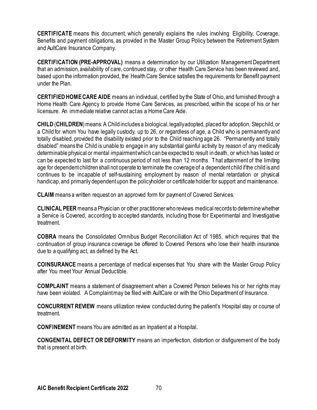**CERTIFICATE** means this document, which generally explains the rules involving Eligibility, Coverage, Benefits and payment obligations, as provided in the Master Group Policy between the Retirement System and AultCare Insurance Company.

**CERTIFICATION (PRE-APPROVAL)** means a determination by our Utilization Management Department that an admission, availability of care, continued stay, or other Health Care Service has been reviewed and, based upon the information provided, the Health Care Service satisfies the requirements for Benefit payment under the Plan.

**CERTIFIED HOME CARE AIDE** means an individual, certified by the State of Ohio, and furnished through a Home Health Care Agency to provide Home Care Services, as prescribed, within the scope of his or her licensure. An immediate relative cannot act as a Home Care Aide.

**CHILD**(**CHILDREN**)means:A Child includes a biological, legally adopted, placed for adoption, Stepchild, or a Child for whom You have legally custody, up to 26, or regardless of age, a Child who is permanently and totally disabled, provided the disability existed prior to the Child reaching age 26. "Permanently and totally disabled" means the Child is unable to engage in any substantial gainful activity by reason of any medically determinable physical or mental impairment which can be expected to result in death, or which has lasted or can be expected to last for a continuous period of not less than 12 months That attainment of the limiting age for dependent children shall not operate to terminate the coverage of a dependent child if the child is and continues to be incapable of self-sustaining employment by reason of mental retardation or physical handicap, and primarily dependent upon the policyholder or certificate holder for support and maintenance.

**CLAIM** means a written request on an approved form for payment of Covered Services.

**CLINICAL PEER** means a Physician or other practitioner who reviews medical records to determine whether a Service is Covered, according to accepted standards, including those for Experimental and Investigative treatment.

**COBRA** means the Consolidated Omnibus Budget Reconciliation Act of 1985, which requires that the continuation of group insurance coverage be offered to Covered Persons who lose their health insurance due to a qualifying act, as defined by the Act.

**COINSURANCE** means a percentage of medical expenses that You share with the Master Group Policy after You meet Your Annual Deductible.

**COMPLAINT** means a statement of disagreement when a Covered Person believes his or her rights may have been violated. A Complaint may be filed with AultCare or with the Ohio Department of Insurance.

**CONCURRENT REVIEW** means utilization review conducted during the patient's Hospital stay or course of treatment.

**CONFINEMENT** means You are admitted as an Inpatient at a Hospital.

**CONGENITAL DEFECT OR DEFORMITY** means an imperfection, distortion or disfigurement of the body that is present at birth.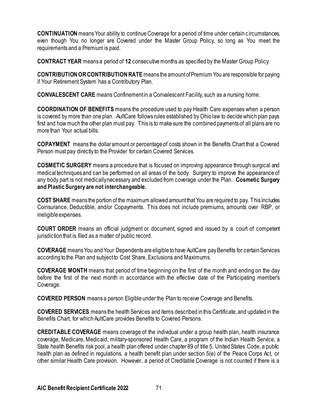**CONTINUATION** means Your ability to continue Coverage for a period of time under certain c ircumstances, even though You no longer are Covered under the Master Group Policy, so long as You meet the requirements and a Premium is paid.

**CONTRACT YEAR** means a period of **12** consecutive months as specified by the Master Group Policy.

**CONTRIBUTION OR CONTRIBUTION RATE** means the amount of Premium You are responsible for paying if Your Retirement System has a Contributory Plan.

**CONVALESCENT CARE** means Confinement in a Convalescent Facility, such as a nursing home.

**COORDINATION OF BENEFITS** means the procedure used to pay Health Care expenses when a person is covered by more than one plan. AultCare follows rules established by Ohio law to decide which plan pays first and how much the other plan must pay. This is to make sure the combined payments of all plans are no more than Your actual bills.

**COPAYMENT** means the dollar amount or percentage of costs shown in the Benefits Chart that a Covered Person must pay directly to the Provider for certain Covered Services.

**COSMETIC SURGERY** means a procedure that is focused on improving appearance through surgical and medical techniques and can be performed on all areas of the body. Surgery to improve the appearance of any body part is not medically necessary and excluded from coverage under the Plan. **Cosmetic Surgery and Plastic Surgery are not interchangeable.** 

**COST SHARE** means the portion of the maximum allowed amount that You are required to pay. This includes Coinsurance, Deductible, and/or Copayments. This does not include premiums, amounts over RBP, or ineligible expenses.

**COURT ORDER** means an official judgment or document, signed and issued by a court of competent jurisdiction that is filed as a matter of public record.

**COVERAGE** means You and Your Dependents are eligible to have AultCare pay Benefits for certain Services according to the Plan and subject to Cost Share, Exclusions and Maximums.

**COVERAGE MONTH** means that period of time beginning on the first of the month and ending on the day before the first of the next month in accordance with the effective date of the Participating member's Coverage.

**COVERED PERSON** means a person Eligible under the Plan to receive Coverage and Benefits.

**COVERED SERVICES** means the health Services and items described in this Certificate, and updated in the Benefits Chart, for which AultCare provides Benefits to Covered Persons.

**CREDITABLE COVERAGE** means coverage of the individual under a group health plan, health insurance coverage, Medicare, Medicaid, military-sponsored Health Care, a program of the Indian Health Service, a State health Benefits risk pool, a health plan offered under chapter 89 of title 5, United States Code, a public health plan as defined in regulations, a health benefit plan under section 5(e) of the Peace Corps Act, or other similar Health Care provision. However, a period of Creditable Coverage is not counted if there is a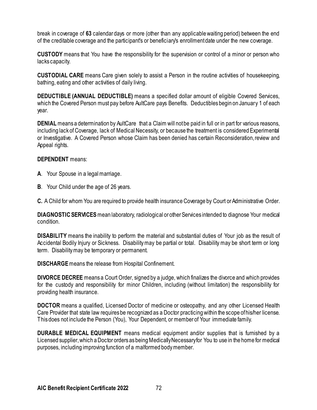break in coverage of **63** calendar days or more (other than any applicable waiting period) between the end of the creditable coverage and the participant's or beneficiary's enrollment date under the new coverage.

**CUSTODY** means that You have the responsibility for the supervision or control of a minor or person who lacks capacity.

**CUSTODIAL CARE** means Care given solely to assist a Person in the routine activities of housekeeping, bathing, eating and other activities of daily living.

**DEDUCTIBLE (ANNUAL DEDUCTIBLE)** means a specified dollar amount of eligible Covered Services, which the Covered Person must pay before AultCare pays Benefits. Deductibles begin on January 1 of each year.

**DENIAL** means a determination by AultCare that a Claim will not be paid in full or in part for various reasons, including lack of Coverage, lack of Medical Necessity, or because the treatment is considered Experimental or Investigative. A Covered Person whose Claim has been denied has certain Reconsideration, review and Appeal rights.

### **DEPENDENT** means:

- **A**. Your Spouse in a legal marriage.
- **B**. Your Child under the age of 26 years.

**C.** A Child for whom You are required to provide health insurance Coverage by Court or Administrative Order.

**DIAGNOSTIC SERVICES**mean laboratory, radiological or other Services intended to diagnose Your medical condition.

**DISABILITY** means the inability to perform the material and substantial duties of Your job as the result of Accidental Bodily Injury or Sickness. Disability may be partial or total. Disability may be short term or long term. Disability may be temporary or permanent.

**DISCHARGE** means the release from Hospital Confinement.

**DIVORCE DECREE** means a Court Order, signed by a judge, which finalizes the divorce and which provides for the custody and responsibility for minor Children, including (without limitation) the responsibility for providing health insurance.

**DOCTOR** means a qualified, Licensed Doctor of medicine or osteopathy, and any other Licensed Health Care Provider that state law requires be recognized as a Doctor practicing within the scope of his/her license. This does not include the Person (You), Your Dependent, or member of Your immediate family.

**DURABLE MEDICAL EQUIPMENT** means medical equipment and/or supplies that is furnished by a Licensed supplier, which a Doctor orders as being Medically Necessary for You to use in the home for medical purposes, including improving function of a malformed body member.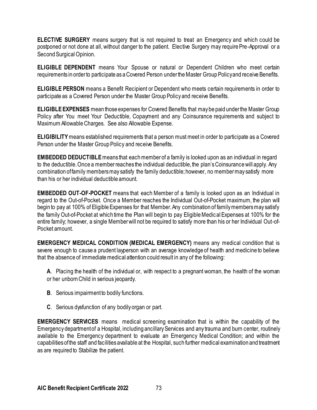**ELECTIVE SURGERY** means surgery that is not required to treat an Emergency and which could be postponed or not done at all, without danger to the patient. Elective Surgery may require Pre-Approval or a Second Surgical Opinion.

**ELIGIBLE DEPENDENT** means Your Spouse or natural or Dependent Children who meet certain requirements in order to participate as a Covered Person under the Master Group Policy and receive Benefits.

**ELIGIBLE PERSON** means a Benefit Recipient or Dependent who meets certain requirements in order to participate as a Covered Person under the Master Group Policy and receive Benefits.

**ELIGIBLE EXPENSES** mean those expenses for Covered Benefits that may be paid under the Master Group Policy after You meet Your Deductible, Copayment and any Coinsurance requirements and subject to Maximum Allowable Charges. See also Allowable Expense.

**ELIGIBILITY** means established requirements that a person must meet in order to participate as a Covered Person under the Master Group Policy and receive Benefits.

**EMBEDDED DEDUCTIBLE**means that each member of a family is looked upon as an individual in regard to the deductible. Once a member reaches the individual deductible, the plan's Coinsurance will apply. Any combination of family members may satisfy the family deductible; however, no member may satisfy more than his or her individual deductible amount.

**EMBEDDED OUT-OF-POCKET** means that each Member of a family is looked upon as an Individual in regard to the Out-of-Pocket. Once a Member reaches the Individual Out-of-Pocket maximum, the plan will begin to pay at 100% of Eligible Expenses for that Member. Any combination of family members may satisfy the family Out-of-Pocket at which time the Plan will begin to pay Eligible Medical Expenses at 100% for the entire family; however, a single Member will not be required to satisfy more than his or her Individual Out-of-Pocket amount.

**EMERGENCY MEDICAL CONDITION (MEDICAL EMERGENCY)** means any medical condition that is severe enough to cause a prudent layperson with an average knowledge of health and medicine to believe that the absence of immediate medical attention could result in any of the following:

**A**. Placing the health of the individual or, with respect to a pregnant woman, the health of the woman or her unborn Child in serious jeopardy.

- **B**. Serious impairment to bodily functions.
- **C**. Serious dysfunction of any bodily organ or part.

**EMERGENCY SERVICES** means medical screening examination that is within the capability of the Emergency department of a Hospital, including ancillary Services and any trauma and burn center, routinely available to the Emergency department to evaluate an Emergency Medical Condition; and within the capabilities of the staff and facilities available at the Hospital, such further medical examination and treatment as are required to Stabilize the patient.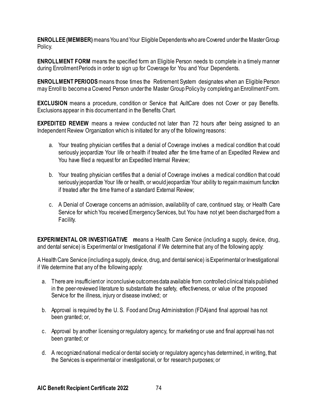**ENROLLEE (MEMBER)** means You and Your Eligible Dependents who are Covered under the Master Group Policy.

**ENROLLMENT FORM** means the specified form an Eligible Person needs to complete in a timely manner during Enrollment Periods in order to sign up for Coverage for You and Your Dependents.

**ENROLLMENT PERIODS** means those times the Retirement System designates when an Eligible Person may Enroll to become a Covered Person under the Master Group Policy by completing an Enrollment Form.

**EXCLUSION** means a procedure, condition or Service that AultCare does not Cover or pay Benefits. Exclusions appear in this document and in the Benefits Chart.

**EXPEDITED REVIEW** means a review conducted not later than 72 hours after being assigned to an Independent Review Organization which is initiated for any of the following reasons:

- a. Your treating physician certifies that a denial of Coverage involves a medical condition that could seriously jeopardize Your life or health if treated after the time frame of an Expedited Review and You have filed a request for an Expedited Internal Review;
- b. Your treating physician certifies that a denial of Coverage involves a medical condition that could seriously jeopardize Your life or health, or would jeopardize Your ability to regain maximum function if treated after the time frame of a standard External Review;
- c. A Denial of Coverage concerns an admission, availability of care, continued stay, or Health Care Service for which You received Emergency Services, but You have not yet been discharged from a Facility.

**EXPERIMENTAL OR INVESTIGATIVE** means a Health Care Service (including a supply, device, drug, and dental service) is Experimental or Investigational if We determine that any of the following apply:

A Health Care Service (including a supply, device, drug, and dental service) is Experimental or Investigational if We determine that any of the following apply:

- a. There are insufficient or inconclusive outcomes data available from controlled clinical trials published in the peer-reviewed literature to substantiate the safety, effectiveness, or value of the proposed Service for the illness, injury or disease involved; or
- b. Approval is required by the U. S. Food and Drug Administration (FDA)and final approval has not been granted; or,
- c. Approval by another licensing or regulatory agency, for marketing or use and final approval has not been granted; or
- d. A recognized national medical or dental society or regulatory agency has determined, in writing, that the Services is experimental or investigational, or for research purposes; or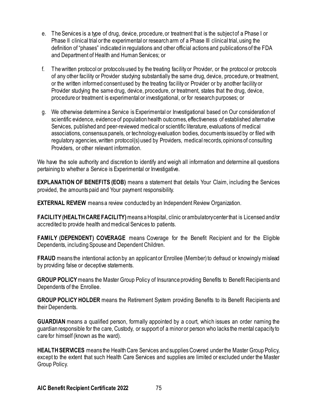- e. The Services is a type of drug, device, procedure, or treatment that is the subject of a Phase I or Phase II clinical trial or the experimental or research arm of a Phase III clinical trial, using the definition of "phases" indicated in regulations and other official actions and publications of the FDA and Department of Health and Human Services; or
- f. The written protocol or protocols used by the treating facility or Provider, or the protocol or protocols of any other facility or Provider studying substantially the same drug, device, procedure, or treatment, or the written informed consent used by the treating fac ility or Provider or by another facility or Provider studying the same drug, device, procedure, or treatment, states that the drug, device, procedure or treatment is experimental or investigational, or for research purposes; or
- g. We otherwise determine a Service is Experimental or Investigational based on Our consideration of scientific evidence, evidence of population health outcomes, effectiveness of established alternative Services, published and peer-reviewed medical or scientific literature, evaluations of medical associations, consensus panels, or technology evaluation bodies, documents issued by or filed with regulatory agencies, written protocol(s) used by Providers, medical records, opinions of consulting Providers, or other relevant information.

We have the sole authority and discretion to identify and weigh all information and determine all questions pertaining to whether a Service is Experimental or Investigative.

**EXPLANATION OF BENEFITS (EOB)** means a statement that details Your Claim, including the Services provided, the amounts paid and Your payment responsibility.

**EXTERNAL REVIEW** means a review conducted by an Independent Review Organization.

**FACILITY (HEALTH CARE FACILITY)**means a Hospital, clinic or ambulatory center that is Licensed and/or accredited to provide health and medical Services to patients.

**FAMILY (DEPENDENT) COVERAGE** means Coverage for the Benefit Recipient and for the Eligible Dependents, including Spouse and Dependent Children.

**FRAUD** means the intentional action by an applicant or Enrollee (Member) to defraud or knowingly mislead by providing false or deceptive statements.

**GROUP POLICY**means the Master Group Policy of Insurance providing Benefits to Benefit Recipients and Dependents of the Enrollee.

**GROUP POLICY HOLDER** means the Retirement System providing Benefits to its Benefit Recipients and their Dependents.

**GUARDIAN** means a qualified person, formally appointed by a court, which issues an order naming the guardian responsible for the care, Custody, or support of a minor or person who lacks the mental capacity to care for himself (known as the ward).

**HEALTH SERVICES** means the Health Care Services and supplies Covered under the Master Group Policy, except to the extent that such Health Care Services and supplies are limited or excluded under the Master Group Policy.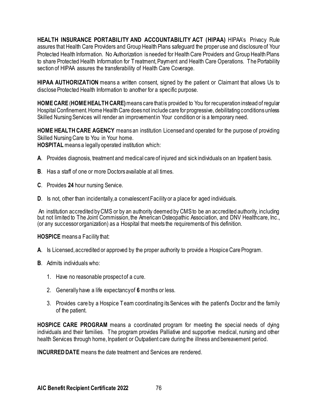**HEALTH INSURANCE PORTABILITY AND ACCOUNTABILITY ACT (HIPAA) HIPAA's Privacy Rule** assures that Health Care Providers and Group Health Plans safeguard the proper use and disclosure of Your Protected Health Information. No Authorization is needed for Health Care Providers and Group Health Plans to share Protected Health Information for Treatment, Payment and Health Care Operations. The Portability section of HIPAA assures the transferability of Health Care Coverage.

**HIPAA AUTHORIZATION** means a written consent, signed by the patient or Claimant that allows Us to disclose Protected Health Information to another for a specific purpose.

**HOME CARE**(**HOME HEALTH CARE)** means care that is provided to You for recuperation instead of regular Hospital Confinement. Home Health Care does not include care for progressive, debilitating conditions unless Skilled Nursing Services will render an improvement in Your condition or is a temporary need.

**HOME HEALTH CARE AGENCY** means an institution Licensed and operated for the purpose of providing Skilled Nursing Care to You in Your home.

**HOSPITAL** means a legally operated institution which:

- **A**. Provides diagnosis, treatment and medical care of injured and sick individuals on an Inpatient basis.
- **B**. Has a staff of one or more Doctors available at all times.
- **C**. Provides **24** hour nursing Service.
- **D**. Is not, other than incidentally, a convalescent Facility or a place for aged individuals.

An institution accredited by CMS or by an authority deemed by CMS to be an accredited authority, including but not limited to The Joint Commission, the American Osteopathic Association, and DNV Healthcare, Inc., (or any successor organization) as a Hospital that meets the requirements of this definition.

**HOSPICE** means a Facility that:

- **A**. Is Licensed, accredited or approved by the proper authority to provide a Hospice Care Program.
- **B**. Admits individuals who:
	- 1. Have no reasonable prospect of a cure.
	- 2. Generally have a life expectancy of **6** months or less.
	- 3. Provides care by a Hospice Team coordinating its Services with the patient's Doctor and the family of the patient.

**HOSPICE CARE PROGRAM** means a coordinated program for meeting the special needs of dying individuals and their families. The program provides Palliative and supportive medical, nursing and other health Services through home, Inpatient or Outpatient care during the illness and bereavement period.

**INCURRED DATE** means the date treatment and Services are rendered.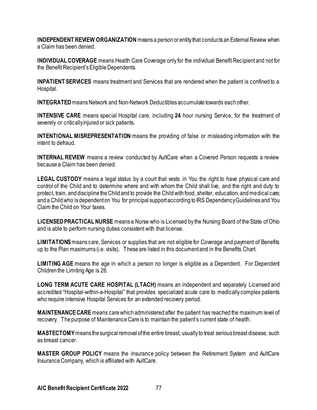**INDEPENDENT REVIEW ORGANIZATION** means a person or entity that conducts an External Review when a Claim has been denied.

**INDIVIDUAL COVERAGE** means Health Care Coverage only for the individual Benefit Recipient and not for the Benefit Recipient's Eligible Dependents.

**INPATIENT SERVICES** means treatment and Services that are rendered when the patient is confined to a Hospital.

**INTEGRATED**means Network and Non-Network Deductibles accumulate towards each other.

**INTENSIVE CARE** means special Hospital care, including **24** hour nursing Service, for the treatment of severely or critically injured or sick patients.

**INTENTIONAL MISREPRESENTATION** means the providing of false or misleading information with the intent to defraud.

**INTERNAL REVIEW** means a review conducted by AultCare when a Covered Person requests a review because a Claim has been denied.

**LEGAL CUSTODY** means a legal status by a court that vests in You the right to have physical care and control of the Child and to determine where and with whom the Child shall live, and the right and duty to protect, train, and discipline the Child and to provide the Child with food, shelter, education, and medical care; and a Child who is dependent on You for principal support according to IRS Dependency Guidelines and You Claim the Child on Your taxes.

**LICENSED PRACTICAL NURSE** means a Nurse who is Licensed by the Nursing Board of the State of Ohio and is able to perform nursing duties consistent with that license.

**LIMITATIONS**means care, Services or supplies that are not eligible for Coverage and payment of Benefits up to the Plan maximums (i.e. visits). These are listed in this document and in the Benefits Chart.

**LIMITING AGE** means the age in which a person no longer is eligible as a Dependent. For Dependent Children the Limiting Age is 26.

**LONG TERM ACUTE CARE HOSPITAL (LTACH)** means an independent and separately Licensed and accredited "Hospital-within-a-Hospital" that provides specialized acute care to medically complex patients who require intensive Hospital Services for an extended recovery period.

**MAINTENANCE CARE** means care which administered after the patient has reached the maximum level of recovery. The purpose of Maintenance Care is to maintain the patient's current state of health.

**MASTECTOMY**means the surgical removal of the entire breast, usually to treat serious breast disease, such as breast cancer.

**MASTER GROUP POLICY** means the insurance policy between the Retirement System and AultCare Insurance Company, which is affiliated with AultCare.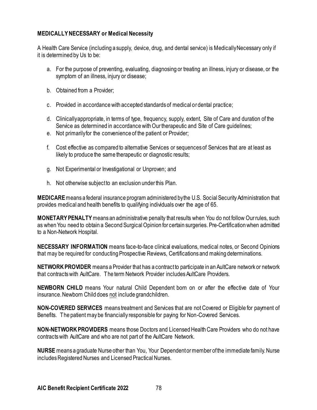#### **MEDICALLY NECESSARY or Medical Necessity**

A Health Care Service (including a supply, device, drug, and dental service) is Medically Necessary only if it is determined by Us to be:

- a. For the purpose of preventing, evaluating, diagnosing or treating an illness, injury or disease, or the symptom of an illness, injury or disease;
- b. Obtained from a Provider;
- c. Provided in accordance with accepted standards of medical or dental practice;
- d. Clinically appropriate, in terms of type, frequency, supply, extent, Site of Care and duration of the Service as determined in accordance with Our therapeutic and Site of Care guidelines;
- e. Not primarily for the convenience of the patient or Provider;
- f. Cost effective as compared to alternative Services or sequences of Services that are at least as likely to produce the same therapeutic or diagnostic results;
- g. Not Experimental or Investigational or Unproven; and
- h. Not otherwise subject to an exclusion under this Plan.

**MEDICARE** means a federal insurance program administered by the U.S. Social Security Administration that provides medical and health benefits to qualifying individuals over the age of 65.

**MONETARY PENALTY** means an administrative penalty that results when You do not follow Our rules, such as when You need to obtain a Second Surgical Opinion for certain surgeries. Pre-Certification when admitted to a Non-Network Hospital.

**NECESSARY INFORMATION** means face-to-face clinical evaluations, medical notes, or Second Opinions that may be required for conducting Prospective Reviews, Certifications and making determinations.

**NETWORK PROVIDER** means a Provider that has a contract to participate in an AultCare network or network that contracts with AultCare. The term Network Provider includes AultCare Providers.

**NEWBORN CHILD** means Your natural Child Dependent born on or after the effective date of Your insurance. Newborn Child does not include grandchildren.

**NON-COVERED SERVICES** means treatment and Services that are not Covered or Eligible for payment of Benefits. The patient may be financially responsible for paying for Non-Covered Services.

**NON-NETWORK PROVIDERS** means those Doctors and Licensed Health Care Providers who do not have contracts with AultCare and who are not part of the AultCare Network.

**NURSE** means a graduate Nurse other than You, Your Dependent or member of the immediate family. Nurse includes Registered Nurses and Licensed Practical Nurses.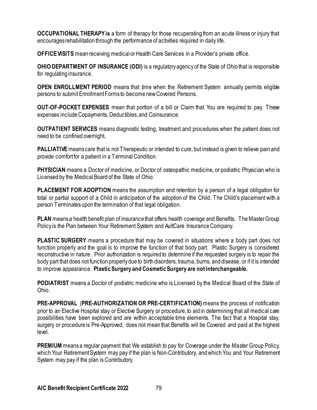**OCCUPATIONAL THERAPY is** a form of therapy for those recuperating from an acute illness or injury that encourages rehabilitation through the performance of activities required in daily life.

**OFFICE VISITS** mean receiving medical or Health Care Services in a Provider's private office.

**OHIO DEPARTMENT OF INSURANCE (ODI)** is a regulatory agency of the State of Ohio that is responsible for regulating insurance.

**OPEN ENROLLMENT PERIOD** means that time when the Retirement System annually permits eligible persons to submit Enrollment Forms to become new Covered Persons.

**OUT-OF-POCKET EXPENSES** mean that portion of a bill or Claim that You are required to pay. These expenses include Copayments, Deductibles, and Coinsurance.

**OUTPATIENT SERVICES** means diagnostic testing, treatment and procedures when the patient does not need to be confined overnight.

**PALLIATIVE** means care that is not Therapeutic or intended to cure, but instead is given to relieve pain and provide comfort for a patient in a Terminal Condition.

**PHYSICIAN** means a Doctor of medicine, or Doctor of osteopathic medicine, or podiatric Physician who is Licensed by the Medical Board of the State of Ohio.

**PLACEMENT FOR ADOPTION** means the assumption and retention by a person of a legal obligation for total or partial support of a Child in anticipation of the adoption of the Child. The Child's placement with a person Terminates upon the termination of that legal obligation.

**PLAN** means a health benefit plan of insurance that offers health coverage and Benefits. The Master Group Policy is the Plan between Your Retirement System and AultCare Insurance Company.

**PLASTIC SURGERY** means a procedure that may be covered in situations where a body part does not function properly and the goal is to improve the function of that body part. Plastic Surgery is considered reconstructive in nature. Prior authorization is required to determine if the requested surgery is to repair the body part that does not function properly due to birth disorders, trauma, burns, and disease, or if it is intended to improve appearance. **Plastic Surgery and Cosmetic Surgery are not interchangeable.**

**PODIATRIST** means a Doctor of podiatric medicine who is Licensed by the Medical Board of the State of Ohio.

**PRE-APPROVAL** (**PRE-AUTHORIZATION OR PRE-CERTIFICATION)** means the process of notification prior to an Elective Hospital stay or Elective Surgery or procedure, to aid in determining that all medical care possibilities have been explored and are within acceptable time elements. The fact that a Hospital stay, surgery or procedure is Pre-Approved, does not mean that Benefits will be Covered and paid at the highest level.

**PREMIUM** means a regular payment that We establish to pay for Coverage under the Master Group Policy, which Your Retirement System may pay if the plan is Non-Contributory, and which You and Your Retirement System may pay if the plan is Contributory.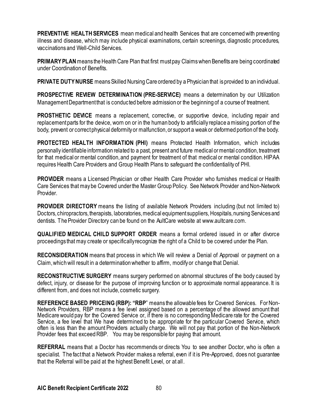**PREVENTIVE HEALTH SERVICES** mean medical and health Services that are concerned with preventing illness and disease, which may include physical examinations, certain screenings, diagnostic procedures, vaccinations and Well-Child Services.

**PRIMARY PLAN**means the Health Care Plan that first must pay Claimswhen Benefits are being coordinated under Coordination of Benefits.

**PRIVATE DUTY NURSE** means Skilled Nursing Care ordered by a Physician that is provided to an individual.

**PROSPECTIVE REVIEW DETERMINATION (PRE-SERVICE)** means a determination by our Utilization Management Department that is conducted before admission or the beginning of a course of treatment.

**PROSTHETIC DEVICE** means a replacement, corrective, or supportive device, including repair and replacement parts for the device, worn on or in the human body to artificially replace a missing portion of the body, prevent or correct physical deformity or malfunction, or support a weak or deformed portion of the body.

**PROTECTED HEALTH INFORMATION (PHI)** means Protected Health Information, which includes personally identifiable information related to a past, present and future medical or mental condition, treatment for that medical or mental condition, and payment for treatment of that medical or mental condition. HIPAA requires Health Care Providers and Group Health Plans to safeguard the confidentiality of PHI.

**PROVIDER** means a Licensed Physician or other Health Care Provider who furnishes medical or Health Care Services that may be Covered under the Master Group Policy. See Network Provider and Non-Network Provider.

**PROVIDER DIRECTORY** means the listing of available Network Providers including (but not limited to) Doctors, chiropractors, therapists, laboratories, medical equipment suppliers, Hospitals, nursing Services and dentists. The Provider Directory can be found on the AultCare website at www.aultcare.com.

**QUALIFIED MEDICAL CHILD SUPPORT ORDER** means a formal ordered issued in or after divorce proceedings that may create or specifically recognize the right of a Child to be covered under the Plan.

**RECONSIDERATION** means that process in which We will review a Denial of Approval or payment on a Claim, which will result in a determination whether to affirm, modify or change that Denial.

**RECONSTRUCTIVE SURGERY** means surgery performed on abnormal structures of the body caused by defect, injury, or disease for the purpose of improving function or to approximate normal appearance. It is different from, and does not include, cosmetic surgery.

**REFERENCE BASED PRICEING (RBP): "RBP**" means the allowable fees for Covered Services. For Non-Network Providers, RBP means a fee level assigned based on a percentage of the allowed amount that Medicare would pay for the Covered Service or, if there is no corresponding Medicare rate for the Covered Service, a fee level that We have determined to be appropriate for the particular Covered Service, which often is less than the amount Providers actually charge. We will not pay that portion of the Non-Network Provider fees that exceed RBP. You may be responsible for paying that amount.

**REFERRAL** means that a Doctor has recommends or directs You to see another Doctor, who is often a specialist. The fact that a Network Provider makes a referral, even if it is Pre-Approved, does not guarantee that the Referral will be paid at the highest Benefit Level, or at all.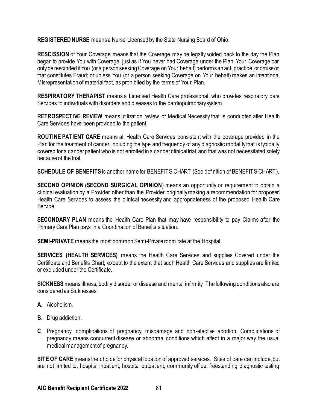**REGISTERED NURSE** means a Nurse Licensed by the State Nursing Board of Ohio.

**RESCISSION** of Your Coverage means that the Coverage may be legally voided back to the day the Plan began to provide You with Coverage, just as if You never had Coverage under the Plan. Your Coverage can only be rescinded if You (or a person seeking Coverage on Your behalf) performs an act, practice, or omission that constitutes Fraud; or unless You (or a person seeking Coverage on Your behalf) makes an Intentional Misrepresentation of material fact, as prohibited by the terms of Your Plan.

**RESPIRATORY THERAPIST** means a Licensed Health Care professional, who provides respiratory care Services to individuals with disorders and diseases to the cardiopulmonary system.

**RETROSPECTIVE REVIEW** means utilization review of Medical Necessity that is conducted after Health Care Services have been provided to the patient.

**ROUTINE PATIENT CARE** means all Health Care Services consistent with the coverage provided in the Plan for the treatment of cancer, including the type and frequency of any diagnostic modality that is typically covered for a cancer patient who is not enrolled in a cancer clinical trial, and that was not necessitated solely because of the trial.

**SCHEDULE OF BENEFITS** is another name for BENEFITS CHART (See definition of BENEFITS CHART).

**SECOND OPINION** (**SECOND SURGICAL OPINION**) means an opportunity or requirement to obtain a clinical evaluation by a Provider other than the Provider originally making a recommendation for proposed Health Care Services to assess the clinical necessity and appropriateness of the proposed Health Care Service.

**SECONDARY PLAN** means the Health Care Plan that may have responsibility to pay Claims after the Primary Care Plan pays in a Coordination of Benefits situation.

**SEMI-PRIVATE** means the most common Semi-Private room rate at the Hospital.

**SERVICES (HEALTH SERVICES)** means the Health Care Services and supplies Covered under the Certificate and Benefits Chart, except to the extent that such Health Care Services and supplies are limited or excluded under the Certificate.

**SICKNESS** means illness, bodily disorder or disease and mental infirmity. The following conditions also are considered as Sicknesses:

- **A**. Alcoholism.
- **B**. Drug addiction.
- **C**. Pregnancy, complications of pregnancy, miscarriage and non-elective abortion. Complications of pregnancy means concurrent disease or abnormal conditions which affect in a major way the usual medical management of pregnancy.

**SITE OF CARE** means the choice for physical location of approved services. Sites of care can include, but are not limited to, hospital inpatient, hospital outpatient, community office, freestanding diagnostic testing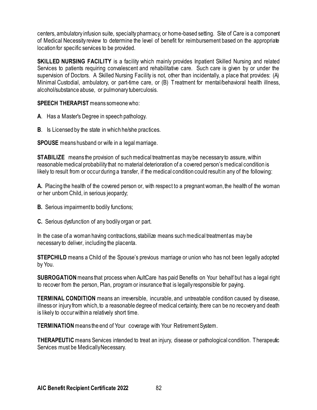centers, ambulatory infusion suite, specialty pharmacy, or home-based setting. Site of Care is a component of Medical Necessity review to determine the level of benefit for reimbursement based on the appropriate location for specific services to be provided.

**SKILLED NURSING FACILITY** is a facility which mainly provides Inpatient Skilled Nursing and related Services to patients requiring convalescent and rehabilitative care. Such care is given by or under the supervision of Doctors. A Skilled Nursing Facility is not, other than incidentally, a place that provides: (A) Minimal Custodial, ambulatory, or part-time care, or (B) Treatment for mental/behavioral health illness, alcohol/substance abuse, or pulmonary tuberculosis.

**SPEECH THERAPIST** means someone who:

- **A**. Has a Master's Degree in speech pathology.
- **B**. Is Licensed by the state in which he/she practices.

**SPOUSE** means husband or wife in a legal marriage.

**STABILIZE** means the provision of such medical treatment as may be necessary to assure, within reasonable medical probability that no material deterioration of a covered person's medical condition is likely to result from or occur during a transfer, if the medical condition could result in any of the following:

**A.** Placing the health of the covered person or, with respect to a pregnant woman, the health of the woman or her unborn Child, in serious jeopardy;

- **B.** Serious impairment to bodily functions;
- **C.** Serious dysfunction of any bodily organ or part.

In the case of a woman having contractions, stabilize means such medical treatment as may be necessary to deliver, including the placenta.

**STEPCHILD** means a Child of the Spouse's previous marriage or union who has not been legally adopted by You.

**SUBROGATION** means that process when AultCare has paid Benefits on Your behalf but has a legal right to recover from the person, Plan, program or insurance that is legally responsible for paying.

**TERMINAL CONDITION** means an irreversible, incurable, and untreatable condition caused by disease, illness or injury from which, to a reasonable degree of medical certainty, there can be no recovery and death is likely to occur within a relatively short time.

**TERMINATION**means the end of Your coverage with Your Retirement System.

**THERAPEUTIC** means Services intended to treat an injury, disease or pathological condition. Therapeutic Services must be Medically Necessary.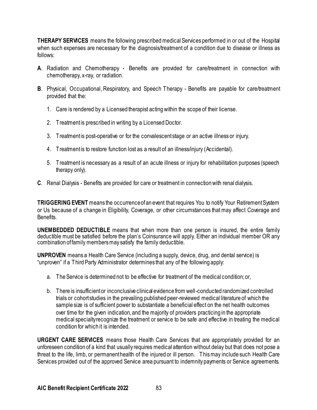**THERAPY SERVICES** means the following prescribed medical Services performed in or out of the Hospital when such expenses are necessary for the diagnosis/treatment of a condition due to disease or illness as follows:

- **A**. Radiation and Chemotherapy Benefits are provided for care/treatment in connection with chemotherapy, x-ray, or radiation.
- **B**. Physical, Occupational, Respiratory, and Speech Therapy Benefits are payable for care/treatment provided that the:
	- 1. Care is rendered by a Licensed therapist acting within the scope of their license.
	- 2. Treatment is prescribed in writing by a Licensed Doctor.
	- 3. Treatment is post-operative or for the convalescent stage or an active illness or injury.
	- 4. Treatment is to restore function lost as a result of an illness/injury (Accidental).
	- 5. Treatment is necessary as a result of an acute illness or injury for rehabilitation purposes (speech therapy only).
- **C**. Renal Dialysis Benefits are provided for care or treatment in connection with renal dialysis.

**TRIGGERING EVENT** means the occurrence of an event that requires You to notify Your Retirement System or Us because of a change in Eligibility, Coverage, or other circumstances that may affect Coverage and Benefits.

**UNEMBEDDED DEDUCTIBLE** means that when more than one person is insured, the entire family deductible must be satisfied before the plan's Coinsurance will apply. Either an individual member OR any combination of family members may satisfy the family deductible.

**UNPROVEN** means a Health Care Service (including a supply, device, drug, and dental service) is "unproven" if a Third Party Administrator determines that any of the following apply:

- a. The Service is determined not to be effective for treatment of the medical condition; or,
- b. There is insufficient or inconclusive clinical evidence from well-conducted randomized controlled trials or cohort studies in the prevailing published peer-reviewed medical literature of which the sample size is of sufficient power to substantiate a beneficial effect on the net health outcomes over time for the given indication, and the majority of providers practicing in the appropriate medical specialty recognize the treatment or service to be safe and effective in treating the medical condition for which it is intended.

**URGENT CARE SERVICES** means those Health Care Services that are appropriately provided for an unforeseen condition of a kind that usually requires medical attention without delay but that does not pose a threat to the life, limb, or permanent health of the injured or ill person. This may include such Health Care Services provided out of the approved Service area pursuant to indemnity payments or Service agreements.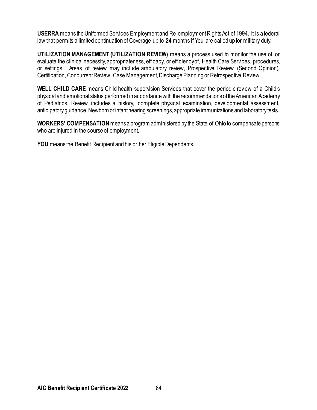**USERRA** means the Uniformed Services Employment and Re-employment Rights Act of 1994. It is a federal law that permits a limited continuation of Coverage up to **24** months if You are called up for military duty.

**UTILIZATION MANAGEMENT (UTILIZATION REVIEW)** means a process used to monitor the use of, or evaluate the clinical necessity, appropriateness, efficacy, or efficiency of, Health Care Services, procedures, or settings. Areas of review may include ambulatory review, Prospective Review (Second Opinion), Certification, Concurrent Review, Case Management, Discharge Planning or Retrospective Review.

**WELL CHILD CARE** means Child health supervision Services that cover the periodic review of a Child's physical and emotional status performed in accordance with the recommendations of the American Academy of Pediatrics. Review includes a history, complete physical examination, developmental assessment, anticipatory guidance, Newborn or infant hearing screenings, appropriate immunizations and laboratory tests.

**WORKERS' COMPENSATION**means a program administered by the State of Ohio to compensate persons who are injured in the course of employment.

**YOU** means the Benefit Recipient and his or her Eligible Dependents.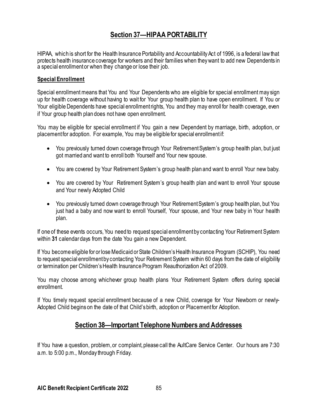# **Section 37—HIPAA PORTABILITY**

HIPAA, which is short for the Health Insurance Portability and Accountability Act of 1996, is a federal law that protects health insurance coverage for workers and their families when they want to add new Dependents in a special enrollment or when they change or lose their job.

#### **Special Enrollment**

Special enrollment means that You and Your Dependents who are eligible for special enrollment may sign up for health coverage without having to wait for Your group health plan to have open enrollment. If You or Your eligible Dependents have special enrollment rights, You and they may enroll for health coverage, even if Your group health plan does not have open enrollment.

You may be eligible for special enrollment if You gain a new Dependent by marriage, birth, adoption, or placement for adoption. For example, You may be eligible for special enrollment if:

- You previously turned down coverage through Your Retirement System's group health plan, but just got married and want to enroll both Yourself and Your new spouse.
- You are covered by Your Retirement System's group health plan and want to enroll Your new baby.
- You are covered by Your Retirement System's group health plan and want to enroll Your spouse and Your newly Adopted Child
- You previously turned down coverage through Your Retirement System's group health plan, but You just had a baby and now want to enroll Yourself, Your spouse, and Your new baby in Your health plan.

If one of these events occurs, You need to request special enrollment by contacting Your Retirement System within **31** calendar days from the date You gain a new Dependent.

If You become eligible for or lose Medicaid or State Children's Health Insurance Program (SCHIP), You need to request special enrollment by contacting Your Retirement System within 60 days from the date of eligibility or termination per Children's Health Insurance Program Reauthorization Act of 2009.

You may choose among whichever group health plans Your Retirement System offers during special enrollment.

If You timely request special enrollment because of a new Child, coverage for Your Newborn or newly-Adopted Child begins on the date of that Child's birth, adoption or Placement for Adoption.

## **Section 38—Important Telephone Numbers and Addresses**

If You have a question, problem, or complaint, please call the AultCare Service Center. Our hours are 7:30 a.m. to 5:00 p.m., Monday through Friday.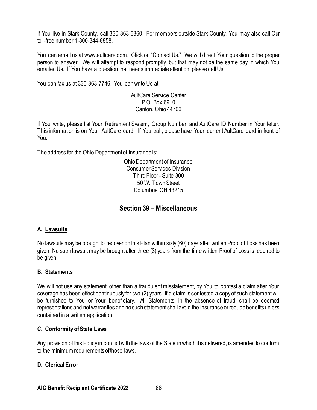If You live in Stark County, call 330-363-6360. For members outside Stark County, You may also call Our toll-free number 1-800-344-8858.

You can email us at www.aultcare.com. Click on "Contact Us." We will direct Your question to the proper person to answer. We will attempt to respond promptly, but that may not be the same day in which You emailed Us. If You have a question that needs immediate attention, please call Us.

You can fax us at 330-363-7746. You can write Us at:

#### AultCare Service Center P.O. Box 6910 Canton, Ohio 44706

If You write, please list Your Retirement System, Group Number, and AultCare ID Number in Your letter. This information is on Your AultCare card. If You call, please have Your current AultCare card in front of You.

The address for the Ohio Department of Insurance is:

Ohio Department of Insurance Consumer Services Division Third Floor - Suite 300 50 W. Town Street Columbus, OH 43215

## **Section 39 – Miscellaneous**

## **A. Lawsuits**

No lawsuits may be brought to recover on this Plan within sixty (60) days after written Proof of Loss has been given. No such lawsuit may be brought after three (3) years from the time written Proof of Loss is required to be given.

#### **B. Statements**

We will not use any statement, other than a fraudulent misstatement, by You to contest a claim after Your coverage has been effect continuously for two (2) years. If a claim is contested a copy of such statement will be furnished to You or Your beneficiary. All Statements, in the absence of fraud, shall be deemed representations and not warranties and no such statement shall avoid the insurance or reduce benefits unless contained in a written application.

## **C. Conformity of State Laws**

Any provision of this Policy in conflict with the laws of the State in which it is delivered, is amended to conform to the minimum requirements of those laws.

## **D. Clerical Error**